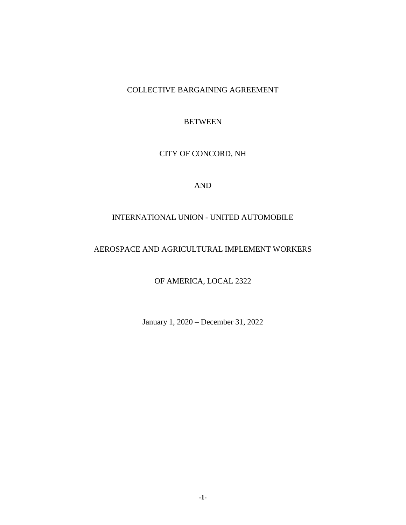# COLLECTIVE BARGAINING AGREEMENT

# **BETWEEN**

# CITY OF CONCORD, NH

# AND

# INTERNATIONAL UNION - UNITED AUTOMOBILE

# AEROSPACE AND AGRICULTURAL IMPLEMENT WORKERS

OF AMERICA, LOCAL 2322

January 1, 2020 – December 31, 2022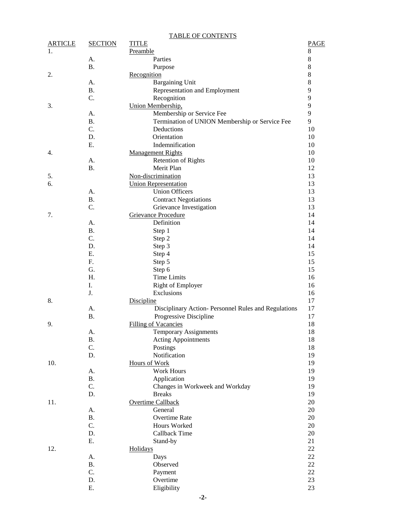|                |                 | <b>TABLE OF CONTENTS</b>                            |             |
|----------------|-----------------|-----------------------------------------------------|-------------|
| <b>ARTICLE</b> | <b>SECTION</b>  | <b>TITLE</b>                                        | <b>PAGE</b> |
| 1.             |                 | Preamble                                            | 8           |
|                | A.              | Parties                                             | $\,8\,$     |
|                | <b>B.</b>       | Purpose                                             | $\,8\,$     |
| 2.             |                 | Recognition                                         | $\,8\,$     |
|                | A.              | <b>Bargaining Unit</b>                              | $\,8\,$     |
|                | <b>B.</b>       | Representation and Employment                       | 9           |
|                | C.              | Recognition                                         | 9           |
| 3.             |                 | Union Membership,                                   | 9           |
|                | A.              | Membership or Service Fee                           | 9           |
|                | <b>B.</b>       | Termination of UNION Membership or Service Fee      | 9           |
|                | C.              | Deductions                                          | 10          |
|                | D.              | Orientation                                         | 10          |
|                | Ε.              | Indemnification                                     | 10          |
| 4.             |                 | <b>Management Rights</b>                            | 10          |
|                | A.              | <b>Retention of Rights</b>                          | 10          |
|                | <b>B.</b>       | Merit Plan                                          | 12          |
| 5.             |                 | Non-discrimination                                  | 13          |
| 6.             |                 | <b>Union Representation</b>                         | 13          |
|                | A.              | <b>Union Officers</b>                               | 13          |
|                | <b>B.</b>       | <b>Contract Negotiations</b>                        | 13          |
|                | C.              | Grievance Investigation                             | 13          |
| 7.             |                 | <b>Grievance Procedure</b>                          | 14          |
|                | А.              | Definition                                          | 14          |
|                | <b>B.</b>       | Step 1                                              | 14          |
|                | C.              | Step 2                                              | 14          |
|                | D.              | Step 3                                              | 14          |
|                | Ε.              | Step 4                                              | 15          |
|                | F.              | Step 5                                              | 15          |
|                | G.              | Step 6                                              | 15          |
|                | H.              | <b>Time Limits</b>                                  | 16          |
|                | I.              | Right of Employer                                   | 16          |
|                | J.              | Exclusions                                          | 16          |
| 8.             |                 | <b>Discipline</b>                                   | 17          |
|                | А.              | Disciplinary Action-Personnel Rules and Regulations | 17          |
|                | <b>B.</b>       | Progressive Discipline                              | 17          |
| 9.             |                 | <b>Filling of Vacancies</b>                         | 18          |
|                | A.              | <b>Temporary Assignments</b>                        | 18          |
|                | <b>B.</b>       | <b>Acting Appointments</b>                          | 18          |
|                | C.              | Postings<br>Notification                            | 18          |
|                | D.              |                                                     | 19          |
| 10.            |                 | <b>Hours of Work</b><br><b>Work Hours</b>           | 19<br>19    |
|                | А.<br><b>B.</b> | Application                                         | 19          |
|                | C.              | Changes in Workweek and Workday                     | 19          |
|                | D.              | <b>Breaks</b>                                       | 19          |
| 11.            |                 | <b>Overtime Callback</b>                            | 20          |
|                | А.              | General                                             | 20          |
|                | <b>B.</b>       | Overtime Rate                                       | 20          |
|                | C.              | Hours Worked                                        | 20          |
|                | D.              | Callback Time                                       | 20          |
|                | Ε.              | Stand-by                                            | 21          |
| 12.            |                 | Holidays                                            | 22          |
|                | А.              | Days                                                | 22          |
|                | <b>B.</b>       | Observed                                            | 22          |
|                | C.              | Payment                                             | 22          |
|                | D.              | Overtime                                            | 23          |
|                | Ε.              | Eligibility                                         | 23          |
|                |                 |                                                     |             |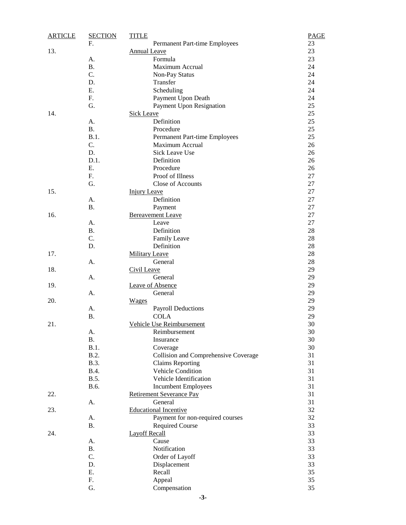| <b>ARTICLE</b> | <b>SECTION</b> | <b>TITLE</b>                         | PAGE     |
|----------------|----------------|--------------------------------------|----------|
|                | F.             | Permanent Part-time Employees        | 23       |
| 13.            |                | Annual Leave                         | 23       |
|                | A.             | Formula                              | 23       |
|                | <b>B.</b>      | Maximum Accrual                      | 24       |
|                | C.             | Non-Pay Status                       | 24       |
|                | D.             | Transfer                             | 24       |
|                | Ε.             | Scheduling                           | 24       |
|                | F.             | Payment Upon Death                   | 24       |
|                | G.             | Payment Upon Resignation             | 25       |
| 14.            |                | Sick Leave                           | 25       |
|                | A.             | Definition                           | 25       |
|                | <b>B.</b>      | Procedure                            | 25       |
|                | B.1.           | Permanent Part-time Employees        | 25       |
|                | C.             | Maximum Accrual                      | 26       |
|                | D.             | <b>Sick Leave Use</b>                | 26       |
|                | D.1.           | Definition                           | 26       |
|                | Ε.             | Procedure                            | 26       |
|                | F.             | Proof of Illness                     | 27       |
|                | G.             | Close of Accounts                    | 27       |
| 15.            |                | <b>Injury Leave</b>                  | 27       |
|                | A.             | Definition                           | 27       |
|                | <b>B.</b>      | Payment                              | 27       |
| 16.            |                | <b>Bereavement Leave</b>             | 27       |
|                | A.             | Leave                                | 27       |
|                | <b>B.</b>      | Definition                           | $28\,$   |
|                | C.             | Family Leave                         | $28\,$   |
|                | D.             | Definition                           | 28       |
| 17.            |                | <b>Military Leave</b>                | 28       |
|                | A.             | General                              | 28       |
|                |                |                                      | 29       |
| 18.            |                | Civil Leave<br>General               |          |
|                | A.             |                                      | 29<br>29 |
| 19.            |                | Leave of Absence                     |          |
|                | А.             | General                              | 29       |
| 20.            |                | <b>Wages</b>                         | 29       |
|                | A.             | <b>Payroll Deductions</b>            | 29       |
|                | Β.             | <b>COLA</b>                          | 29       |
| 21.            |                | Vehicle Use Reimbursement            | 30       |
|                | A.             | Reimbursement                        | 30       |
|                | Β.             | Insurance                            | 30       |
|                | B.1.           | Coverage                             | 30       |
|                | B.2.           | Collision and Comprehensive Coverage | 31       |
|                | <b>B.3.</b>    | <b>Claims Reporting</b>              | 31       |
|                | <b>B.4.</b>    | Vehicle Condition                    | 31       |
|                | B.5.           | Vehicle Identification               | 31       |
|                | B.6.           | <b>Incumbent Employees</b>           | 31       |
| 22.            |                | <b>Retirement Severance Pay</b>      | 31       |
|                | A.             | General                              | 31       |
| 23.            |                | <b>Educational Incentive</b>         | 32       |
|                | А.             | Payment for non-required courses     | 32       |
|                | Β.             | <b>Required Course</b>               | 33       |
| 24.            |                | <b>Layoff Recall</b>                 | 33       |
|                | А.             | Cause                                | 33       |
|                | <b>B.</b>      | Notification                         | 33       |
|                | C.             | Order of Layoff                      | 33       |
|                | D.             | Displacement                         | 33       |
|                | Ε.             | Recall                               | 35       |
|                | F.             | Appeal                               | 35       |
|                | G.             | Compensation                         | 35       |
|                |                |                                      |          |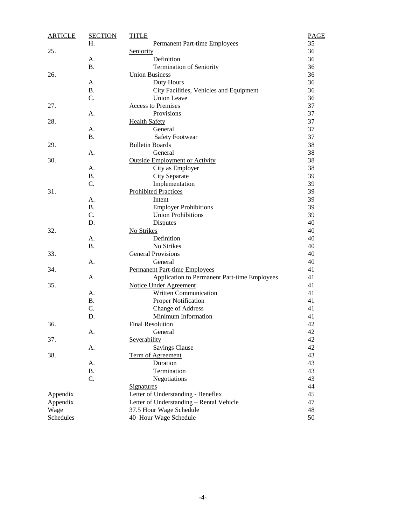| <b>ARTICLE</b> | <b>SECTION</b> | <b>TITLE</b>                                 | <b>PAGE</b> |
|----------------|----------------|----------------------------------------------|-------------|
|                | Н.             | Permanent Part-time Employees                | 35          |
| 25.            |                | Seniority                                    | 36          |
|                | А.             | Definition                                   | 36          |
|                | <b>B.</b>      | Termination of Seniority                     | 36          |
| 26.            |                | <b>Union Business</b>                        | 36          |
|                | A.             | Duty Hours                                   | 36          |
|                | <b>B.</b>      | City Facilities, Vehicles and Equipment      | 36          |
|                | C.             | <b>Union Leave</b>                           | 36          |
| 27.            |                | <b>Access to Premises</b>                    | 37          |
|                | А.             | Provisions                                   | 37          |
| 28.            |                | <b>Health Safety</b>                         | 37          |
|                | A.             | General                                      | 37          |
|                | <b>B.</b>      | <b>Safety Footwear</b>                       | 37          |
| 29.            |                | <b>Bulletin Boards</b>                       | 38          |
|                | A.             | General                                      | 38          |
| 30.            |                | <b>Outside Employment or Activity</b>        | 38          |
|                | A.             | City as Employer                             | 38          |
|                | <b>B.</b>      | City Separate                                | 39          |
|                | C.             | Implementation                               | 39          |
| 31.            |                | <b>Prohibited Practices</b>                  | 39          |
|                | А.             | Intent                                       | 39          |
|                | <b>B.</b>      | <b>Employer Prohibitions</b>                 | 39          |
|                | C.             | <b>Union Prohibitions</b>                    | 39          |
|                | D.             | Disputes                                     | 40          |
| 32.            |                | No Strikes                                   | 40          |
|                | A.             | Definition                                   | 40          |
|                | <b>B.</b>      | No Strikes                                   | 40          |
| 33.            |                | <b>General Provisions</b>                    | 40          |
|                | А.             | General                                      | 40          |
| 34.            |                | <b>Permanent Part-time Employees</b>         | 41          |
|                | А.             | Application to Permanent Part-time Employees | 41          |
| 35.            |                | <b>Notice Under Agreement</b>                | 41          |
|                | A.             | Written Communication                        | 41          |
|                | <b>B.</b>      | Proper Notification                          | 41          |
|                | C.             | <b>Change of Address</b>                     | 41          |
|                | D.             | Minimum Information                          | 41          |
| 36.            |                | <b>Final Resolution</b>                      | 42          |
|                | A.             | General                                      | 42          |
| 37.            |                | Severability                                 | 42          |
|                | A.             | <b>Savings Clause</b>                        | 42          |
| 38.            |                | Term of Agreement                            | 43          |
|                | A.             | Duration                                     | 43          |
|                | <b>B.</b>      | Termination                                  | 43          |
|                | C.             | Negotiations                                 | 43          |
|                |                | <b>Signatures</b>                            | 44          |
| Appendix       |                | Letter of Understanding - Beneflex           | 45          |
| Appendix       |                | Letter of Understanding - Rental Vehicle     | 47          |
| Wage           |                | 37.5 Hour Wage Schedule                      | 48          |
| Schedules      |                | 40 Hour Wage Schedule                        | 50          |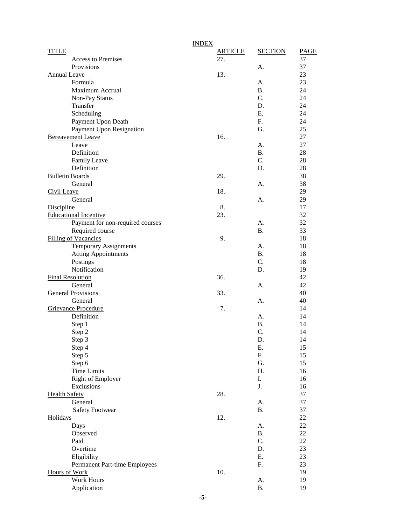|                                  | <b>INDEX</b>   |                |      |
|----------------------------------|----------------|----------------|------|
| <b>TITLE</b>                     | <b>ARTICLE</b> | <b>SECTION</b> | PAGE |
| <b>Access to Premises</b>        | 27.            |                | 37   |
| Provisions                       |                | А.             | 37   |
| Annual Leave                     | 13.            |                | 23   |
| Formula                          |                | А.             | 23   |
| Maximum Accrual                  |                | <b>B.</b>      | 24   |
| Non-Pay Status                   |                | C.             | 24   |
| Transfer                         |                | D.             | 24   |
| Scheduling                       |                | Ε.             | 24   |
| Payment Upon Death               |                | F.             | 24   |
| Payment Upon Resignation         |                | G.             | 25   |
| <b>Bereavement Leave</b>         | 16.            |                | 27   |
| Leave                            |                | А.             | 27   |
| Definition                       |                | <b>B.</b>      | 28   |
| <b>Family Leave</b>              |                | C.             | 28   |
| Definition                       |                | D.             | 28   |
| <b>Bulletin Boards</b>           | 29.            |                | 38   |
| General                          |                | A.             | 38   |
| Civil Leave                      | 18.            |                | 29   |
| General                          |                | А.             | 29   |
| Discipline                       | 8.             |                | 17   |
| <b>Educational Incentive</b>     | 23.            |                | 32   |
| Payment for non-required courses |                | А.             | 32   |
| Required course                  |                | <b>B.</b>      | 33   |
| <b>Filling of Vacancies</b>      | 9.             |                | 18   |
| <b>Temporary Assignments</b>     |                | А.             | 18   |
| Acting Appointments              |                | <b>B.</b>      | 18   |
| Postings                         |                | C.             | 18   |
| Notification                     |                | D.             | 19   |
| <b>Final Resolution</b>          | 36.            |                | 42   |
| General                          |                | А.             | 42   |
| <b>General Provisions</b>        | 33.            |                | 40   |
| General                          |                | А.             | 40   |
| Grievance Procedure              | 7.             |                | 14   |
| Definition                       |                | А.             | 14   |
| Step 1                           |                | <b>B.</b>      | 14   |
| Step 2                           |                | C.             | 14   |
| Step 3                           |                | D.             | 14   |
| Step 4                           |                | Ε.             | 15   |
| Step 5                           |                | F.             | 15   |
| Step 6                           |                | G.             | 15   |
| <b>Time Limits</b>               |                | Η.             | 16   |
| Right of Employer                |                | I.             | 16   |
| Exclusions                       |                | J.             | 16   |
| <b>Health Safety</b>             | 28.            |                | 37   |
| General                          |                | А.             | 37   |
| <b>Safety Footwear</b>           |                | Β.             | 37   |
| Holidays                         | 12.            |                | 22   |
| Days                             |                | A.             | 22   |
| Observed                         |                | Β.             | 22   |
| Paid                             |                | C.             | 22   |
| Overtime                         |                | D.             | 23   |
| Eligibility                      |                | Ε.             | 23   |
| Permanent Part-time Employees    |                | F.             | 23   |
| <b>Hours of Work</b>             | 10.            |                | 19   |
| <b>Work Hours</b>                |                | А.             | 19   |
| Application                      |                | <b>B.</b>      | 19   |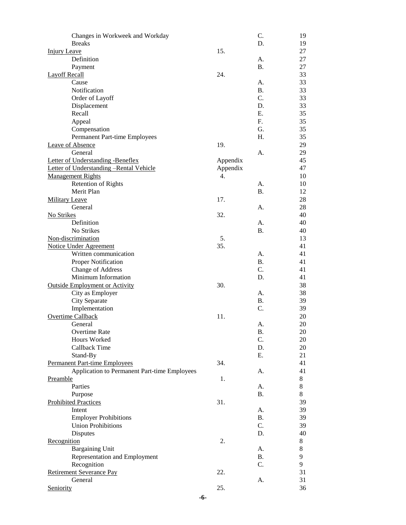| Changes in Workweek and Workday              |          | C.        | 19    |
|----------------------------------------------|----------|-----------|-------|
| <b>Breaks</b>                                |          | D.        | 19    |
| <b>Injury Leave</b>                          | 15.      |           | 27    |
| Definition                                   |          | A.        | 27    |
| Payment                                      |          | <b>B.</b> | 27    |
| <b>Layoff Recall</b>                         | 24.      |           | 33    |
| Cause                                        |          | A.        | 33    |
| Notification                                 |          | <b>B.</b> | 33    |
| Order of Layoff                              |          | C.        | 33    |
| Displacement                                 |          | D.        | 33    |
| Recall                                       |          | Ε.        | 35    |
| Appeal                                       |          | F.        | 35    |
| Compensation                                 |          | G.        | 35    |
| Permanent Part-time Employees                |          | H.        | 35    |
| Leave of Absence                             | 19.      |           | 29    |
| General                                      |          | A.        | 29    |
| Letter of Understanding -Beneflex            | Appendix |           | 45    |
| Letter of Understanding -Rental Vehicle      | Appendix |           | 47    |
| <b>Management Rights</b>                     | 4.       |           | 10    |
| <b>Retention of Rights</b>                   |          | A.        | 10    |
| Merit Plan                                   |          | <b>B.</b> | 12    |
| Military Leave                               | 17.      |           | 28    |
| General                                      |          | A.        | 28    |
| No Strikes                                   | 32.      |           | 40    |
| Definition                                   |          | A.        | 40    |
| No Strikes                                   |          | Β.        | 40    |
| Non-discrimination                           | 5.       |           | 13    |
| <b>Notice Under Agreement</b>                | 35.      |           | 41    |
| Written communication                        |          | А.        | 41    |
| Proper Notification                          |          | <b>B.</b> | 41    |
| <b>Change of Address</b>                     |          | C.        | 41    |
| Minimum Information                          |          | D.        | 41    |
| <b>Outside Employment or Activity</b>        | 30.      |           | 38    |
| City as Employer                             |          | А.        | 38    |
| City Separate                                |          | <b>B.</b> | 39    |
| Implementation                               |          | C.        | 39    |
| Overtime Callback                            | 11.      |           | 20    |
| General                                      |          | А.        | 20    |
| Overtime Rate                                |          | В.        | 20    |
| Hours Worked                                 |          | C.        | 20    |
| Callback Time                                |          | D.        | 20    |
| Stand-By                                     |          | Ε.        | 21    |
| <b>Permanent Part-time Employees</b>         | 34.      |           | 41    |
| Application to Permanent Part-time Employees |          | A.        | 41    |
| Preamble                                     | 1.       |           | $8\,$ |
| Parties                                      |          | A.        | 8     |
| Purpose                                      |          | <b>B.</b> | 8     |
| <b>Prohibited Practices</b>                  | 31.      |           | 39    |
| Intent                                       |          | A.        | 39    |
| <b>Employer Prohibitions</b>                 |          | <b>B.</b> | 39    |
| <b>Union Prohibitions</b>                    |          | C.        | 39    |
| <b>Disputes</b>                              |          | D.        | 40    |
| Recognition                                  | 2.       |           | 8     |
| <b>Bargaining Unit</b>                       |          | A.        | 8     |
| Representation and Employment                |          | <b>B.</b> | 9     |
| Recognition                                  |          | C.        | 9     |
| Retirement Severance Pay                     | 22.      |           | 31    |
| General                                      |          | A.        | 31    |
| Seniority                                    | 25.      |           | 36    |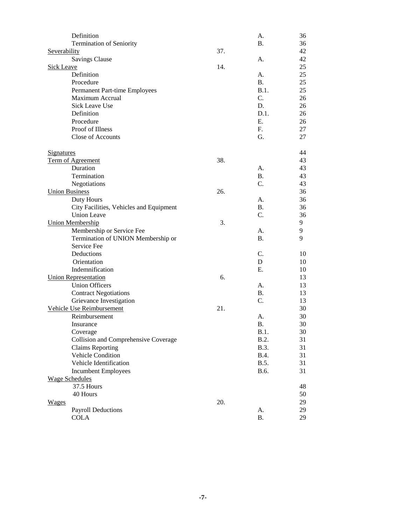| Definition                              |     | A.          | 36 |
|-----------------------------------------|-----|-------------|----|
| Termination of Seniority                |     | <b>B.</b>   | 36 |
| Severability                            | 37. |             | 42 |
| <b>Savings Clause</b>                   |     | A.          | 42 |
| <b>Sick Leave</b>                       | 14. |             | 25 |
| Definition                              |     | А.          | 25 |
| Procedure                               |     | <b>B.</b>   | 25 |
| Permanent Part-time Employees           |     | B.1.        | 25 |
| Maximum Accrual                         |     | C.          | 26 |
| <b>Sick Leave Use</b>                   |     | D.          | 26 |
| Definition                              |     | D.1.        | 26 |
| Procedure                               |     | Ε.          | 26 |
| Proof of Illness                        |     | F.          | 27 |
| Close of Accounts                       |     | G.          | 27 |
| <b>Signatures</b>                       |     |             | 44 |
| Term of Agreement                       | 38. |             | 43 |
| Duration                                |     | А.          | 43 |
| Termination                             |     | <b>B.</b>   | 43 |
| Negotiations                            |     | C.          | 43 |
| <b>Union Business</b>                   | 26. |             | 36 |
| Duty Hours                              |     | А.          | 36 |
| City Facilities, Vehicles and Equipment |     | <b>B.</b>   | 36 |
| <b>Union Leave</b>                      |     | C.          | 36 |
| <b>Union Membership</b>                 | 3.  |             | 9  |
| Membership or Service Fee               |     | А.          | 9  |
| Termination of UNION Membership or      |     | <b>B.</b>   | 9  |
| Service Fee                             |     |             |    |
| Deductions                              |     | C.          | 10 |
| Orientation                             |     | D           | 10 |
| Indemnification                         |     | Ε.          | 10 |
| <b>Union Representation</b>             | 6.  |             | 13 |
| <b>Union Officers</b>                   |     | А.          | 13 |
| <b>Contract Negotiations</b>            |     | <b>B.</b>   | 13 |
| Grievance Investigation                 |     | C.          | 13 |
| Vehicle Use Reimbursement               | 21. |             | 30 |
| Reimbursement                           |     | A.          | 30 |
| Insurance                               |     | Β.          | 30 |
| Coverage                                |     | B.1.        | 30 |
| Collision and Comprehensive Coverage    |     | B.2.        | 31 |
| <b>Claims Reporting</b>                 |     | B.3.        | 31 |
| Vehicle Condition                       |     | <b>B.4.</b> | 31 |
| Vehicle Identification                  |     | B.5.        | 31 |
| <b>Incumbent Employees</b>              |     | B.6.        | 31 |
| <b>Wage Schedules</b>                   |     |             |    |
| 37.5 Hours                              |     |             | 48 |
| 40 Hours                                |     |             | 50 |
| <b>Wages</b>                            | 20. |             | 29 |
| <b>Payroll Deductions</b>               |     | A.          | 29 |
| <b>COLA</b>                             |     | <b>B.</b>   | 29 |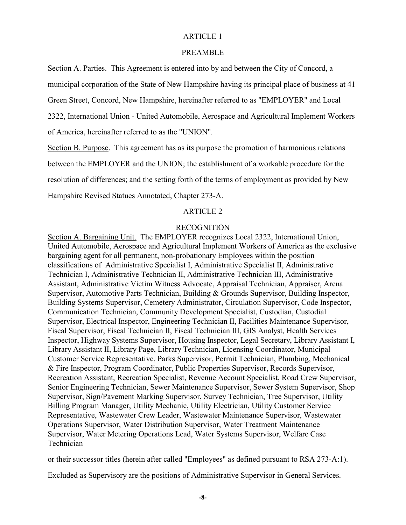#### PREAMBLE

Section A. Parties. This Agreement is entered into by and between the City of Concord, a municipal corporation of the State of New Hampshire having its principal place of business at 41 Green Street, Concord, New Hampshire, hereinafter referred to as "EMPLOYER" and Local 2322, International Union - United Automobile, Aerospace and Agricultural Implement Workers of America, hereinafter referred to as the "UNION".

Section B. Purpose. This agreement has as its purpose the promotion of harmonious relations between the EMPLOYER and the UNION; the establishment of a workable procedure for the resolution of differences; and the setting forth of the terms of employment as provided by New Hampshire Revised Statues Annotated, Chapter 273-A.

#### ARTICLE 2

#### RECOGNITION

Section A. Bargaining Unit. The EMPLOYER recognizes Local 2322, International Union, United Automobile, Aerospace and Agricultural Implement Workers of America as the exclusive bargaining agent for all permanent, non-probationary Employees within the position classifications of Administrative Specialist I, Administrative Specialist II, Administrative Technician I, Administrative Technician II, Administrative Technician III, Administrative Assistant, Administrative Victim Witness Advocate, Appraisal Technician, Appraiser, Arena Supervisor, Automotive Parts Technician, Building & Grounds Supervisor, Building Inspector, Building Systems Supervisor, Cemetery Administrator, Circulation Supervisor, Code Inspector, Communication Technician, Community Development Specialist, Custodian, Custodial Supervisor, Electrical Inspector, Engineering Technician II, Facilities Maintenance Supervisor, Fiscal Supervisor, Fiscal Technician II, Fiscal Technician III, GIS Analyst, Health Services Inspector, Highway Systems Supervisor, Housing Inspector, Legal Secretary, Library Assistant I, Library Assistant II, Library Page, Library Technician, Licensing Coordinator, Municipal Customer Service Representative, Parks Supervisor, Permit Technician, Plumbing, Mechanical & Fire Inspector, Program Coordinator, Public Properties Supervisor, Records Supervisor, Recreation Assistant, Recreation Specialist, Revenue Account Specialist, Road Crew Supervisor, Senior Engineering Technician, Sewer Maintenance Supervisor, Sewer System Supervisor, Shop Supervisor, Sign/Pavement Marking Supervisor, Survey Technician, Tree Supervisor, Utility Billing Program Manager, Utility Mechanic, Utility Electrician, Utility Customer Service Representative, Wastewater Crew Leader, Wastewater Maintenance Supervisor, Wastewater Operations Supervisor, Water Distribution Supervisor, Water Treatment Maintenance Supervisor, Water Metering Operations Lead, Water Systems Supervisor, Welfare Case Technician

or their successor titles (herein after called "Employees" as defined pursuant to RSA 273-A:1).

Excluded as Supervisory are the positions of Administrative Supervisor in General Services.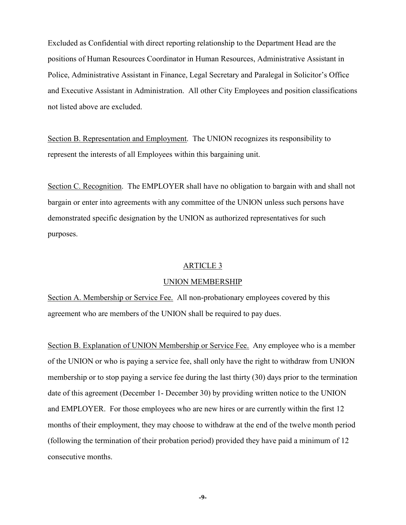Excluded as Confidential with direct reporting relationship to the Department Head are the positions of Human Resources Coordinator in Human Resources, Administrative Assistant in Police, Administrative Assistant in Finance, Legal Secretary and Paralegal in Solicitor's Office and Executive Assistant in Administration. All other City Employees and position classifications not listed above are excluded.

Section B. Representation and Employment. The UNION recognizes its responsibility to represent the interests of all Employees within this bargaining unit.

Section C. Recognition. The EMPLOYER shall have no obligation to bargain with and shall not bargain or enter into agreements with any committee of the UNION unless such persons have demonstrated specific designation by the UNION as authorized representatives for such purposes.

### ARTICLE 3

### UNION MEMBERSHIP

Section A. Membership or Service Fee. All non-probationary employees covered by this agreement who are members of the UNION shall be required to pay dues.

Section B. Explanation of UNION Membership or Service Fee. Any employee who is a member of the UNION or who is paying a service fee, shall only have the right to withdraw from UNION membership or to stop paying a service fee during the last thirty (30) days prior to the termination date of this agreement (December 1- December 30) by providing written notice to the UNION and EMPLOYER. For those employees who are new hires or are currently within the first 12 months of their employment, they may choose to withdraw at the end of the twelve month period (following the termination of their probation period) provided they have paid a minimum of 12 consecutive months.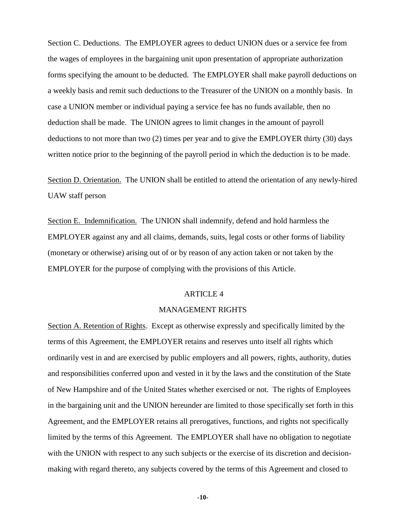Section C. Deductions. The EMPLOYER agrees to deduct UNION dues or a service fee from the wages of employees in the bargaining unit upon presentation of appropriate authorization forms specifying the amount to be deducted. The EMPLOYER shall make payroll deductions on a weekly basis and remit such deductions to the Treasurer of the UNION on a monthly basis. In case a UNION member or individual paying a service fee has no funds available, then no deduction shall be made. The UNION agrees to limit changes in the amount of payroll deductions to not more than two (2) times per year and to give the EMPLOYER thirty (30) days written notice prior to the beginning of the payroll period in which the deduction is to be made.

Section D. Orientation. The UNION shall be entitled to attend the orientation of any newly-hired UAW staff person

Section E. Indemnification. The UNION shall indemnify, defend and hold harmless the EMPLOYER against any and all claims, demands, suits, legal costs or other forms of liability (monetary or otherwise) arising out of or by reason of any action taken or not taken by the EMPLOYER for the purpose of complying with the provisions of this Article.

#### ARTICLE 4

#### MANAGEMENT RIGHTS

Section A. Retention of Rights. Except as otherwise expressly and specifically limited by the terms of this Agreement, the EMPLOYER retains and reserves unto itself all rights which ordinarily vest in and are exercised by public employers and all powers, rights, authority, duties and responsibilities conferred upon and vested in it by the laws and the constitution of the State of New Hampshire and of the United States whether exercised or not. The rights of Employees in the bargaining unit and the UNION hereunder are limited to those specifically set forth in this Agreement, and the EMPLOYER retains all prerogatives, functions, and rights not specifically limited by the terms of this Agreement. The EMPLOYER shall have no obligation to negotiate with the UNION with respect to any such subjects or the exercise of its discretion and decisionmaking with regard thereto, any subjects covered by the terms of this Agreement and closed to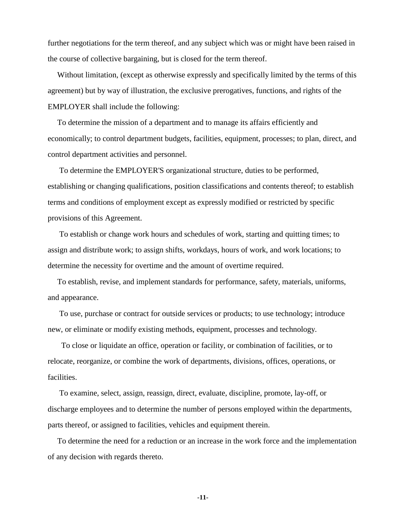further negotiations for the term thereof, and any subject which was or might have been raised in the course of collective bargaining, but is closed for the term thereof.

Without limitation, (except as otherwise expressly and specifically limited by the terms of this agreement) but by way of illustration, the exclusive prerogatives, functions, and rights of the EMPLOYER shall include the following:

To determine the mission of a department and to manage its affairs efficiently and economically; to control department budgets, facilities, equipment, processes; to plan, direct, and control department activities and personnel.

To determine the EMPLOYER'S organizational structure, duties to be performed, establishing or changing qualifications, position classifications and contents thereof; to establish terms and conditions of employment except as expressly modified or restricted by specific provisions of this Agreement.

To establish or change work hours and schedules of work, starting and quitting times; to assign and distribute work; to assign shifts, workdays, hours of work, and work locations; to determine the necessity for overtime and the amount of overtime required.

To establish, revise, and implement standards for performance, safety, materials, uniforms, and appearance.

To use, purchase or contract for outside services or products; to use technology; introduce new, or eliminate or modify existing methods, equipment, processes and technology.

 To close or liquidate an office, operation or facility, or combination of facilities, or to relocate, reorganize, or combine the work of departments, divisions, offices, operations, or facilities.

To examine, select, assign, reassign, direct, evaluate, discipline, promote, lay-off, or discharge employees and to determine the number of persons employed within the departments, parts thereof, or assigned to facilities, vehicles and equipment therein.

To determine the need for a reduction or an increase in the work force and the implementation of any decision with regards thereto.

**-11-**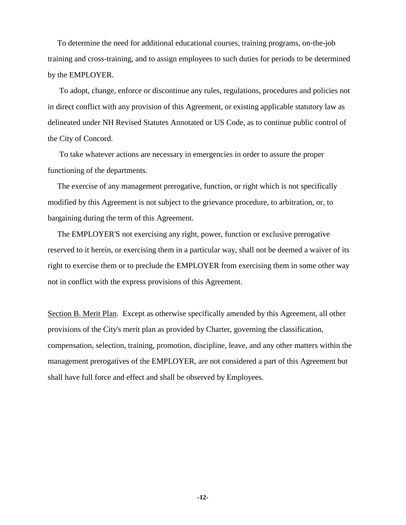To determine the need for additional educational courses, training programs, on-the-job training and cross-training, and to assign employees to such duties for periods to be determined by the EMPLOYER.

To adopt, change, enforce or discontinue any rules, regulations, procedures and policies not in direct conflict with any provision of this Agreement, or existing applicable statutory law as delineated under NH Revised Statutes Annotated or US Code, as to continue public control of the City of Concord.

To take whatever actions are necessary in emergencies in order to assure the proper functioning of the departments.

The exercise of any management prerogative, function, or right which is not specifically modified by this Agreement is not subject to the grievance procedure, to arbitration, or, to bargaining during the term of this Agreement.

The EMPLOYER'S not exercising any right, power, function or exclusive prerogative reserved to it herein, or exercising them in a particular way, shall not be deemed a waiver of its right to exercise them or to preclude the EMPLOYER from exercising them in some other way not in conflict with the express provisions of this Agreement.

Section B. Merit Plan. Except as otherwise specifically amended by this Agreement, all other provisions of the City's merit plan as provided by Charter, governing the classification, compensation, selection, training, promotion, discipline, leave, and any other matters within the management prerogatives of the EMPLOYER, are not considered a part of this Agreement but shall have full force and effect and shall be observed by Employees.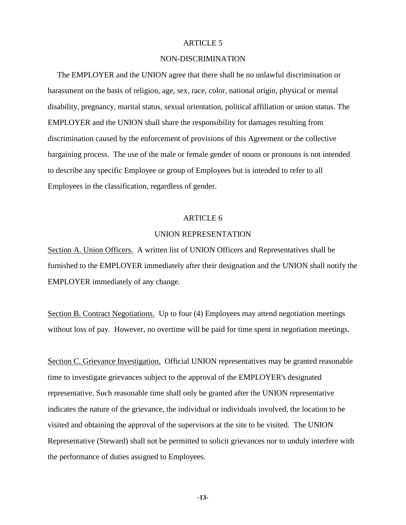## NON-DISCRIMINATION

The EMPLOYER and the UNION agree that there shall be no unlawful discrimination or harassment on the basis of religion, age, sex, race, color, national origin, physical or mental disability, pregnancy, marital status, sexual orientation, political affiliation or union status. The EMPLOYER and the UNION shall share the responsibility for damages resulting from discrimination caused by the enforcement of provisions of this Agreement or the collective bargaining process. The use of the male or female gender of nouns or pronouns is not intended to describe any specific Employee or group of Employees but is intended to refer to all Employees in the classification, regardless of gender.

#### ARTICLE 6

#### UNION REPRESENTATION

Section A. Union Officers. A written list of UNION Officers and Representatives shall be furnished to the EMPLOYER immediately after their designation and the UNION shall notify the EMPLOYER immediately of any change.

Section B. Contract Negotiations. Up to four (4) Employees may attend negotiation meetings without loss of pay. However, no overtime will be paid for time spent in negotiation meetings.

Section C. Grievance Investigation. Official UNION representatives may be granted reasonable time to investigate grievances subject to the approval of the EMPLOYER's designated representative. Such reasonable time shall only be granted after the UNION representative indicates the nature of the grievance, the individual or individuals involved, the location to be visited and obtaining the approval of the supervisors at the site to be visited. The UNION Representative (Steward) shall not be permitted to solicit grievances nor to unduly interfere with the performance of duties assigned to Employees.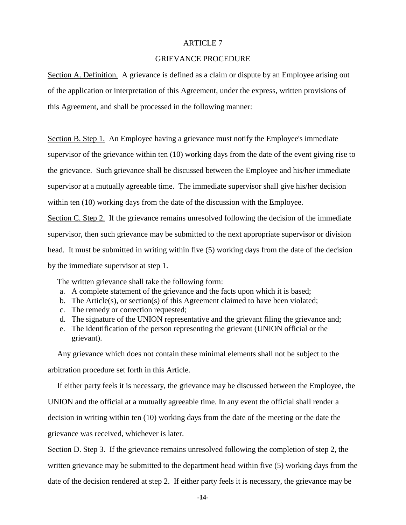## GRIEVANCE PROCEDURE

Section A. Definition. A grievance is defined as a claim or dispute by an Employee arising out of the application or interpretation of this Agreement, under the express, written provisions of this Agreement, and shall be processed in the following manner:

Section B. Step 1. An Employee having a grievance must notify the Employee's immediate supervisor of the grievance within ten (10) working days from the date of the event giving rise to the grievance. Such grievance shall be discussed between the Employee and his/her immediate supervisor at a mutually agreeable time. The immediate supervisor shall give his/her decision within ten (10) working days from the date of the discussion with the Employee. Section C. Step 2. If the grievance remains unresolved following the decision of the immediate supervisor, then such grievance may be submitted to the next appropriate supervisor or division head. It must be submitted in writing within five (5) working days from the date of the decision

by the immediate supervisor at step 1.

The written grievance shall take the following form:

- a. A complete statement of the grievance and the facts upon which it is based;
- b. The Article(s), or section(s) of this Agreement claimed to have been violated;
- c. The remedy or correction requested;
- d. The signature of the UNION representative and the grievant filing the grievance and;
- e. The identification of the person representing the grievant (UNION official or the grievant).

Any grievance which does not contain these minimal elements shall not be subject to the arbitration procedure set forth in this Article.

If either party feels it is necessary, the grievance may be discussed between the Employee, the UNION and the official at a mutually agreeable time. In any event the official shall render a decision in writing within ten (10) working days from the date of the meeting or the date the grievance was received, whichever is later.

Section D. Step 3. If the grievance remains unresolved following the completion of step 2, the written grievance may be submitted to the department head within five (5) working days from the date of the decision rendered at step 2. If either party feels it is necessary, the grievance may be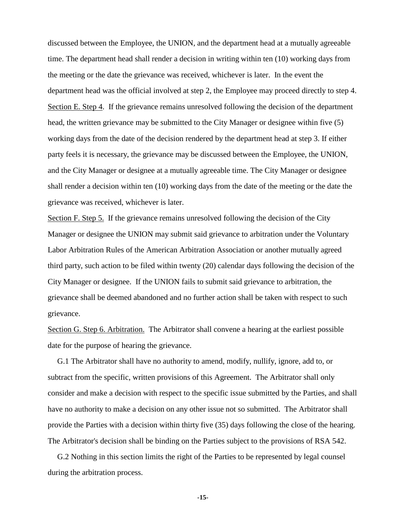discussed between the Employee, the UNION, and the department head at a mutually agreeable time. The department head shall render a decision in writing within ten (10) working days from the meeting or the date the grievance was received, whichever is later. In the event the department head was the official involved at step 2, the Employee may proceed directly to step 4. Section E. Step 4. If the grievance remains unresolved following the decision of the department head, the written grievance may be submitted to the City Manager or designee within five (5) working days from the date of the decision rendered by the department head at step 3. If either party feels it is necessary, the grievance may be discussed between the Employee, the UNION, and the City Manager or designee at a mutually agreeable time. The City Manager or designee shall render a decision within ten (10) working days from the date of the meeting or the date the grievance was received, whichever is later.

Section F. Step 5. If the grievance remains unresolved following the decision of the City Manager or designee the UNION may submit said grievance to arbitration under the Voluntary Labor Arbitration Rules of the American Arbitration Association or another mutually agreed third party, such action to be filed within twenty (20) calendar days following the decision of the City Manager or designee. If the UNION fails to submit said grievance to arbitration, the grievance shall be deemed abandoned and no further action shall be taken with respect to such grievance.

Section G. Step 6. Arbitration. The Arbitrator shall convene a hearing at the earliest possible date for the purpose of hearing the grievance.

G.1 The Arbitrator shall have no authority to amend, modify, nullify, ignore, add to, or subtract from the specific, written provisions of this Agreement. The Arbitrator shall only consider and make a decision with respect to the specific issue submitted by the Parties, and shall have no authority to make a decision on any other issue not so submitted. The Arbitrator shall provide the Parties with a decision within thirty five (35) days following the close of the hearing. The Arbitrator's decision shall be binding on the Parties subject to the provisions of RSA 542.

G.2 Nothing in this section limits the right of the Parties to be represented by legal counsel during the arbitration process.

**-15-**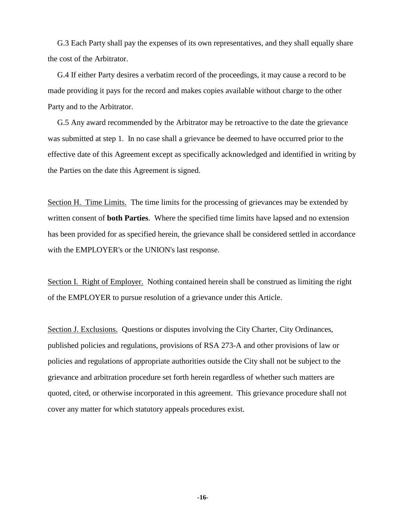G.3 Each Party shall pay the expenses of its own representatives, and they shall equally share the cost of the Arbitrator.

G.4 If either Party desires a verbatim record of the proceedings, it may cause a record to be made providing it pays for the record and makes copies available without charge to the other Party and to the Arbitrator.

G.5 Any award recommended by the Arbitrator may be retroactive to the date the grievance was submitted at step 1. In no case shall a grievance be deemed to have occurred prior to the effective date of this Agreement except as specifically acknowledged and identified in writing by the Parties on the date this Agreement is signed.

Section H. Time Limits. The time limits for the processing of grievances may be extended by written consent of **both Parties**. Where the specified time limits have lapsed and no extension has been provided for as specified herein, the grievance shall be considered settled in accordance with the EMPLOYER's or the UNION's last response.

Section I. Right of Employer. Nothing contained herein shall be construed as limiting the right of the EMPLOYER to pursue resolution of a grievance under this Article.

Section J. Exclusions. Questions or disputes involving the City Charter, City Ordinances, published policies and regulations, provisions of RSA 273-A and other provisions of law or policies and regulations of appropriate authorities outside the City shall not be subject to the grievance and arbitration procedure set forth herein regardless of whether such matters are quoted, cited, or otherwise incorporated in this agreement. This grievance procedure shall not cover any matter for which statutory appeals procedures exist.

**-16-**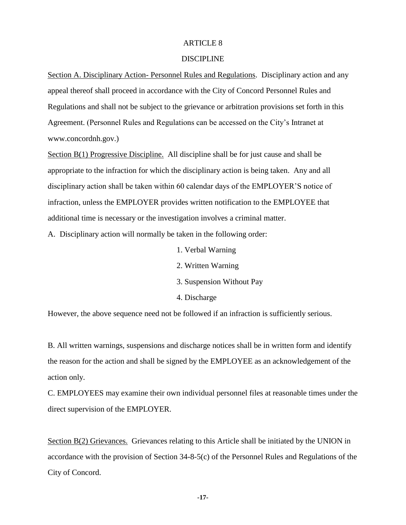## DISCIPLINE

Section A. Disciplinary Action- Personnel Rules and Regulations. Disciplinary action and any appeal thereof shall proceed in accordance with the City of Concord Personnel Rules and Regulations and shall not be subject to the grievance or arbitration provisions set forth in this Agreement. (Personnel Rules and Regulations can be accessed on the City's Intranet at www.concordnh.gov.)

Section B(1) Progressive Discipline. All discipline shall be for just cause and shall be appropriate to the infraction for which the disciplinary action is being taken. Any and all disciplinary action shall be taken within 60 calendar days of the EMPLOYER'S notice of infraction, unless the EMPLOYER provides written notification to the EMPLOYEE that additional time is necessary or the investigation involves a criminal matter.

A. Disciplinary action will normally be taken in the following order:

- 1. Verbal Warning
- 2. Written Warning
- 3. Suspension Without Pay
- 4. Discharge

However, the above sequence need not be followed if an infraction is sufficiently serious.

B. All written warnings, suspensions and discharge notices shall be in written form and identify the reason for the action and shall be signed by the EMPLOYEE as an acknowledgement of the action only.

C. EMPLOYEES may examine their own individual personnel files at reasonable times under the direct supervision of the EMPLOYER.

Section B(2) Grievances. Grievances relating to this Article shall be initiated by the UNION in accordance with the provision of Section 34-8-5(c) of the Personnel Rules and Regulations of the City of Concord.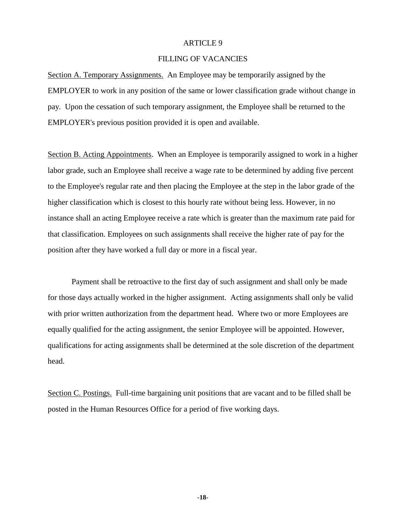## FILLING OF VACANCIES

Section A. Temporary Assignments. An Employee may be temporarily assigned by the EMPLOYER to work in any position of the same or lower classification grade without change in pay. Upon the cessation of such temporary assignment, the Employee shall be returned to the EMPLOYER's previous position provided it is open and available.

Section B. Acting Appointments. When an Employee is temporarily assigned to work in a higher labor grade, such an Employee shall receive a wage rate to be determined by adding five percent to the Employee's regular rate and then placing the Employee at the step in the labor grade of the higher classification which is closest to this hourly rate without being less. However, in no instance shall an acting Employee receive a rate which is greater than the maximum rate paid for that classification. Employees on such assignments shall receive the higher rate of pay for the position after they have worked a full day or more in a fiscal year.

Payment shall be retroactive to the first day of such assignment and shall only be made for those days actually worked in the higher assignment. Acting assignments shall only be valid with prior written authorization from the department head. Where two or more Employees are equally qualified for the acting assignment, the senior Employee will be appointed. However, qualifications for acting assignments shall be determined at the sole discretion of the department head.

Section C. Postings. Full-time bargaining unit positions that are vacant and to be filled shall be posted in the Human Resources Office for a period of five working days.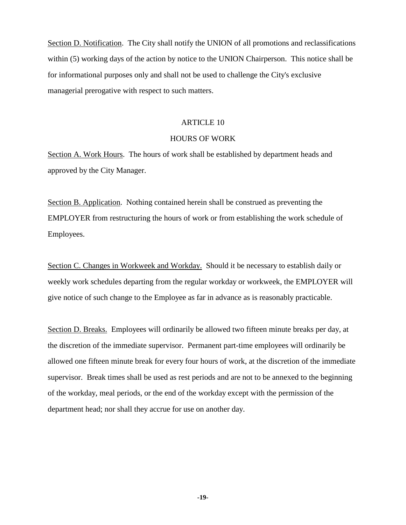Section D. Notification. The City shall notify the UNION of all promotions and reclassifications within (5) working days of the action by notice to the UNION Chairperson. This notice shall be for informational purposes only and shall not be used to challenge the City's exclusive managerial prerogative with respect to such matters.

#### ARTICLE 10

#### HOURS OF WORK

Section A. Work Hours. The hours of work shall be established by department heads and approved by the City Manager.

Section B. Application. Nothing contained herein shall be construed as preventing the EMPLOYER from restructuring the hours of work or from establishing the work schedule of Employees.

Section C. Changes in Workweek and Workday. Should it be necessary to establish daily or weekly work schedules departing from the regular workday or workweek, the EMPLOYER will give notice of such change to the Employee as far in advance as is reasonably practicable.

Section D. Breaks. Employees will ordinarily be allowed two fifteen minute breaks per day, at the discretion of the immediate supervisor. Permanent part-time employees will ordinarily be allowed one fifteen minute break for every four hours of work, at the discretion of the immediate supervisor. Break times shall be used as rest periods and are not to be annexed to the beginning of the workday, meal periods, or the end of the workday except with the permission of the department head; nor shall they accrue for use on another day.

**-19-**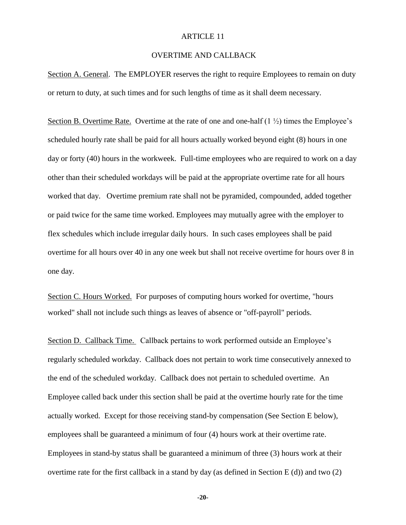## OVERTIME AND CALLBACK

Section A. General. The EMPLOYER reserves the right to require Employees to remain on duty or return to duty, at such times and for such lengths of time as it shall deem necessary.

Section B. Overtime Rate. Overtime at the rate of one and one-half  $(1 \frac{1}{2})$  times the Employee's scheduled hourly rate shall be paid for all hours actually worked beyond eight (8) hours in one day or forty (40) hours in the workweek. Full-time employees who are required to work on a day other than their scheduled workdays will be paid at the appropriate overtime rate for all hours worked that day. Overtime premium rate shall not be pyramided, compounded, added together or paid twice for the same time worked. Employees may mutually agree with the employer to flex schedules which include irregular daily hours. In such cases employees shall be paid overtime for all hours over 40 in any one week but shall not receive overtime for hours over 8 in one day.

Section C. Hours Worked. For purposes of computing hours worked for overtime, "hours worked" shall not include such things as leaves of absence or "off-payroll" periods.

Section D. Callback Time. Callback pertains to work performed outside an Employee's regularly scheduled workday. Callback does not pertain to work time consecutively annexed to the end of the scheduled workday. Callback does not pertain to scheduled overtime. An Employee called back under this section shall be paid at the overtime hourly rate for the time actually worked. Except for those receiving stand-by compensation (See Section E below), employees shall be guaranteed a minimum of four (4) hours work at their overtime rate. Employees in stand-by status shall be guaranteed a minimum of three (3) hours work at their overtime rate for the first callback in a stand by day (as defined in Section E  $(d)$ ) and two  $(2)$ 

**-20-**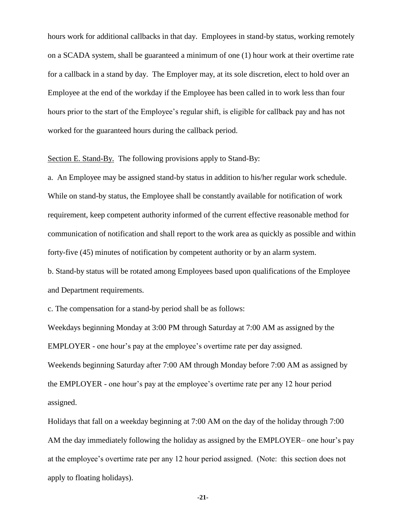hours work for additional callbacks in that day. Employees in stand-by status, working remotely on a SCADA system, shall be guaranteed a minimum of one (1) hour work at their overtime rate for a callback in a stand by day. The Employer may, at its sole discretion, elect to hold over an Employee at the end of the workday if the Employee has been called in to work less than four hours prior to the start of the Employee's regular shift, is eligible for callback pay and has not worked for the guaranteed hours during the callback period.

Section E. Stand-By. The following provisions apply to Stand-By:

a. An Employee may be assigned stand-by status in addition to his/her regular work schedule. While on stand-by status, the Employee shall be constantly available for notification of work requirement, keep competent authority informed of the current effective reasonable method for communication of notification and shall report to the work area as quickly as possible and within forty-five (45) minutes of notification by competent authority or by an alarm system.

b. Stand-by status will be rotated among Employees based upon qualifications of the Employee and Department requirements.

c. The compensation for a stand-by period shall be as follows:

Weekdays beginning Monday at 3:00 PM through Saturday at 7:00 AM as assigned by the EMPLOYER - one hour's pay at the employee's overtime rate per day assigned. Weekends beginning Saturday after 7:00 AM through Monday before 7:00 AM as assigned by the EMPLOYER - one hour's pay at the employee's overtime rate per any 12 hour period assigned.

Holidays that fall on a weekday beginning at 7:00 AM on the day of the holiday through 7:00 AM the day immediately following the holiday as assigned by the EMPLOYER– one hour's pay at the employee's overtime rate per any 12 hour period assigned. (Note: this section does not apply to floating holidays).

**-21-**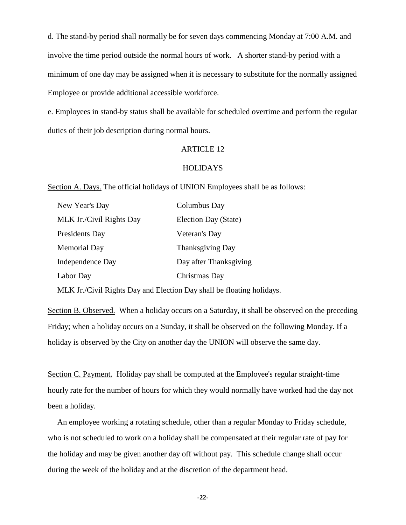d. The stand-by period shall normally be for seven days commencing Monday at 7:00 A.M. and involve the time period outside the normal hours of work. A shorter stand-by period with a minimum of one day may be assigned when it is necessary to substitute for the normally assigned Employee or provide additional accessible workforce.

e. Employees in stand-by status shall be available for scheduled overtime and perform the regular duties of their job description during normal hours.

## ARTICLE 12

## **HOLIDAYS**

Section A. Days. The official holidays of UNION Employees shall be as follows:

| Columbus Day            |
|-------------------------|
| Election Day (State)    |
| Veteran's Day           |
| <b>Thanksgiving Day</b> |
| Day after Thanksgiving  |
| Christmas Day           |
|                         |

MLK Jr./Civil Rights Day and Election Day shall be floating holidays.

Section B. Observed. When a holiday occurs on a Saturday, it shall be observed on the preceding Friday; when a holiday occurs on a Sunday, it shall be observed on the following Monday. If a holiday is observed by the City on another day the UNION will observe the same day.

Section C. Payment. Holiday pay shall be computed at the Employee's regular straight-time hourly rate for the number of hours for which they would normally have worked had the day not been a holiday.

An employee working a rotating schedule, other than a regular Monday to Friday schedule, who is not scheduled to work on a holiday shall be compensated at their regular rate of pay for the holiday and may be given another day off without pay. This schedule change shall occur during the week of the holiday and at the discretion of the department head.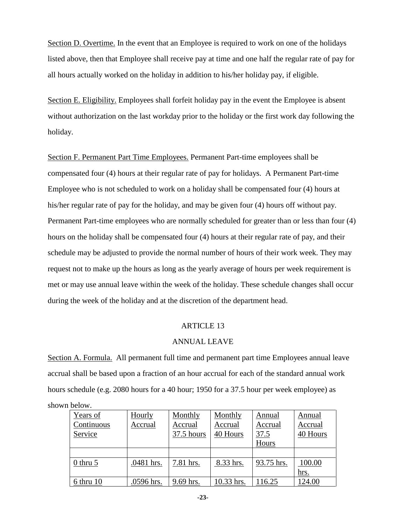Section D. Overtime. In the event that an Employee is required to work on one of the holidays listed above, then that Employee shall receive pay at time and one half the regular rate of pay for all hours actually worked on the holiday in addition to his/her holiday pay, if eligible.

Section E. Eligibility. Employees shall forfeit holiday pay in the event the Employee is absent without authorization on the last workday prior to the holiday or the first work day following the holiday.

Section F. Permanent Part Time Employees. Permanent Part-time employees shall be compensated four (4) hours at their regular rate of pay for holidays. A Permanent Part-time Employee who is not scheduled to work on a holiday shall be compensated four (4) hours at his/her regular rate of pay for the holiday, and may be given four (4) hours off without pay. Permanent Part-time employees who are normally scheduled for greater than or less than four (4) hours on the holiday shall be compensated four (4) hours at their regular rate of pay, and their schedule may be adjusted to provide the normal number of hours of their work week. They may request not to make up the hours as long as the yearly average of hours per week requirement is met or may use annual leave within the week of the holiday. These schedule changes shall occur during the week of the holiday and at the discretion of the department head.

#### ARTICLE 13

#### ANNUAL LEAVE

Section A. Formula. All permanent full time and permanent part time Employees annual leave accrual shall be based upon a fraction of an hour accrual for each of the standard annual work hours schedule (e.g. 2080 hours for a 40 hour; 1950 for a 37.5 hour per week employee) as

shown below.

| Years of      | Hourly     | Monthly    | Monthly    | Annual     | Annual   |
|---------------|------------|------------|------------|------------|----------|
| Continuous    | Accrual    | Accrual    | Accrual    | Accrual    | Accrual  |
| Service       |            | 37.5 hours | 40 Hours   | 37.5       | 40 Hours |
|               |            |            |            | Hours      |          |
|               |            |            |            |            |          |
| $0$ thru $5$  | .0481 hrs. | 7.81 hrs.  | 8.33 hrs.  | 93.75 hrs. | 100.00   |
|               |            |            |            |            | hrs.     |
| $6$ thru $10$ | .0596 hrs. | 9.69 hrs.  | 10.33 hrs. | 116.25     | 124.00   |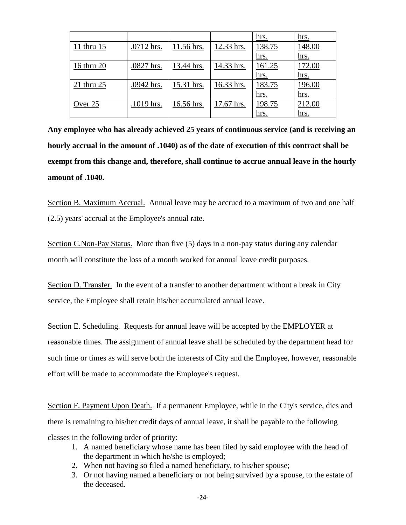|            |            |            |            | <u>hrs.</u> | hrs.        |
|------------|------------|------------|------------|-------------|-------------|
| 11 thru 15 | .0712 hrs. | 11.56 hrs. | 12.33 hrs. | 138.75      | 148.00      |
|            |            |            |            | <u>hrs.</u> | <u>hrs.</u> |
| 16 thru 20 | .0827 hrs. | 13.44 hrs. | 14.33 hrs. | 161.25      | 172.00      |
|            |            |            |            | hrs.        | <u>hrs.</u> |
| 21 thru 25 | .0942 hrs. | 15.31 hrs. | 16.33 hrs. | 183.75      | 196.00      |
|            |            |            |            | hrs.        | hrs.        |
| Over 25    | .1019 hrs. | 16.56 hrs. | 17.67 hrs. | 198.75      | 212.00      |
|            |            |            |            | <u>hrs.</u> | hrs.        |

**Any employee who has already achieved 25 years of continuous service (and is receiving an hourly accrual in the amount of .1040) as of the date of execution of this contract shall be exempt from this change and, therefore, shall continue to accrue annual leave in the hourly amount of .1040.** 

Section B. Maximum Accrual. Annual leave may be accrued to a maximum of two and one half (2.5) years' accrual at the Employee's annual rate.

Section C.Non-Pay Status. More than five (5) days in a non-pay status during any calendar month will constitute the loss of a month worked for annual leave credit purposes.

Section D. Transfer. In the event of a transfer to another department without a break in City service, the Employee shall retain his/her accumulated annual leave.

Section E. Scheduling. Requests for annual leave will be accepted by the EMPLOYER at reasonable times. The assignment of annual leave shall be scheduled by the department head for such time or times as will serve both the interests of City and the Employee, however, reasonable effort will be made to accommodate the Employee's request.

Section F. Payment Upon Death. If a permanent Employee, while in the City's service, dies and there is remaining to his/her credit days of annual leave, it shall be payable to the following classes in the following order of priority:

- 1. A named beneficiary whose name has been filed by said employee with the head of the department in which he/she is employed;
- 2. When not having so filed a named beneficiary, to his/her spouse;
- 3. Or not having named a beneficiary or not being survived by a spouse, to the estate of the deceased.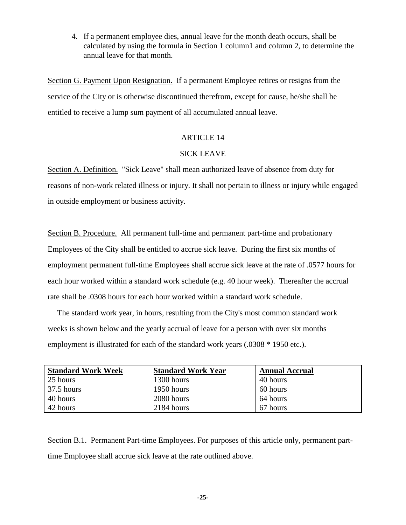4. If a permanent employee dies, annual leave for the month death occurs, shall be calculated by using the formula in Section 1 column1 and column 2, to determine the annual leave for that month.

Section G. Payment Upon Resignation. If a permanent Employee retires or resigns from the service of the City or is otherwise discontinued therefrom, except for cause, he/she shall be entitled to receive a lump sum payment of all accumulated annual leave.

## ARTICLE 14

# SICK LEAVE

Section A. Definition. "Sick Leave" shall mean authorized leave of absence from duty for reasons of non-work related illness or injury. It shall not pertain to illness or injury while engaged in outside employment or business activity.

Section B. Procedure. All permanent full-time and permanent part-time and probationary Employees of the City shall be entitled to accrue sick leave. During the first six months of employment permanent full-time Employees shall accrue sick leave at the rate of .0577 hours for each hour worked within a standard work schedule (e.g. 40 hour week). Thereafter the accrual rate shall be .0308 hours for each hour worked within a standard work schedule.

The standard work year, in hours, resulting from the City's most common standard work weeks is shown below and the yearly accrual of leave for a person with over six months employment is illustrated for each of the standard work years (.0308 \* 1950 etc.).

| <b>Standard Work Week</b> | <b>Standard Work Year</b> | <b>Annual Accrual</b> |
|---------------------------|---------------------------|-----------------------|
| 25 hours                  | 1300 hours                | 40 hours              |
| $37.5$ hours              | 1950 hours                | 60 hours              |
| 40 hours                  | 2080 hours                | 64 hours              |
| 42 hours                  | 2184 hours                | 67 hours              |

Section B.1. Permanent Part-time Employees. For purposes of this article only, permanent parttime Employee shall accrue sick leave at the rate outlined above.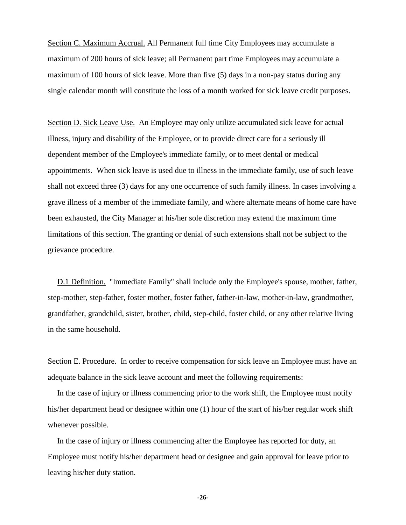Section C. Maximum Accrual. All Permanent full time City Employees may accumulate a maximum of 200 hours of sick leave; all Permanent part time Employees may accumulate a maximum of 100 hours of sick leave. More than five (5) days in a non-pay status during any single calendar month will constitute the loss of a month worked for sick leave credit purposes.

Section D. Sick Leave Use. An Employee may only utilize accumulated sick leave for actual illness, injury and disability of the Employee, or to provide direct care for a seriously ill dependent member of the Employee's immediate family, or to meet dental or medical appointments. When sick leave is used due to illness in the immediate family, use of such leave shall not exceed three (3) days for any one occurrence of such family illness. In cases involving a grave illness of a member of the immediate family, and where alternate means of home care have been exhausted, the City Manager at his/her sole discretion may extend the maximum time limitations of this section. The granting or denial of such extensions shall not be subject to the grievance procedure.

D.1 Definition. "Immediate Family" shall include only the Employee's spouse, mother, father, step-mother, step-father, foster mother, foster father, father-in-law, mother-in-law, grandmother, grandfather, grandchild, sister, brother, child, step-child, foster child, or any other relative living in the same household.

Section E. Procedure. In order to receive compensation for sick leave an Employee must have an adequate balance in the sick leave account and meet the following requirements:

In the case of injury or illness commencing prior to the work shift, the Employee must notify his/her department head or designee within one (1) hour of the start of his/her regular work shift whenever possible.

In the case of injury or illness commencing after the Employee has reported for duty, an Employee must notify his/her department head or designee and gain approval for leave prior to leaving his/her duty station.

**-26-**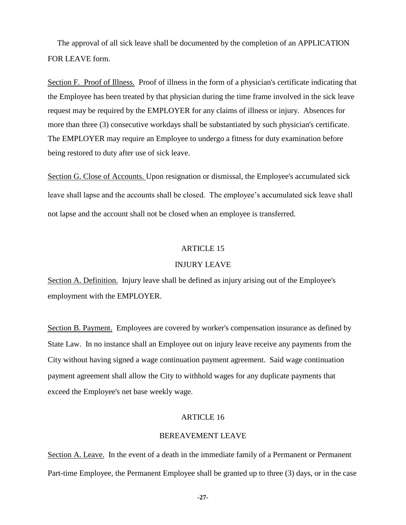The approval of all sick leave shall be documented by the completion of an APPLICATION FOR LEAVE form.

Section F. Proof of Illness. Proof of illness in the form of a physician's certificate indicating that the Employee has been treated by that physician during the time frame involved in the sick leave request may be required by the EMPLOYER for any claims of illness or injury. Absences for more than three (3) consecutive workdays shall be substantiated by such physician's certificate. The EMPLOYER may require an Employee to undergo a fitness for duty examination before being restored to duty after use of sick leave.

Section G. Close of Accounts. Upon resignation or dismissal, the Employee's accumulated sick leave shall lapse and the accounts shall be closed. The employee's accumulated sick leave shall not lapse and the account shall not be closed when an employee is transferred.

## ARTICLE 15

#### INJURY LEAVE

Section A. Definition. Injury leave shall be defined as injury arising out of the Employee's employment with the EMPLOYER.

Section B. Payment. Employees are covered by worker's compensation insurance as defined by State Law. In no instance shall an Employee out on injury leave receive any payments from the City without having signed a wage continuation payment agreement. Said wage continuation payment agreement shall allow the City to withhold wages for any duplicate payments that exceed the Employee's net base weekly wage.

#### ARTICLE 16

#### BEREAVEMENT LEAVE

Section A. Leave. In the event of a death in the immediate family of a Permanent or Permanent Part-time Employee, the Permanent Employee shall be granted up to three (3) days, or in the case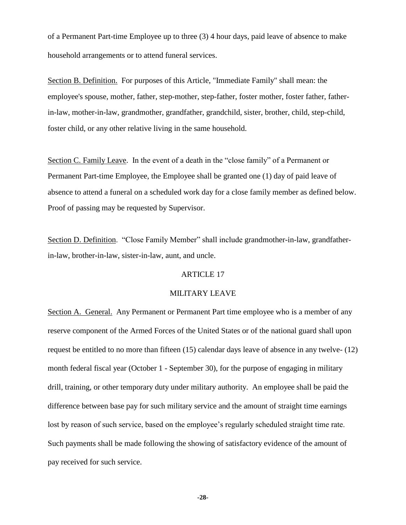of a Permanent Part-time Employee up to three (3) 4 hour days, paid leave of absence to make household arrangements or to attend funeral services.

Section B. Definition. For purposes of this Article, "Immediate Family" shall mean: the employee's spouse, mother, father, step-mother, step-father, foster mother, foster father, fatherin-law, mother-in-law, grandmother, grandfather, grandchild, sister, brother, child, step-child, foster child, or any other relative living in the same household.

Section C. Family Leave. In the event of a death in the "close family" of a Permanent or Permanent Part-time Employee, the Employee shall be granted one (1) day of paid leave of absence to attend a funeral on a scheduled work day for a close family member as defined below. Proof of passing may be requested by Supervisor.

Section D. Definition. "Close Family Member" shall include grandmother-in-law, grandfatherin-law, brother-in-law, sister-in-law, aunt, and uncle.

# ARTICLE 17

## MILITARY LEAVE

Section A. General. Any Permanent or Permanent Part time employee who is a member of any reserve component of the Armed Forces of the United States or of the national guard shall upon request be entitled to no more than fifteen (15) calendar days leave of absence in any twelve- (12) month federal fiscal year (October 1 - September 30), for the purpose of engaging in military drill, training, or other temporary duty under military authority. An employee shall be paid the difference between base pay for such military service and the amount of straight time earnings lost by reason of such service, based on the employee's regularly scheduled straight time rate. Such payments shall be made following the showing of satisfactory evidence of the amount of pay received for such service.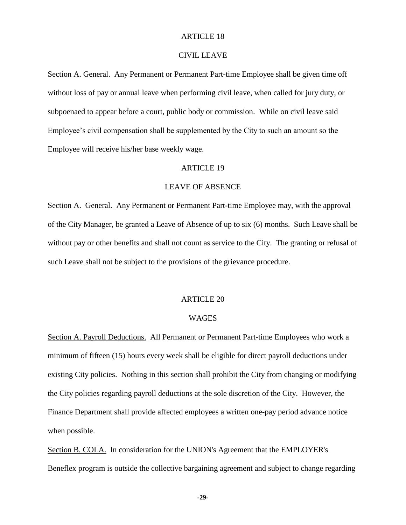### CIVIL LEAVE

Section A. General. Any Permanent or Permanent Part-time Employee shall be given time off without loss of pay or annual leave when performing civil leave, when called for jury duty, or subpoenaed to appear before a court, public body or commission. While on civil leave said Employee's civil compensation shall be supplemented by the City to such an amount so the Employee will receive his/her base weekly wage.

## ARTICLE 19

## LEAVE OF ABSENCE

Section A. General. Any Permanent or Permanent Part-time Employee may, with the approval of the City Manager, be granted a Leave of Absence of up to six (6) months. Such Leave shall be without pay or other benefits and shall not count as service to the City. The granting or refusal of such Leave shall not be subject to the provisions of the grievance procedure.

## ARTICLE 20

### WAGES

Section A. Payroll Deductions. All Permanent or Permanent Part-time Employees who work a minimum of fifteen (15) hours every week shall be eligible for direct payroll deductions under existing City policies. Nothing in this section shall prohibit the City from changing or modifying the City policies regarding payroll deductions at the sole discretion of the City. However, the Finance Department shall provide affected employees a written one-pay period advance notice when possible.

Section B. COLA. In consideration for the UNION's Agreement that the EMPLOYER's Beneflex program is outside the collective bargaining agreement and subject to change regarding

**-29-**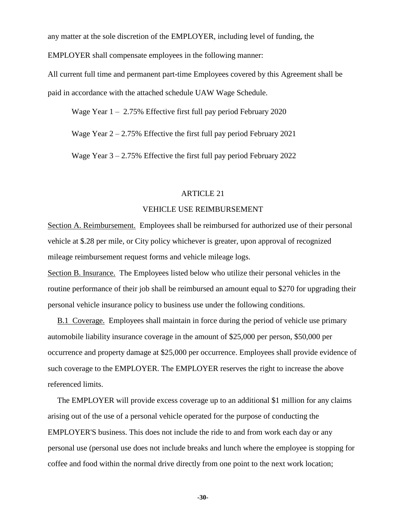any matter at the sole discretion of the EMPLOYER, including level of funding, the

EMPLOYER shall compensate employees in the following manner:

All current full time and permanent part-time Employees covered by this Agreement shall be paid in accordance with the attached schedule UAW Wage Schedule.

Wage Year  $1 - 2.75\%$  Effective first full pay period February 2020

Wage Year  $2 - 2.75\%$  Effective the first full pay period February 2021

Wage Year 3 – 2.75% Effective the first full pay period February 2022

## ARTICLE 21

### VEHICLE USE REIMBURSEMENT

Section A. Reimbursement. Employees shall be reimbursed for authorized use of their personal vehicle at \$.28 per mile, or City policy whichever is greater, upon approval of recognized mileage reimbursement request forms and vehicle mileage logs.

Section B. Insurance. The Employees listed below who utilize their personal vehicles in the routine performance of their job shall be reimbursed an amount equal to \$270 for upgrading their personal vehicle insurance policy to business use under the following conditions.

B.1 Coverage. Employees shall maintain in force during the period of vehicle use primary automobile liability insurance coverage in the amount of \$25,000 per person, \$50,000 per occurrence and property damage at \$25,000 per occurrence. Employees shall provide evidence of such coverage to the EMPLOYER. The EMPLOYER reserves the right to increase the above referenced limits.

The EMPLOYER will provide excess coverage up to an additional \$1 million for any claims arising out of the use of a personal vehicle operated for the purpose of conducting the EMPLOYER'S business. This does not include the ride to and from work each day or any personal use (personal use does not include breaks and lunch where the employee is stopping for coffee and food within the normal drive directly from one point to the next work location;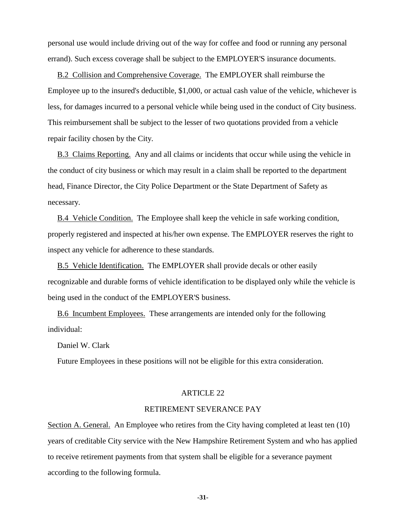personal use would include driving out of the way for coffee and food or running any personal errand). Such excess coverage shall be subject to the EMPLOYER'S insurance documents.

B.2 Collision and Comprehensive Coverage. The EMPLOYER shall reimburse the Employee up to the insured's deductible, \$1,000, or actual cash value of the vehicle, whichever is less, for damages incurred to a personal vehicle while being used in the conduct of City business. This reimbursement shall be subject to the lesser of two quotations provided from a vehicle repair facility chosen by the City.

B.3 Claims Reporting. Any and all claims or incidents that occur while using the vehicle in the conduct of city business or which may result in a claim shall be reported to the department head, Finance Director, the City Police Department or the State Department of Safety as necessary.

B.4 Vehicle Condition. The Employee shall keep the vehicle in safe working condition, properly registered and inspected at his/her own expense. The EMPLOYER reserves the right to inspect any vehicle for adherence to these standards.

B.5 Vehicle Identification. The EMPLOYER shall provide decals or other easily recognizable and durable forms of vehicle identification to be displayed only while the vehicle is being used in the conduct of the EMPLOYER'S business.

B.6 Incumbent Employees. These arrangements are intended only for the following individual:

Daniel W. Clark

Future Employees in these positions will not be eligible for this extra consideration.

#### ARTICLE 22

### RETIREMENT SEVERANCE PAY

Section A. General. An Employee who retires from the City having completed at least ten (10) years of creditable City service with the New Hampshire Retirement System and who has applied to receive retirement payments from that system shall be eligible for a severance payment according to the following formula.

**-31-**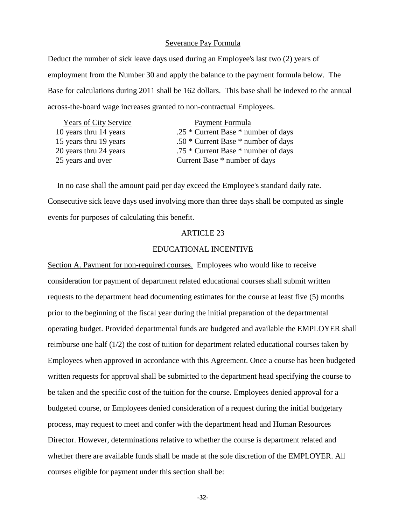#### Severance Pay Formula

Deduct the number of sick leave days used during an Employee's last two (2) years of employment from the Number 30 and apply the balance to the payment formula below. The Base for calculations during 2011 shall be 162 dollars. This base shall be indexed to the annual across-the-board wage increases granted to non-contractual Employees.

| <b>Years of City Service</b> | <b>Payment Formula</b>                  |
|------------------------------|-----------------------------------------|
| 10 years thru 14 years       | .25 $*$ Current Base $*$ number of days |
| 15 years thru 19 years       | .50 $*$ Current Base $*$ number of days |
| 20 years thru 24 years       | .75 * Current Base * number of days     |
| 25 years and over            | Current Base * number of days           |
|                              |                                         |

In no case shall the amount paid per day exceed the Employee's standard daily rate. Consecutive sick leave days used involving more than three days shall be computed as single events for purposes of calculating this benefit.

### ARTICLE 23

#### EDUCATIONAL INCENTIVE

Section A. Payment for non-required courses. Employees who would like to receive consideration for payment of department related educational courses shall submit written requests to the department head documenting estimates for the course at least five (5) months prior to the beginning of the fiscal year during the initial preparation of the departmental operating budget. Provided departmental funds are budgeted and available the EMPLOYER shall reimburse one half (1/2) the cost of tuition for department related educational courses taken by Employees when approved in accordance with this Agreement. Once a course has been budgeted written requests for approval shall be submitted to the department head specifying the course to be taken and the specific cost of the tuition for the course. Employees denied approval for a budgeted course, or Employees denied consideration of a request during the initial budgetary process, may request to meet and confer with the department head and Human Resources Director. However, determinations relative to whether the course is department related and whether there are available funds shall be made at the sole discretion of the EMPLOYER. All courses eligible for payment under this section shall be: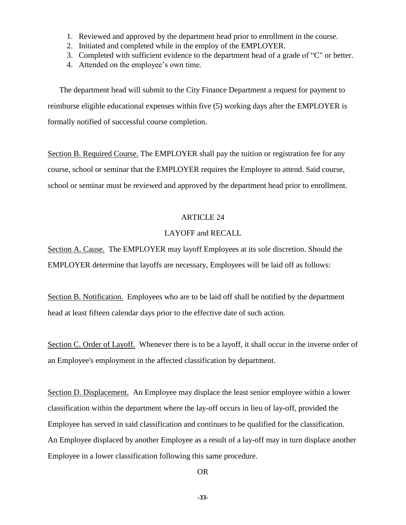- 1. Reviewed and approved by the department head prior to enrollment in the course.
- 2. Initiated and completed while in the employ of the EMPLOYER.
- 3. Completed with sufficient evidence to the department head of a grade of "C" or better.
- 4. Attended on the employee's own time.

The department head will submit to the City Finance Department a request for payment to reimburse eligible educational expenses within five (5) working days after the EMPLOYER is formally notified of successful course completion.

Section B. Required Course. The EMPLOYER shall pay the tuition or registration fee for any course, school or seminar that the EMPLOYER requires the Employee to attend. Said course, school or seminar must be reviewed and approved by the department head prior to enrollment.

## ARTICLE 24

## LAYOFF and RECALL

Section A. Cause. The EMPLOYER may layoff Employees at its sole discretion. Should the EMPLOYER determine that layoffs are necessary, Employees will be laid off as follows:

Section B. Notification. Employees who are to be laid off shall be notified by the department head at least fifteen calendar days prior to the effective date of such action.

Section C. Order of Layoff. Whenever there is to be a layoff, it shall occur in the inverse order of an Employee's employment in the affected classification by department.

Section D. Displacement. An Employee may displace the least senior employee within a lower classification within the department where the lay-off occurs in lieu of lay-off, provided the Employee has served in said classification and continues to be qualified for the classification. An Employee displaced by another Employee as a result of a lay-off may in turn displace another Employee in a lower classification following this same procedure.

OR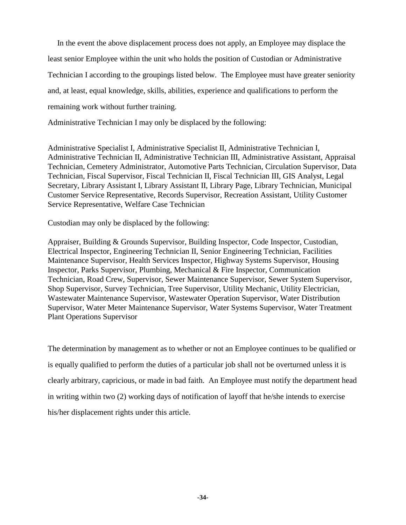In the event the above displacement process does not apply, an Employee may displace the least senior Employee within the unit who holds the position of Custodian or Administrative Technician I according to the groupings listed below. The Employee must have greater seniority and, at least, equal knowledge, skills, abilities, experience and qualifications to perform the remaining work without further training.

Administrative Technician I may only be displaced by the following:

Administrative Specialist I, Administrative Specialist II, Administrative Technician I, Administrative Technician II, Administrative Technician III, Administrative Assistant, Appraisal Technician, Cemetery Administrator, Automotive Parts Technician, Circulation Supervisor, Data Technician, Fiscal Supervisor, Fiscal Technician II, Fiscal Technician III, GIS Analyst, Legal Secretary, Library Assistant I, Library Assistant II, Library Page, Library Technician, Municipal Customer Service Representative, Records Supervisor, Recreation Assistant, Utility Customer Service Representative, Welfare Case Technician

Custodian may only be displaced by the following:

Appraiser, Building & Grounds Supervisor, Building Inspector, Code Inspector, Custodian, Electrical Inspector, Engineering Technician II, Senior Engineering Technician, Facilities Maintenance Supervisor, Health Services Inspector, Highway Systems Supervisor, Housing Inspector, Parks Supervisor, Plumbing, Mechanical & Fire Inspector, Communication Technician, Road Crew, Supervisor, Sewer Maintenance Supervisor, Sewer System Supervisor, Shop Supervisor, Survey Technician, Tree Supervisor, Utility Mechanic, Utility Electrician, Wastewater Maintenance Supervisor, Wastewater Operation Supervisor, Water Distribution Supervisor, Water Meter Maintenance Supervisor, Water Systems Supervisor, Water Treatment Plant Operations Supervisor

The determination by management as to whether or not an Employee continues to be qualified or is equally qualified to perform the duties of a particular job shall not be overturned unless it is clearly arbitrary, capricious, or made in bad faith. An Employee must notify the department head in writing within two (2) working days of notification of layoff that he/she intends to exercise his/her displacement rights under this article.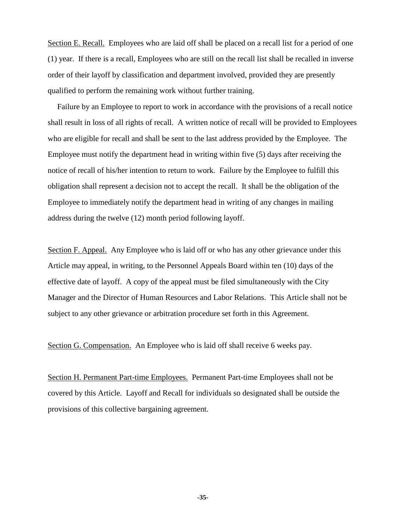Section E. Recall. Employees who are laid off shall be placed on a recall list for a period of one (1) year. If there is a recall, Employees who are still on the recall list shall be recalled in inverse order of their layoff by classification and department involved, provided they are presently qualified to perform the remaining work without further training.

Failure by an Employee to report to work in accordance with the provisions of a recall notice shall result in loss of all rights of recall. A written notice of recall will be provided to Employees who are eligible for recall and shall be sent to the last address provided by the Employee. The Employee must notify the department head in writing within five (5) days after receiving the notice of recall of his/her intention to return to work. Failure by the Employee to fulfill this obligation shall represent a decision not to accept the recall. It shall be the obligation of the Employee to immediately notify the department head in writing of any changes in mailing address during the twelve (12) month period following layoff.

Section F. Appeal. Any Employee who is laid off or who has any other grievance under this Article may appeal, in writing, to the Personnel Appeals Board within ten (10) days of the effective date of layoff. A copy of the appeal must be filed simultaneously with the City Manager and the Director of Human Resources and Labor Relations. This Article shall not be subject to any other grievance or arbitration procedure set forth in this Agreement.

Section G. Compensation. An Employee who is laid off shall receive 6 weeks pay.

Section H. Permanent Part-time Employees. Permanent Part-time Employees shall not be covered by this Article. Layoff and Recall for individuals so designated shall be outside the provisions of this collective bargaining agreement.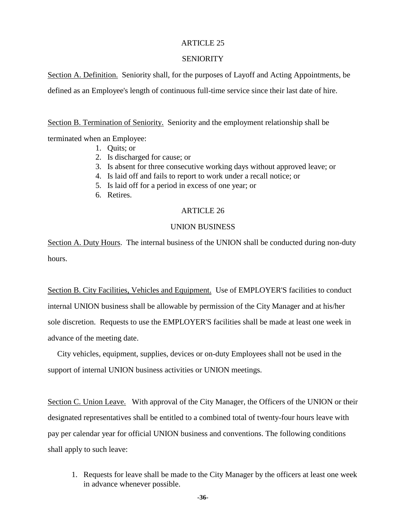## SENIORITY

Section A. Definition. Seniority shall, for the purposes of Layoff and Acting Appointments, be defined as an Employee's length of continuous full-time service since their last date of hire.

Section B. Termination of Seniority. Seniority and the employment relationship shall be

terminated when an Employee:

- 1. Quits; or
- 2. Is discharged for cause; or
- 3. Is absent for three consecutive working days without approved leave; or
- 4. Is laid off and fails to report to work under a recall notice; or
- 5. Is laid off for a period in excess of one year; or
- 6. Retires.

## ARTICLE 26

## UNION BUSINESS

Section A. Duty Hours. The internal business of the UNION shall be conducted during non-duty hours.

Section B. City Facilities, Vehicles and Equipment. Use of EMPLOYER'S facilities to conduct internal UNION business shall be allowable by permission of the City Manager and at his/her sole discretion. Requests to use the EMPLOYER'S facilities shall be made at least one week in advance of the meeting date.

City vehicles, equipment, supplies, devices or on-duty Employees shall not be used in the support of internal UNION business activities or UNION meetings.

Section C. Union Leave. With approval of the City Manager, the Officers of the UNION or their designated representatives shall be entitled to a combined total of twenty-four hours leave with pay per calendar year for official UNION business and conventions. The following conditions shall apply to such leave:

1. Requests for leave shall be made to the City Manager by the officers at least one week in advance whenever possible.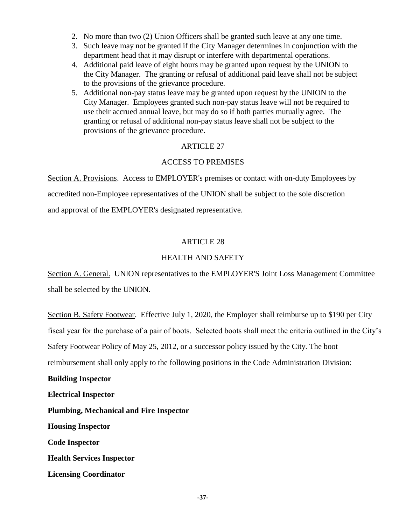- 2. No more than two (2) Union Officers shall be granted such leave at any one time.
- 3. Such leave may not be granted if the City Manager determines in conjunction with the department head that it may disrupt or interfere with departmental operations.
- 4. Additional paid leave of eight hours may be granted upon request by the UNION to the City Manager. The granting or refusal of additional paid leave shall not be subject to the provisions of the grievance procedure.
- 5. Additional non-pay status leave may be granted upon request by the UNION to the City Manager. Employees granted such non-pay status leave will not be required to use their accrued annual leave, but may do so if both parties mutually agree. The granting or refusal of additional non-pay status leave shall not be subject to the provisions of the grievance procedure.

# ACCESS TO PREMISES

Section A. Provisions. Access to EMPLOYER's premises or contact with on-duty Employees by accredited non-Employee representatives of the UNION shall be subject to the sole discretion and approval of the EMPLOYER's designated representative.

## ARTICLE 28

## HEALTH AND SAFETY

Section A. General. UNION representatives to the EMPLOYER'S Joint Loss Management Committee shall be selected by the UNION.

Section B. Safety Footwear. Effective July 1, 2020, the Employer shall reimburse up to \$190 per City fiscal year for the purchase of a pair of boots. Selected boots shall meet the criteria outlined in the City's Safety Footwear Policy of May 25, 2012, or a successor policy issued by the City. The boot reimbursement shall only apply to the following positions in the Code Administration Division:

**Building Inspector**

**Electrical Inspector Plumbing, Mechanical and Fire Inspector**

**Housing Inspector**

**Code Inspector**

**Health Services Inspector**

**Licensing Coordinator**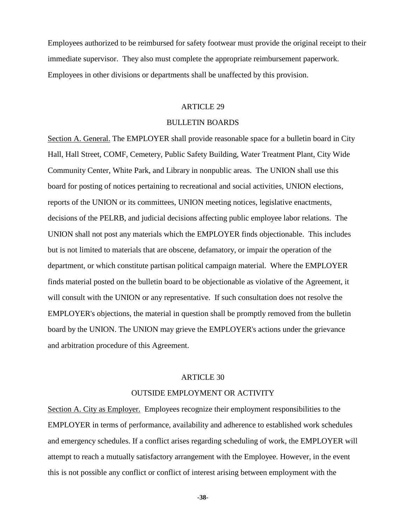Employees authorized to be reimbursed for safety footwear must provide the original receipt to their immediate supervisor. They also must complete the appropriate reimbursement paperwork. Employees in other divisions or departments shall be unaffected by this provision.

#### ARTICLE 29

#### BULLETIN BOARDS

Section A. General. The EMPLOYER shall provide reasonable space for a bulletin board in City Hall, Hall Street, COMF, Cemetery, Public Safety Building, Water Treatment Plant, City Wide Community Center, White Park, and Library in nonpublic areas. The UNION shall use this board for posting of notices pertaining to recreational and social activities, UNION elections, reports of the UNION or its committees, UNION meeting notices, legislative enactments, decisions of the PELRB, and judicial decisions affecting public employee labor relations. The UNION shall not post any materials which the EMPLOYER finds objectionable. This includes but is not limited to materials that are obscene, defamatory, or impair the operation of the department, or which constitute partisan political campaign material. Where the EMPLOYER finds material posted on the bulletin board to be objectionable as violative of the Agreement, it will consult with the UNION or any representative. If such consultation does not resolve the EMPLOYER's objections, the material in question shall be promptly removed from the bulletin board by the UNION. The UNION may grieve the EMPLOYER's actions under the grievance and arbitration procedure of this Agreement.

#### ARTICLE 30

#### OUTSIDE EMPLOYMENT OR ACTIVITY

Section A. City as Employer. Employees recognize their employment responsibilities to the EMPLOYER in terms of performance, availability and adherence to established work schedules and emergency schedules. If a conflict arises regarding scheduling of work, the EMPLOYER will attempt to reach a mutually satisfactory arrangement with the Employee. However, in the event this is not possible any conflict or conflict of interest arising between employment with the

**-38-**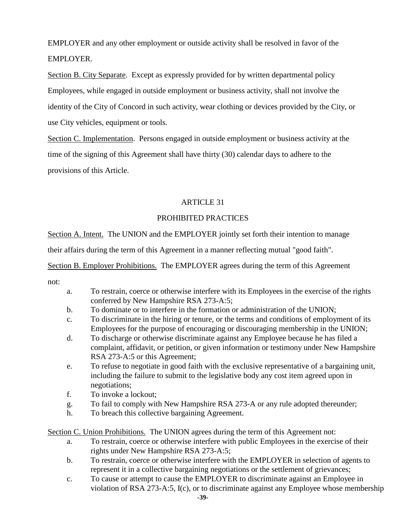EMPLOYER and any other employment or outside activity shall be resolved in favor of the EMPLOYER.

Section B. City Separate. Except as expressly provided for by written departmental policy Employees, while engaged in outside employment or business activity, shall not involve the identity of the City of Concord in such activity, wear clothing or devices provided by the City, or use City vehicles, equipment or tools.

Section C. Implementation. Persons engaged in outside employment or business activity at the time of the signing of this Agreement shall have thirty (30) calendar days to adhere to the provisions of this Article.

# ARTICLE 31

# PROHIBITED PRACTICES

Section A. Intent. The UNION and the EMPLOYER jointly set forth their intention to manage

their affairs during the term of this Agreement in a manner reflecting mutual "good faith".

Section B. Employer Prohibitions. The EMPLOYER agrees during the term of this Agreement

not:

- a. To restrain, coerce or otherwise interfere with its Employees in the exercise of the rights conferred by New Hampshire RSA 273-A:5;
- b. To dominate or to interfere in the formation or administration of the UNION;
- c. To discriminate in the hiring or tenure, or the terms and conditions of employment of its Employees for the purpose of encouraging or discouraging membership in the UNION;
- d. To discharge or otherwise discriminate against any Employee because he has filed a complaint, affidavit, or petition, or given information or testimony under New Hampshire RSA 273-A:5 or this Agreement;
- e. To refuse to negotiate in good faith with the exclusive representative of a bargaining unit, including the failure to submit to the legislative body any cost item agreed upon in negotiations;
- f. To invoke a lockout;
- g. To fail to comply with New Hampshire RSA 273-A or any rule adopted thereunder;
- h. To breach this collective bargaining Agreement.

Section C. Union Prohibitions. The UNION agrees during the term of this Agreement not:

- a. To restrain, coerce or otherwise interfere with public Employees in the exercise of their rights under New Hampshire RSA 273-A:5;
- b. To restrain, coerce or otherwise interfere with the EMPLOYER in selection of agents to represent it in a collective bargaining negotiations or the settlement of grievances;
- c. To cause or attempt to cause the EMPLOYER to discriminate against an Employee in violation of RSA 273-A:5, I(c), or to discriminate against any Employee whose membership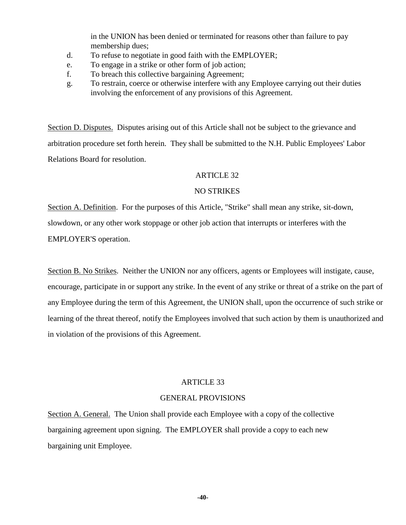in the UNION has been denied or terminated for reasons other than failure to pay membership dues;

- d. To refuse to negotiate in good faith with the EMPLOYER;
- e. To engage in a strike or other form of job action;
- f. To breach this collective bargaining Agreement;
- g. To restrain, coerce or otherwise interfere with any Employee carrying out their duties involving the enforcement of any provisions of this Agreement.

Section D. Disputes. Disputes arising out of this Article shall not be subject to the grievance and arbitration procedure set forth herein. They shall be submitted to the N.H. Public Employees' Labor Relations Board for resolution.

## ARTICLE 32

## NO STRIKES

Section A. Definition. For the purposes of this Article, "Strike" shall mean any strike, sit-down, slowdown, or any other work stoppage or other job action that interrupts or interferes with the EMPLOYER'S operation.

Section B. No Strikes. Neither the UNION nor any officers, agents or Employees will instigate, cause, encourage, participate in or support any strike. In the event of any strike or threat of a strike on the part of any Employee during the term of this Agreement, the UNION shall, upon the occurrence of such strike or learning of the threat thereof, notify the Employees involved that such action by them is unauthorized and in violation of the provisions of this Agreement.

## ARTICLE 33

## GENERAL PROVISIONS

Section A. General. The Union shall provide each Employee with a copy of the collective bargaining agreement upon signing. The EMPLOYER shall provide a copy to each new bargaining unit Employee.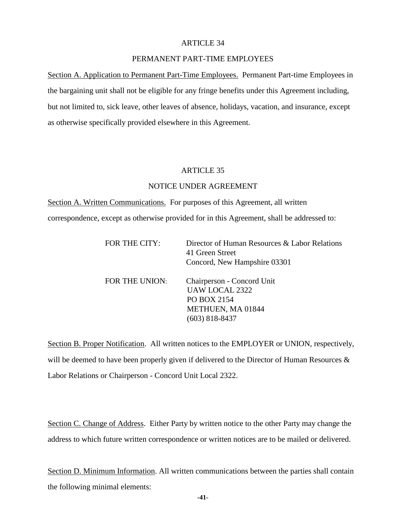### PERMANENT PART-TIME EMPLOYEES

Section A. Application to Permanent Part-Time Employees. Permanent Part-time Employees in the bargaining unit shall not be eligible for any fringe benefits under this Agreement including, but not limited to, sick leave, other leaves of absence, holidays, vacation, and insurance, except as otherwise specifically provided elsewhere in this Agreement.

#### ARTICLE 35

### NOTICE UNDER AGREEMENT

Section A. Written Communications. For purposes of this Agreement, all written correspondence, except as otherwise provided for in this Agreement, shall be addressed to:

| FOR THE CITY:  | Director of Human Resources & Labor Relations<br>41 Green Street<br>Concord, New Hampshire 03301 |
|----------------|--------------------------------------------------------------------------------------------------|
| FOR THE UNION: | Chairperson - Concord Unit                                                                       |
|                | <b>UAW LOCAL 2322</b><br>PO BOX 2154                                                             |
|                | METHUEN, MA 01844                                                                                |
|                | (603) 818-8437                                                                                   |

Section B. Proper Notification. All written notices to the EMPLOYER or UNION, respectively, will be deemed to have been properly given if delivered to the Director of Human Resources & Labor Relations or Chairperson - Concord Unit Local 2322.

Section C. Change of Address. Either Party by written notice to the other Party may change the address to which future written correspondence or written notices are to be mailed or delivered.

Section D. Minimum Information. All written communications between the parties shall contain the following minimal elements: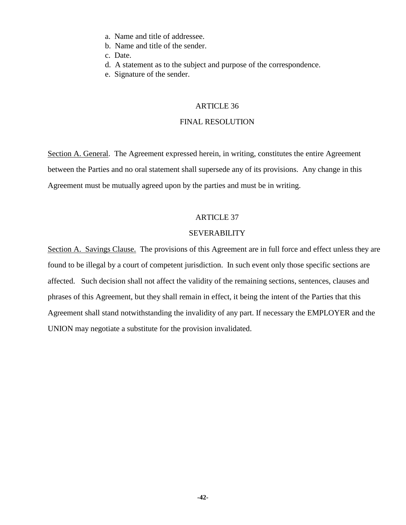- a. Name and title of addressee.
- b. Name and title of the sender.
- c. Date.
- d. A statement as to the subject and purpose of the correspondence.
- e. Signature of the sender.

## FINAL RESOLUTION

Section A. General. The Agreement expressed herein, in writing, constitutes the entire Agreement between the Parties and no oral statement shall supersede any of its provisions. Any change in this Agreement must be mutually agreed upon by the parties and must be in writing.

### ARTICLE 37

### SEVERABILITY

Section A. Savings Clause. The provisions of this Agreement are in full force and effect unless they are found to be illegal by a court of competent jurisdiction. In such event only those specific sections are affected. Such decision shall not affect the validity of the remaining sections, sentences, clauses and phrases of this Agreement, but they shall remain in effect, it being the intent of the Parties that this Agreement shall stand notwithstanding the invalidity of any part. If necessary the EMPLOYER and the UNION may negotiate a substitute for the provision invalidated.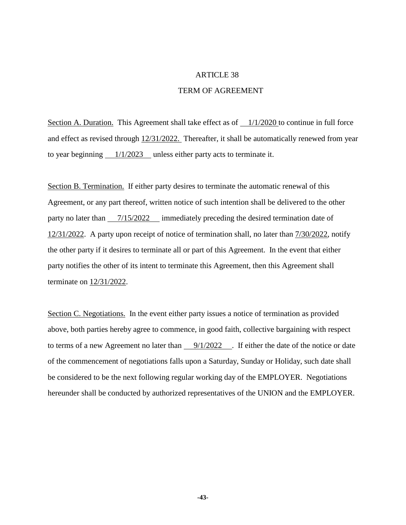#### TERM OF AGREEMENT

Section A. Duration. This Agreement shall take effect as of  $\frac{1}{1/2020}$  to continue in full force and effect as revised through 12/31/2022. Thereafter, it shall be automatically renewed from year to year beginning  $\frac{1}{1/2023}$  unless either party acts to terminate it.

Section B. Termination. If either party desires to terminate the automatic renewal of this Agreement, or any part thereof, written notice of such intention shall be delivered to the other party no later than  $\frac{7}{15/2022}$  immediately preceding the desired termination date of 12/31/2022. A party upon receipt of notice of termination shall, no later than 7/30/2022, notify the other party if it desires to terminate all or part of this Agreement. In the event that either party notifies the other of its intent to terminate this Agreement, then this Agreement shall terminate on 12/31/2022.

Section C. Negotiations. In the event either party issues a notice of termination as provided above, both parties hereby agree to commence, in good faith, collective bargaining with respect to terms of a new Agreement no later than  $\frac{9}{1/2022}$ . If either the date of the notice or date of the commencement of negotiations falls upon a Saturday, Sunday or Holiday, such date shall be considered to be the next following regular working day of the EMPLOYER. Negotiations hereunder shall be conducted by authorized representatives of the UNION and the EMPLOYER.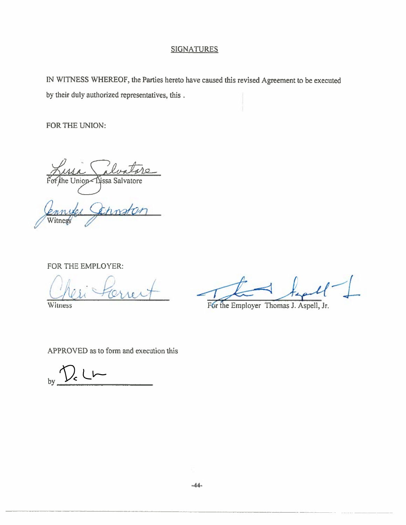# **SIGNATURES**

IN WITNESS WHEREOF, the Parties hereto have caused this revised Agreement to be executed by their duly authorized representatives, this.

FOR THE UNION:

he Union Lissa Salvatore

hostar Witness

FOR THE EMPLOYER:

Witness

For the Employer Thomas J. Aspell, Jr.

APPROVED as to form and execution this

 $_{by}$   $\sqrt{2}$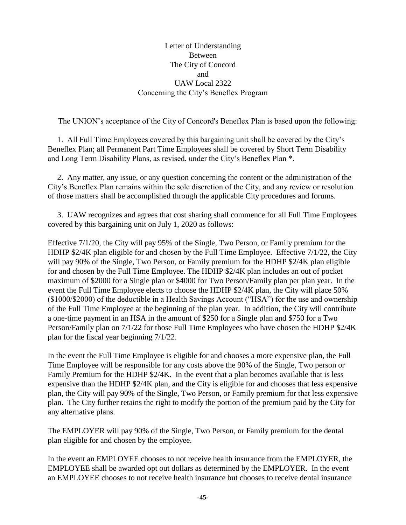Letter of Understanding Between The City of Concord and UAW Local 2322 Concerning the City's Beneflex Program

The UNION's acceptance of the City of Concord's Beneflex Plan is based upon the following:

1. All Full Time Employees covered by this bargaining unit shall be covered by the City's Beneflex Plan; all Permanent Part Time Employees shall be covered by Short Term Disability and Long Term Disability Plans, as revised, under the City's Beneflex Plan \*.

2. Any matter, any issue, or any question concerning the content or the administration of the City's Beneflex Plan remains within the sole discretion of the City, and any review or resolution of those matters shall be accomplished through the applicable City procedures and forums.

3. UAW recognizes and agrees that cost sharing shall commence for all Full Time Employees covered by this bargaining unit on July 1, 2020 as follows:

Effective 7/1/20, the City will pay 95% of the Single, Two Person, or Family premium for the HDHP \$2/4K plan eligible for and chosen by the Full Time Employee. Effective 7/1/22, the City will pay 90% of the Single, Two Person, or Family premium for the HDHP \$2/4K plan eligible for and chosen by the Full Time Employee. The HDHP \$2/4K plan includes an out of pocket maximum of \$2000 for a Single plan or \$4000 for Two Person/Family plan per plan year. In the event the Full Time Employee elects to choose the HDHP \$2/4K plan, the City will place 50% (\$1000/\$2000) of the deductible in a Health Savings Account ("HSA") for the use and ownership of the Full Time Employee at the beginning of the plan year. In addition, the City will contribute a one-time payment in an HSA in the amount of \$250 for a Single plan and \$750 for a Two Person/Family plan on 7/1/22 for those Full Time Employees who have chosen the HDHP \$2/4K plan for the fiscal year beginning 7/1/22.

In the event the Full Time Employee is eligible for and chooses a more expensive plan, the Full Time Employee will be responsible for any costs above the 90% of the Single, Two person or Family Premium for the HDHP \$2/4K. In the event that a plan becomes available that is less expensive than the HDHP \$2/4K plan, and the City is eligible for and chooses that less expensive plan, the City will pay 90% of the Single, Two Person, or Family premium for that less expensive plan. The City further retains the right to modify the portion of the premium paid by the City for any alternative plans.

The EMPLOYER will pay 90% of the Single, Two Person, or Family premium for the dental plan eligible for and chosen by the employee.

In the event an EMPLOYEE chooses to not receive health insurance from the EMPLOYER, the EMPLOYEE shall be awarded opt out dollars as determined by the EMPLOYER. In the event an EMPLOYEE chooses to not receive health insurance but chooses to receive dental insurance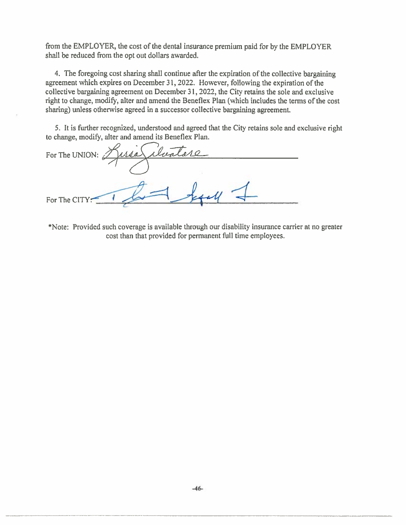from the EMPLOYER, the cost of the dental insurance premium paid for by the EMPLOYER shall be reduced from the opt out dollars awarded.

4. The foregoing cost sharing shall continue after the expiration of the collective bargaining agreement which expires on December 31, 2022. However, following the expiration of the collective bargaining agreement on December 31, 2022, the City retains the sole and exclusive right to change, modify, alter and amend the Beneflex Plan (which includes the terms of the cost sharing) unless otherwise agreed in a successor collective bargaining agreement.

5. It is further recognized, understood and agreed that the City retains sole and exclusive right to change, modify, alter and amend its Beneflex Plan.

For The UNION: For The CIT

\*Note: Provided such coverage is available through our disability insurance carrier at no greater cost than that provided for permanent full time employees.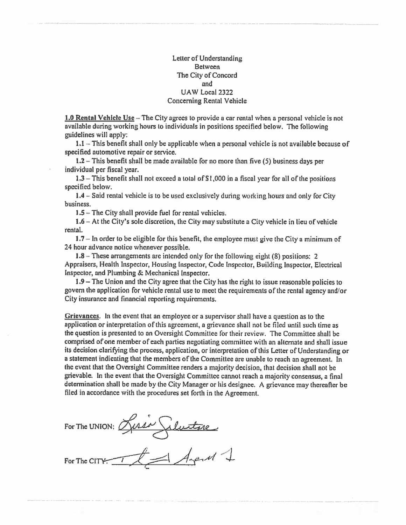Letter of Understanding **Between** The City of Concord and UAW Local 2322 **Concerning Rental Vehicle** 

1.0 Rental Vehicle Use – The City agrees to provide a car rental when a personal vehicle is not available during working hours to individuals in positions specified below. The following guidelines will apply:

 $1.1$  – This benefit shall only be applicable when a personal vehicle is not available because of specified automotive repair or service.

 $1.2$  – This benefit shall be made available for no more than five (5) business days per individual per fiscal year.

 $1.3$  – This benefit shall not exceed a total of \$1,000 in a fiscal year for all of the positions specified below.

1.4 – Said rental vehicle is to be used exclusively during working hours and only for City business.

1.5 – The City shall provide fuel for rental vehicles.

1.6 – At the City's sole discretion, the City may substitute a City vehicle in lieu of vehicle rental.

1.7 - In order to be eligible for this benefit, the employee must give the City a minimum of 24 hour advance notice whenever possible.

 $1.8$  – These arrangements are intended only for the following eight (8) positions: 2 Appraisers, Health Inspector, Housing Inspector, Code Inspector, Building Inspector, Electrical Inspector, and Plumbing & Mechanical Inspector.

1.9 - The Union and the City agree that the City has the right to issue reasonable policies to govern the application for vehicle rental use to meet the requirements of the rental agency and/or City insurance and financial reporting requirements.

**Grievances.** In the event that an employee or a supervisor shall have a question as to the application or interpretation of this agreement, a grievance shall not be filed until such time as the question is presented to an Oversight Committee for their review. The Committee shall be comprised of one member of each parties negotiating committee with an alternate and shall issue its decision clarifying the process, application, or interpretation of this Letter of Understanding or a statement indicating that the members of the Committee are unable to reach an agreement. In the event that the Oversight Committee renders a majority decision, that decision shall not be grievable. In the event that the Oversight Committee cannot reach a majority consensus, a final determination shall be made by the City Manager or his designee. A grievance may thereafter be filed in accordance with the procedures set forth in the Agreement.

FOR The UNION: Lusie Selectore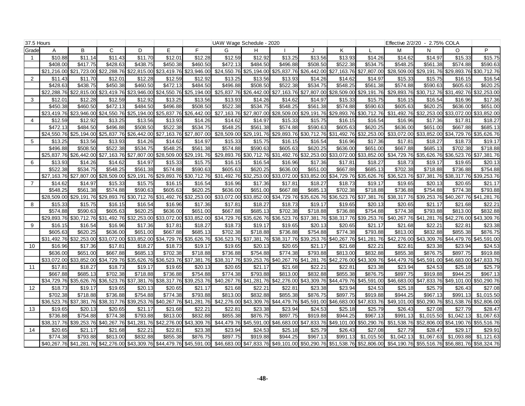| 37.5 Hours     |             |                                     |             |                                                 |             |                         | UAW Wage Schedule - 2020 |          |                         |                                                             |             |             | Effective 2/2/20 - 2.75% COLA |                         |                                     |             |
|----------------|-------------|-------------------------------------|-------------|-------------------------------------------------|-------------|-------------------------|--------------------------|----------|-------------------------|-------------------------------------------------------------|-------------|-------------|-------------------------------|-------------------------|-------------------------------------|-------------|
| Grade          | A           | B                                   | C           | D                                               | E           | E                       | G                        | H        |                         |                                                             | K           |             | M                             | N                       | $\circ$                             | P           |
|                | \$10.88     | \$11.14                             | \$11.43     | \$11.70                                         | \$12.01     | \$12.28                 | \$12.59                  | \$12.92  | \$13.25                 | \$13.56                                                     | \$13.93     | \$14.26     | \$14.62                       | \$14.97                 | \$15.33                             | \$15.75     |
|                | \$408.00    | \$417.75                            | \$428.63    | \$438.75                                        | \$450.38    | \$460.50                | \$472.13                 | \$484.50 | \$496.88                | \$508.50                                                    | \$522.38    | \$534.75    | \$548.25                      | \$561.38                | \$574.88                            | \$590.63    |
|                |             | \$21,216.00 \$21,723.00 \$22,288.76 |             | \$22,815.00                                     |             | \$23,419.76 \$23,946.00 |                          |          |                         | \$24,550.76 \$25,194.00 \$25,837.76 \$26,442.00 \$27,163.76 |             | \$27,807.00 | \$28,509.00                   |                         | \$29,191.76 \$29,893.76 \$30,712.76 |             |
| 2              | \$11.43     | \$11.70                             | \$12.0'     | \$12.28                                         | \$12.59     | \$12.92                 | \$13.25                  | \$13.56  | \$13.93                 | \$14.26                                                     | \$14.62     | \$14.97     | \$15.33                       | \$15.75                 | \$16.15                             | \$16.54     |
|                | \$428.63    | \$438.75                            | \$450.38    | \$460.50                                        | \$472.13    | \$484.50                | \$496.88                 | \$508.50 | \$522.38                | \$534.75                                                    | \$548.25    | \$561.38    | \$574.88                      | \$590.63                | \$605.63                            | \$620.25    |
|                | \$22,288.76 | \$22,815.00                         | \$23,419.76 | \$23,946.00                                     |             | \$24,550.76 \$25,194.00 | \$25,837.76              |          |                         | \$26,442.00 \$27,163.76 \$27,807.00 \$28,509.00             |             | \$29,191.76 | \$29,893.76                   |                         | \$30,712.76 \$31,492.76 \$32,253.00 |             |
| 3              | \$12.0'     | \$12.28                             | \$12.59     | \$12.92                                         | \$13.25     | \$13.56                 | \$13.93                  | \$14.26  | \$14.62                 | \$14.97                                                     | \$15.33     | \$15.75     | \$16.15                       | \$16.54                 | \$16.96                             | \$17.36     |
|                | \$450.38    | \$460.50                            | \$472.13    | \$484.50                                        | \$496.88    | \$508.50                | \$522.38                 | \$534.75 | \$548.25                | \$561.38                                                    | \$574.88    | \$590.63    | \$605.63                      | \$620.25                | \$636.00                            | \$651.00    |
|                | \$23,419.76 | \$23,946.00 \$24,550.76 \$25,194.00 |             |                                                 | \$25,837.76 | \$26,442.00             |                          |          |                         | \$27,163.76 \$27,807.00 \$28,509.00 \$29,191.76 \$29,893.76 |             | \$30,712.76 | \$31,492.76                   | \$32,253.00             | \$33,072.00 \$33,852.00             |             |
| 4              | \$12.59     | \$12.92                             | \$13.25     | \$13.56                                         | \$13.93     | \$14.26                 | \$14.62                  | \$14.97  | \$15.33                 | \$15.75                                                     | \$16.15     | \$16.54     | \$16.96                       | \$17.36                 | \$17.81                             | \$18.27     |
|                | \$472.13    | \$484.50                            | \$496.88    | \$508.50                                        | \$522.38    | \$534.75                | \$548.25                 | \$561.38 | \$574.88                | \$590.63                                                    | \$605.63    | \$620.25    | \$636.00                      | \$651.00                | \$667.88                            | \$685.13    |
|                | \$24.550.76 | \$25,194,00                         | \$25.837.76 | \$26,442.00                                     | \$27.163.76 | \$27.807.00             | \$28,509.00              |          |                         | \$29.191.76 \$29.893.76 \$30.712.76                         | \$31.492.76 | \$32,253,00 | \$33.072.00                   | \$33.852.00             | \$34.729.76                         | \$35.626.76 |
| 5              | \$13.25     | \$13.56                             | \$13.93     | \$14.26                                         | \$14.62     | \$14.97                 | \$15.33                  | \$15.75  | \$16.15                 | \$16.54                                                     | \$16.96     | \$17.36     | \$17.81                       | \$18.27                 | \$18.73                             | \$19.17     |
|                | \$496.88    | \$508.50                            | \$522.38    | \$534.75                                        | \$548.25    | \$561.38                | \$574.88                 | \$590.63 | \$605.63                | \$620.25                                                    | \$636.00    | \$651.00    | \$667.88                      | \$685.13                | \$702.38                            | \$718.88    |
|                | \$25,837.76 | \$26,442.00                         | \$27,163.76 | \$27,807.00                                     | \$28,509.00 | \$29,191.76             | \$29,893.76              |          |                         | \$30,712.76 \$31,492.76 \$32,253.00                         | \$33,072.00 | \$33,852.00 | \$34,729.76                   | \$35,626.76             | \$36,523.76 \$37,381.76             |             |
| 6              | \$13.93     | \$14.26                             | \$14.62     | \$14.97                                         | \$15.33     | \$15.75                 | \$16.15                  | \$16.54  | \$16.96                 | \$17.36                                                     | \$17.81     | \$18.27     | \$18.73                       | \$19.17                 | \$19.65                             | \$20.13     |
|                | \$522.38    | \$534.75                            | \$548.25    | \$561.38                                        | \$574.88    | \$590.63                | \$605.63                 | \$620.25 | \$636.00                | \$651.00                                                    | \$667.88    | \$685.13    | \$702.38                      | \$718.88                | \$736.88                            | \$754.88    |
|                |             | \$27.163.76 \$27.807.00             | \$28,509.00 | \$29,191.76                                     |             | \$29,893.76 \$30,712.76 | \$31,492.76              |          |                         | \$32,253,00 \$33,072,00 \$33,852,00                         | \$34.729.76 | \$35.626.76 | \$36,523.76                   | \$37,381.76             | \$38.317.76 \$39.253.76             |             |
| $\overline{7}$ | \$14.62     | \$14.97                             | \$15.33     | \$15.75                                         | \$16.15     | \$16.54                 | \$16.96                  | \$17.36  | \$17.81                 | \$18.27                                                     | \$18.73     | \$19.17     | \$19.65                       | \$20.13                 | \$20.65                             | \$21.17     |
|                | \$548.25    | \$561.38                            | \$574.88    | \$590.63                                        | \$605.63    | \$620.25                | \$636.00                 | \$651.00 | \$667.88                | \$685.13                                                    | \$702.38    | \$718.88    | \$736.88                      | \$754.88                | \$774.38                            | \$793.88    |
|                | \$28,509.00 | \$29,191.76                         | \$29,893.76 | \$30,712.76                                     | \$31,492.76 | \$32,253.00             | \$33,072.00              |          | \$33,852.00 \$34,729.76 | \$35,626.76                                                 | \$36,523.76 | \$37,381.76 | \$38,317.76                   | \$39,253.76             | \$40,267.76 \$41,281.76             |             |
| 8              | \$15.33     | \$15.75                             | \$16.15     | \$16.54                                         | \$16.96     | \$17.36                 | \$17.81                  | \$18.27  | \$18.73                 | \$19.17                                                     | \$19.65     | \$20.13     | \$20.65                       | \$21.17                 | \$21.68                             | \$22.21     |
|                | \$574.88    | \$590.63                            | \$605.63    | \$620.25                                        | \$636.00    | \$651.00                | \$667.88                 | \$685.13 | \$702.38                | \$718.88                                                    | \$736.88    | \$754.88    | \$774.38                      | \$793.88                | \$813.00                            | \$832.88    |
|                | \$29.893.76 | \$30,712.76 \$31,492.76 \$32,253.00 |             |                                                 | \$33,072.00 | \$33,852.00             | \$34,729.76              |          |                         | \$35,626.76 \$36,523.76 \$37,381.76 \$38,317.76             |             | \$39,253.76 | \$40,267.76                   |                         | \$41,281.76 \$42,276.00 \$43,309.76 |             |
| 9              | \$16.15     | \$16.54                             | \$16.96     | \$17.36                                         | \$17.81     | \$18.27                 | \$18.73                  | \$19.17  | \$19.65                 | \$20.13                                                     | \$20.65     | \$21.17     | \$21.68                       | \$22.21                 | \$22.81                             | \$23.38     |
|                | \$605.63    | \$620.25                            | \$636.00    | \$651.00                                        | \$667.88    | \$685.13                | \$702.38                 | \$718.88 | \$736.88                | \$754.88                                                    | \$774.38    | \$793.88    | \$813.00                      | \$832.88                | \$855.38                            | \$876.75    |
|                | \$31,492.76 | \$32,253.00                         | \$33,072.00 | \$33,852.00                                     | \$34,729.76 | \$35,626.76             | \$36,523.76              |          |                         | \$37,381.76 \$38,317.76 \$39,253.76 \$40,267.76             |             | \$41,281.76 | \$42,276.00                   | \$43,309.76             | \$44,479.76 \$45,591.00             |             |
| 10             | \$16.96     | \$17.36                             | \$17.81     | \$18.27                                         | \$18.73     | \$19.17                 | \$19.65                  | \$20.13  | \$20.65                 | \$21.17                                                     | \$21.68     | \$22.21     | \$22.81                       | \$23.38                 | \$23.94                             | \$24.53     |
|                | \$636.00    | \$651.00                            | \$667.88    | \$685.13                                        | \$702.38    | \$718.88                | \$736.88                 | \$754.88 | \$774.38                | \$793.88                                                    | \$813.00    | \$832.88    | \$855.38                      | \$876.75                | \$897.75                            | \$919.88    |
|                |             |                                     |             | \$33,072.00 \$33,852.00 \$34,729.76 \$35,626.76 |             | \$36,523.76 \$37,381.76 |                          |          |                         | \$38,317.76 \$39,253.76 \$40,267.76 \$41,281.76 \$42,276.00 |             | \$43,309.76 | \$44,479.76                   |                         | \$45,591.00 \$46,683.00 \$47,833.76 |             |
| 11             | \$17.8'     | \$18.27                             | \$18.73     | \$19.17                                         | \$19.65     | \$20.13                 | \$20.65                  | \$21.17  | \$21.68                 | \$22.21                                                     | \$22.81     | \$23.38     | \$23.94                       | \$24.53                 | \$25.18                             | \$25.79     |
|                | \$667.88    | \$685.13                            | \$702.38    | \$718.88                                        | \$736.88    | \$754.88                | \$774.38                 | \$793.88 | \$813.00                | \$832.88                                                    | \$855.38    | \$876.75    | \$897.75                      | \$919.88                | \$944.25                            | \$967.1     |
|                | \$34.729.76 |                                     |             | \$35,626.76 \$36,523.76 \$37,381.76             |             | \$38,317.76 \$39,253.76 |                          |          |                         | \$40,267.76 \$41,281.76 \$42,276.00 \$43,309.76             | \$44,479.76 | \$45,591.00 | \$46,683.00                   |                         | \$47,833.76 \$49,101.00 \$50,290.76 |             |
| 12             | \$18.73     | \$19.17                             | \$19.65     | \$20.13                                         | \$20.65     | \$21.17                 | \$21.68                  | \$22.21  | \$22.81                 | \$23.38                                                     | \$23.94     | \$24.53     | \$25.18                       | \$25.79                 | \$26.43                             | \$27.08     |
|                | \$702.38    | \$718.88                            | \$736.88    | \$754.88                                        | \$774.38    | \$793.88                | \$813.00                 | \$832.88 | \$855.38                | \$876.75                                                    | \$897.75    | \$919.88    | \$944.25                      | \$967.13                | \$991.13                            | \$1,015.50  |
|                | \$36,523.76 | \$37,381.76 \$38,317.76 \$39,253.76 |             |                                                 |             | \$40,267.76 \$41,281.76 | \$42,276.00 \$43,309.76  |          |                         | \$44,479.76 \$45,591.00                                     | \$46,683.00 | \$47,833.76 | \$49,101.00                   |                         | \$50,290.76 \$51,538.76             | \$52,806.00 |
| 13             | \$19.65     | \$20.13                             | \$20.65     | \$21.17                                         | \$21.68     | \$22.21                 | \$22.81                  | \$23.38  | \$23.94                 | \$24.53                                                     | \$25.18     | \$25.79     | \$26.43                       | \$27.08                 | \$27.79                             | \$28.4      |
|                | \$736.88    | \$754.88                            | \$774.38    | \$793.88                                        | \$813.00    | \$832.88                | \$855.38                 | \$876.75 | \$897.75                | \$919.88                                                    | \$944.25    | \$967.13    | \$991.13                      | \$1,015.50              | \$1,042.13                          | \$1,067.63  |
|                | \$38.317.76 |                                     |             | \$39,253.76 \$40,267.76 \$41,281.76             |             | \$42,276.00 \$43,309.76 |                          |          |                         | \$44,479.76 \$45,591.00 \$46,683.00 \$47,833.76 \$49,101.00 |             | \$50,290.76 | \$51,538.76                   | \$52,806.00             | \$54.190.76                         | \$55,516.76 |
| 14             | \$20.65     | \$21.17                             | \$21.68     | \$22.21                                         | \$22.81     | \$23.38                 | \$23.94                  | \$24.53  | \$25.18                 | \$25.79                                                     | \$26.43     | \$27.08     | \$27.79                       | \$28.47                 | \$29.17                             | \$29.9'     |
|                | \$774.38    | \$793.88                            | \$813.00    | \$832.88                                        | \$855.38    | \$876.75                | \$897.75                 | \$919.88 | \$944.25                | \$967.13                                                    | \$991.13    | \$1,015.50  | \$1,042.13                    | $\overline{\$1,067.63}$ | \$1,093.88                          | \$1,121.63  |
|                |             | \$40,267.76 \$41,281.76 \$42,276.00 |             | \$43,309.76                                     |             | \$44,479.76 \$45,591.00 |                          |          |                         | \$46,683.00 \$47,833.76 \$49,101.00 \$50,290.76 \$51,538.76 |             | \$52,806.00 | \$54,190.76                   | \$55,516.76             | \$56,881.76                         | \$58,324.76 |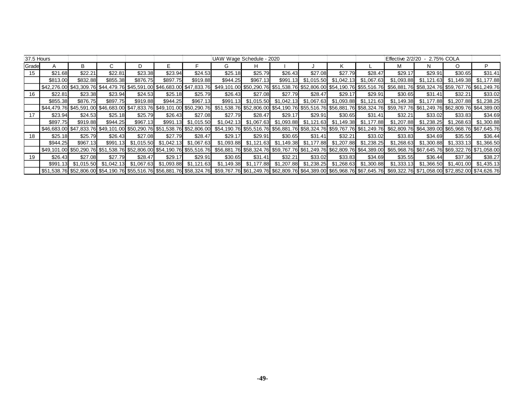| 37.5 Hours |          |          |                                                      |          |                                |            | UAW Wage Schedule - 2020                                                                                                                                                                                    |          |          |         |                                                                         |         | Effective 2/2/20                                                                                            | - 2.75% COLA |         |                                                                                                                                                                                                 |
|------------|----------|----------|------------------------------------------------------|----------|--------------------------------|------------|-------------------------------------------------------------------------------------------------------------------------------------------------------------------------------------------------------------|----------|----------|---------|-------------------------------------------------------------------------|---------|-------------------------------------------------------------------------------------------------------------|--------------|---------|-------------------------------------------------------------------------------------------------------------------------------------------------------------------------------------------------|
| Grade      |          | В        |                                                      |          |                                |            | G                                                                                                                                                                                                           | н        |          |         |                                                                         |         | м                                                                                                           |              | $\circ$ | P                                                                                                                                                                                               |
| 15         | \$21.68  | \$22.21  | \$22.81                                              | \$23.38  | \$23.94                        | \$24.53    | \$25.18                                                                                                                                                                                                     | \$25.79  | \$26.43  | \$27.08 | \$27.79                                                                 | \$28.47 | \$29.17                                                                                                     | \$29.91      | \$30.65 | \$31.41                                                                                                                                                                                         |
|            | \$813.00 | \$832.88 | \$855.38                                             | \$876.75 | \$897.75                       | \$919.88   | \$944.25                                                                                                                                                                                                    | \$967.13 | \$991.13 |         | $$1,015.50$ $$1,042.13$ $$1,067.63$                                     |         |                                                                                                             |              |         | \$1,093.88 \$1,121.63 \$1,149.38 \$1,177.88                                                                                                                                                     |
|            |          |          |                                                      |          |                                |            | \$42,276.00 \$43,309.76 \$44,479.76 \$45,591.00 \$46,683.00 \$47,833.76 \$49,101.00 \$50,290.76 \$51,538.76 \$52,806.00 \$54,190.76 \$55,516.76 \$56,881.76 \$58,324.76 \$58,767.76 \$61,249.76             |          |          |         |                                                                         |         |                                                                                                             |              |         |                                                                                                                                                                                                 |
| 16         | \$22.81  | \$23.38  | \$23.94                                              | \$24.53  | \$25.18                        | \$25.79    | \$26.43                                                                                                                                                                                                     | \$27.08  | \$27.79  | \$28.47 | \$29.17                                                                 | \$29.91 | \$30.65                                                                                                     | \$31.41      | \$32.21 | \$33.02                                                                                                                                                                                         |
|            | \$855.38 | \$876.75 | \$897.75                                             | \$919.88 | \$944.25                       | \$967.13   |                                                                                                                                                                                                             |          |          |         |                                                                         |         | \$991.13 \$1,015.50 \$1,042.13 \$1,067.63 \$1,093.88 \$1,121.63 \$1,149.38 \$1,177.88 \$1,207.88 \$1,238.25 |              |         |                                                                                                                                                                                                 |
|            |          |          |                                                      |          |                                |            |                                                                                                                                                                                                             |          |          |         |                                                                         |         |                                                                                                             |              |         | \$44,479.76 \$45,591.00 \$46,683.00 \$47,833.76 \$49,101.00 \$50,290.76 \$51,538.76 \$52,806.00 \$54,190.76 \$55,516.76 \$56,881.76 \$58,324.76 \$59,767.76 \$61,249.76 \$62,809.76 \$64,389.00 |
| 17         | \$23.94  | \$24.53  | \$25.18                                              | \$25.79  | \$26.43                        | \$27.08    | \$27.79                                                                                                                                                                                                     | \$28.47  | \$29.17  | \$29.91 | \$30.65                                                                 | \$31.41 | \$32.21                                                                                                     | \$33.02      | \$33.83 | \$34.69                                                                                                                                                                                         |
|            | \$897.75 | \$919.88 | \$944.25                                             | \$967.13 | \$991.13                       | \$1,015.50 |                                                                                                                                                                                                             |          |          |         |                                                                         |         |                                                                                                             |              |         | \$1,042.13 \$1,067.63 \$1,093.88 \$1,121.63 \$1,149.38 \$1,177.88 \$1,207.88 \$1,238.25 \$1,268.63 \$1,300.88                                                                                   |
|            |          |          |                                                      |          |                                |            | \$46,683.00 \$47,833.76 \$49,101.00 \$50,290.76 \$51,538.76 \$52,806.00 \$54,190.76 \$55,516.76 \$56,881.76 \$58,324.76 \$59,767.76 \$61,249.76 \$62,809.76 \$64,389.00 \$65,968.76 \$62,609.76 \$69,767.76 |          |          |         |                                                                         |         |                                                                                                             |              |         |                                                                                                                                                                                                 |
| 18         | \$25.18  | \$25.79  | \$26.43                                              | \$27.08  | \$27.79                        | \$28.47    | \$29.17                                                                                                                                                                                                     | \$29.91  | \$30.65  | \$31.41 | \$32.21                                                                 | \$33.02 | \$33.83                                                                                                     | \$34.69      | \$35.55 | \$36.44                                                                                                                                                                                         |
|            | \$944.25 | \$967.13 |                                                      |          | \$991.13 \$1.015.50 \$1.042.13 | \$1.067.63 |                                                                                                                                                                                                             |          |          |         | \$1,093.88 \$1,121.63 \$1,149.38 \$1,177.88 \$1,207.88 \$1,238.25       |         |                                                                                                             |              |         | \$1,268.63    \$1,300.88    \$1,333.13    \$1,366.50                                                                                                                                            |
|            |          |          |                                                      |          |                                |            |                                                                                                                                                                                                             |          |          |         |                                                                         |         |                                                                                                             |              |         | \$49,101.00 \$50,290.76 \$51,538.76 \$52,806.00 \$54,190.76 \$55,516.76 \$56,881.76 \$58,324.76 \$59,767.76 \$61,249.76 \$62,809.76 \$64,389.00 \$65,968.76 \$67,645.76 \$69,322.76 \$71,058.00 |
| 19         | \$26.43  | \$27.08  | \$27.79                                              | \$28.47  | \$29.17                        | \$29.91    | \$30.65                                                                                                                                                                                                     | \$31.41  | \$32.21  | \$33.02 | \$33.83                                                                 | \$34.69 | \$35.55                                                                                                     | \$36.44      | \$37.36 | \$38.27                                                                                                                                                                                         |
|            |          |          | \$991.13 \$1,015.50 \$1,042.13 \$1,067.63 \$1,093.88 |          |                                | \$1,121.63 |                                                                                                                                                                                                             |          |          |         | $$1,149.38$ $$1,177.88$ $$1,207.88$ $$1,238.25$ $$1,268.63$ $$1,300.88$ |         |                                                                                                             |              |         | $$1,333.13$ $$1,366.50$ $$1,401.00$ $$1,435.13$                                                                                                                                                 |
|            |          |          |                                                      |          |                                |            |                                                                                                                                                                                                             |          |          |         |                                                                         |         |                                                                                                             |              |         | \$51,538.76 \$52,806.00 \$54,190.76 \$55,516.76 \$56,881.76 \$58,324.76 \$59,767.76 \$61,249.76 \$62,809.76 \$64,389.00 \$65,968.76 \$67,645.76 \$69,322.76 \$71,058.00 \$72,852.00 \$74,626.76 |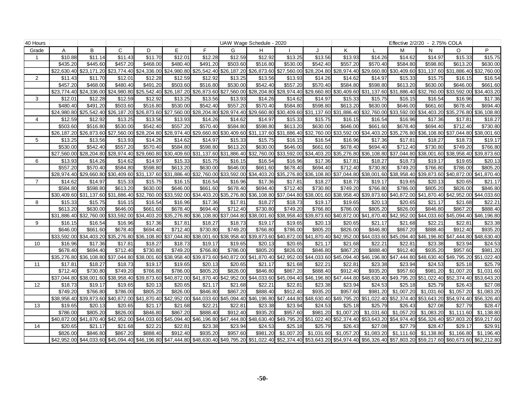| 40 Hours       |             |                         |                                     |             |                                                 |             |             | UAW Wage Schedule - 2020                                                                                    |                         |                         |                                                 |             |                                     | Effective 2/2/20 - 2.75% COLA |                                     |                         |
|----------------|-------------|-------------------------|-------------------------------------|-------------|-------------------------------------------------|-------------|-------------|-------------------------------------------------------------------------------------------------------------|-------------------------|-------------------------|-------------------------------------------------|-------------|-------------------------------------|-------------------------------|-------------------------------------|-------------------------|
| Grade          | Α           | B                       | $\mathsf{C}$                        | D           | E                                               | F           | G           | H                                                                                                           |                         |                         | Κ                                               |             | M                                   | N                             | O                                   | P                       |
|                | \$10.88     | \$11.14                 | \$11.43                             | \$11.70     | \$12.01                                         | \$12.28     | \$12.59     | \$12.92                                                                                                     | \$13.25                 | \$13.56                 | \$13.93                                         | \$14.26     | \$14.62                             | \$14.97                       | \$15.33                             | \$15.75                 |
|                | \$435.20    | \$445.60                | \$457.20                            | \$468.00    | \$480.40                                        | \$491.20    | \$503.60    | \$516.80                                                                                                    | \$530.00                | \$542.40                | \$557.20                                        | \$570.40    | \$584.80                            | \$598.80                      | \$613.20                            | \$630.00                |
|                | \$22,630.40 |                         | \$23,171.20 \$23,774.40             |             | \$24,336.00 \$24,980.80                         | \$25,542.40 |             | \$26,187.20 \$26,873.60 \$27,560.00 \$28,204.80 \$28,974.40                                                 |                         |                         |                                                 | \$29,660.80 | \$30,409.60                         |                               | \$31,137.60 \$31,886.40             | \$32,760.00             |
| $\overline{2}$ | \$11.43     | \$11.70                 | \$12.01                             | \$12.28     | \$12.59                                         | \$12.92     | \$13.25     | \$13.56                                                                                                     | \$13.93                 | \$14.26                 | \$14.62                                         | \$14.97     | \$15.33                             | \$15.75                       | \$16.15                             | \$16.54                 |
|                | \$457.20    | \$468.00                | \$480.40                            | \$491.20    | \$503.60                                        | \$516.80    | \$530.00    | \$542.40                                                                                                    | \$557.20                | \$570.40                | \$584.80                                        | \$598.80    | \$613.20                            | \$630.00                      | \$646.00                            | \$661.60                |
|                | \$23.774.40 |                         | \$24,336.00 \$24,980.80             |             | \$25,542.40 \$26,187.20                         | \$26,873.60 |             | \$27,560.00 \$28,204.80                                                                                     |                         | \$28,974.40 \$29,660.80 |                                                 |             | \$30,409.60 \$31,137.60 \$31,886.40 | \$32,760.00                   | \$33,592.00 \$34,403.20             |                         |
| 3              | \$12.01     | \$12.28                 | \$12.59                             | \$12.92     | \$13.25                                         | \$13.56     | \$13.93     | \$14.26                                                                                                     | \$14.62                 | \$14.97                 | \$15.33                                         | \$15.75     | \$16.15                             | \$16.54                       | \$16.96                             | \$17.36                 |
|                | \$480.40    | \$491.20                | \$503.60                            | \$516.80    | \$530.00                                        | \$542.40    | \$557.20    | \$570.40                                                                                                    | \$584.80                | \$598.80                | \$613.20                                        | \$630.00    | \$646.00                            | \$661.60                      | \$678.40                            | \$694.40                |
|                | \$24.980.80 | \$25.542.40             | \$26,187.20                         | \$26,873.60 | \$27,560.00                                     | \$28,204.80 | \$28,974.40 | \$29,660.80                                                                                                 | \$30,409.60             | \$31,137.60             | \$31,886.40                                     | \$32,760.00 | \$33.592.00                         | \$34.403.20                   | \$35,276.80                         | \$36,108.80             |
| $\overline{4}$ | \$12.59     | \$12.92                 | \$13.25                             | \$13.56     | \$13.93                                         | \$14.26     | \$14.62     | \$14.97                                                                                                     | \$15.33                 | \$15.75                 | \$16.15                                         | \$16.54     | \$16.96                             | \$17.36                       | \$17.81                             | \$18.27                 |
|                | \$503.60    | \$516.80                | \$530.00                            | \$542.40    | \$557.20                                        | \$570.40    | \$584.80    | \$598.80                                                                                                    | \$613.20                | \$630.00                | \$646.00                                        | \$661.60    | \$678.40                            | \$694.40                      | \$712.40                            | \$730.80                |
|                | \$26,187.20 |                         | \$26,873.60 \$27,560.00             | \$28,204.80 | \$28,974.40                                     | \$29,660.80 |             | \$30,409.60 \$31,137.60 \$31,886.40 \$32,760.00                                                             |                         |                         | \$33,592.00                                     | \$34,403.20 | \$35,276.80                         | \$36,108.80                   | \$37,044.80 \$38,001.60             |                         |
| 5              | \$13.25     | \$13.56                 | \$13.93                             | \$14.26     | \$14.62                                         | \$14.97     | \$15.33     | \$15.75                                                                                                     | \$16.15                 | \$16.54                 | \$16.96                                         | \$17.36     | \$17.81                             | \$18.27                       | \$18.73                             | \$19.17                 |
|                | \$530.00    | \$542.40                | \$557.20                            | \$570.40    | \$584.80                                        | \$598.80    | \$613.20    | \$630.00                                                                                                    | \$646.00                | \$661.60                | \$678.40                                        | \$694.40    | \$712.40                            | \$730.80                      | \$749.20                            | \$766.80                |
|                | \$27,560.00 | \$28,204.80             | \$28,974.40                         |             | \$29,660.80 \$30,409.60 \$31,137.60 \$31,886.40 |             |             | \$32,760.00                                                                                                 |                         |                         | \$33,592.00 \$34,403.20 \$35,276.80 \$36,108.80 |             | \$37,044.80                         |                               | \$38,001.60 \$38,958.40 \$39,873.60 |                         |
| 6              | \$13.93     | \$14.26                 | \$14.62                             | \$14.97     | \$15.33                                         | \$15.75     | \$16.15     | \$16.54                                                                                                     | \$16.96                 | \$17.36                 | \$17.81                                         | \$18.27     | \$18.73                             | \$19.17                       | \$19.65                             | \$20.13                 |
|                | \$557.20    | \$570.40                | \$584.80                            | \$598.80    | \$613.20                                        | \$630.00    | \$646.00    | \$661.60                                                                                                    | \$678.40                | \$694.40                | \$712.40                                        | \$730.80    | \$749.20                            | \$766.80                      | \$786.00                            | \$805.20                |
|                | \$28,974.40 |                         | \$29,660.80 \$30,409.60             |             | \$31,137.60 \$31,886.40                         | \$32,760.00 |             | \$33,592.00 \$34,403.20                                                                                     |                         |                         | \$35,276.80 \$36,108.80 \$37,044.80             | \$38,001.60 | \$38,958.40                         |                               | \$39,873.60 \$40,872.00 \$41,870.40 |                         |
| $\overline{7}$ | \$14.62     | \$14.97                 | \$15.33                             | \$15.75     | \$16.15                                         | \$16.54     | \$16.96     | \$17.36                                                                                                     | \$17.81                 | \$18.27                 | \$18.73                                         | \$19.17     | \$19.65                             | \$20.13                       | \$20.65                             | \$21.17                 |
|                | \$584.80    | \$598.80                | \$613.20                            | \$630.00    | \$646.00                                        | \$661.60    | \$678.40    | \$694.40                                                                                                    | \$712.40                | \$730.80                | \$749.20                                        | \$766.80    | \$786.00                            | \$805.20                      | \$826.00                            | \$846.80                |
|                | \$30,409.60 | \$31,137.60 \$31,886.40 |                                     | \$32,760.00 | \$33,592.00                                     | \$34,403.20 |             | \$35,276.80 \$36,108.80                                                                                     | \$37,044.80             | \$38,001.60             | \$38,958.40                                     |             | \$39,873.60 \$40,872.00             | \$41,870.40                   | \$42,952.00 \$44,033.60             |                         |
| 8              | \$15.33     | \$15.75                 | \$16.15                             | \$16.54     | \$16.96                                         | \$17.36     | \$17.81     | \$18.27                                                                                                     | \$18.73                 | \$19.17                 | \$19.65                                         | \$20.13     | \$20.65                             | \$21.17                       | \$21.68                             | \$22.21                 |
|                | \$613.20    | \$630.00                | \$646.00                            | \$661.60    | \$678.40                                        | \$694.40    | \$712.40    | \$730.80                                                                                                    | \$749.20                | \$766.80                | \$786.00                                        | \$805.20    | \$826.00                            | \$846.80                      | \$867.20                            | \$888.40                |
|                | \$31,886.40 |                         | \$32,760.00 \$33,592.00             |             | \$34,403.20 \$35,276.80                         | \$36,108.80 | \$37,044.80 | \$38,001.60                                                                                                 |                         | \$38,958.40 \$39,873.60 | \$40,872.00                                     | \$41,870.40 | \$42,952.00                         | \$44,033.60                   | \$45,094.40 \$46,196.80             |                         |
| 9              | \$16.15     | \$16.54                 | \$16.96                             | \$17.36     | \$17.81                                         | \$18.27     | \$18.73     | \$19.17                                                                                                     | \$19.65                 | \$20.13                 | \$20.65                                         | \$21.17     | \$21.68                             | \$22.21                       | \$22.81                             | \$23.38                 |
|                | \$646.00    | \$661.60                | \$678.40                            | \$694.40    | \$712.40                                        | \$730.80    | \$749.20    | \$766.80                                                                                                    | \$786.00                | \$805.20                | \$826.00                                        | \$846.80    | \$867.20                            | \$888.4                       | \$912.40                            | \$935.20                |
|                | \$33,592.00 |                         | \$34,403.20 \$35,276.80             | \$36,108.80 | \$37,044.80                                     | \$38,001.60 |             | \$38,958.40 \$39,873.60                                                                                     |                         |                         | \$40,872.00 \$41,870.40 \$42,952.00 \$44,033.60 |             | \$45,094.40                         | \$46,196.80                   | \$47,444.80 \$48,630.40             |                         |
| 10             | \$16.96     | \$17.36                 | \$17.81                             | \$18.27     | \$18.73                                         | \$19.17     | \$19.65     | \$20.13                                                                                                     | \$20.65                 | \$21.17                 | \$21.68                                         | \$22.21     | \$22.81                             | \$23.38                       | \$23.94                             | \$24.53                 |
|                | \$678.40    | \$694.40                | \$712.40                            | \$730.80    | \$749.20                                        | \$766.80    | \$786.00    | \$805.20                                                                                                    | \$826.00                | \$846.80                | \$867.20                                        | \$888.40    | \$912.40                            | \$935.20                      | \$957.60                            | \$981.20                |
|                | \$35,276.80 |                         | \$36,108.80 \$37,044.80             | \$38,001.60 | \$38,958.40                                     | \$39,873.60 |             | \$40,872.00 \$41,870.40 \$42,952.00                                                                         |                         | \$44,033.60             | \$45,094.40                                     | \$46,196.80 | \$47,444.80                         | \$48,630.40                   | \$49,795.20                         | \$51,022.40             |
| 11             | \$17.81     | \$18.27                 | \$18.73                             | \$19.17     | \$19.65                                         | \$20.13     | \$20.65     | \$21.17                                                                                                     | \$21.68                 | \$22.21                 | \$22.81                                         | \$23.38     | \$23.94                             | \$24.5                        | \$25.18                             | \$25.79                 |
|                | \$712.40    | \$730.80                | \$749.20                            | \$766.80    | \$786.00                                        | \$805.20    | \$826.00    | \$846.80                                                                                                    | \$867.20                | \$888.40                | \$912.40                                        | \$935.20    | \$957.60                            | \$981.20                      | \$1,007.20                          | \$1,031.60              |
|                | \$37,044.80 |                         | \$38,001.60 \$38,958.40             |             | \$39,873.60 \$40,872.00 \$41,870.40             |             |             | \$42,952.00 \$44,033.60                                                                                     | \$45,094.40 \$46,196.80 |                         | \$47,444.80                                     |             | \$48,630.40 \$49,795.20             | \$51,022.40                   | \$52,374.40                         | \$53,643.20             |
| 12             | \$18.73     | \$19.17                 | \$19.65                             | \$20.13     | \$20.65                                         | \$21.17     | \$21.68     | \$22.2'                                                                                                     | \$22.8                  | \$23.38                 | \$23.94                                         | \$24.53     | \$25.18                             | \$25.79                       | \$26.43                             | \$27.08                 |
|                | \$749.20    | \$766.80                | \$786.00                            | \$805.20    | \$826.00                                        | \$846.80    | \$867.20    | \$888.40                                                                                                    | \$912.40                | \$935.20                | \$957.60                                        | \$981.20    | \$1,007.20                          | \$1,031.60                    | \$1,057.20                          | \$1,083.20              |
|                | \$38,958.40 |                         | \$39,873.60 \$40,872.00 \$41,870.40 |             | \$42,952.00 \$44,033.60                         |             |             | \$45,094.40 \$46,196.80 \$47,444.80 \$48,630.40 \$49,795.20                                                 |                         |                         |                                                 | \$51,022.40 |                                     | \$52,374.40 \$53,643.20       | \$54,974.40 \$56,326.40             |                         |
| 13             | \$19.65     | \$20.13                 | \$20.65                             | \$21.17     | \$21.68                                         | \$22.21     | \$22.81     | \$23.38                                                                                                     | \$23.94                 | \$24.53                 | \$25.18                                         | \$25.79     | \$26.43                             | \$27.08                       | \$27.79                             | \$28.47                 |
|                | \$786.00    | \$805.20                | \$826.00                            | \$846.80    | \$867.20                                        | \$888.40    | \$912.40    | \$935.20                                                                                                    | \$957.60                | \$981.20                | \$1,007.20                                      | \$1,031.60  | \$1,057.20                          | \$1,083.20                    | \$1,111.60                          | \$1,138.80              |
|                |             |                         | \$40,872.00 \$41,870.40 \$42,952.00 |             |                                                 |             |             | \$44,033.60 \$45,094.40 \$46,196.80 \$47,444.80 \$48,630.40                                                 |                         | \$49,795.20 \$51,022.40 | \$52,374.40                                     | \$53,643.20 | \$54,974.40                         | \$56,326.40                   | \$57,803.20 \$59,217.60             |                         |
| 14             | \$20.65     | \$21.17                 | \$21.68                             | \$22.2'     | \$22.81                                         | \$23.38     | \$23.94     | \$24.53                                                                                                     | \$25.18                 | \$25.79                 | \$26.43                                         | \$27.08     | \$27.79                             | \$28.47                       | \$29.17                             | \$29.91                 |
|                | \$826.00    | \$846.80                | \$867.20                            | \$888.40    | \$912.40                                        | \$935.20    | \$957.60    | \$981.20                                                                                                    | \$1,007.20              | \$1,031.60              | \$1,057.20                                      | \$1,083.20  | \$1,111.60                          | \$1,138.80                    | \$1,166.80                          | \$1,196.40              |
|                | \$42,952,00 |                         | \$44.033.60 \$45.094.40             |             |                                                 |             |             | \$46.196.80 \$47.444.80 \$48.630.40 \$49.795.20 \$51.022.40 \$52.374.40 \$53.643.20 \$54.974.40 \$56.326.40 |                         |                         |                                                 |             |                                     | \$57.803.20 \$59.217.60       |                                     | \$60.673.60 \$62.212.80 |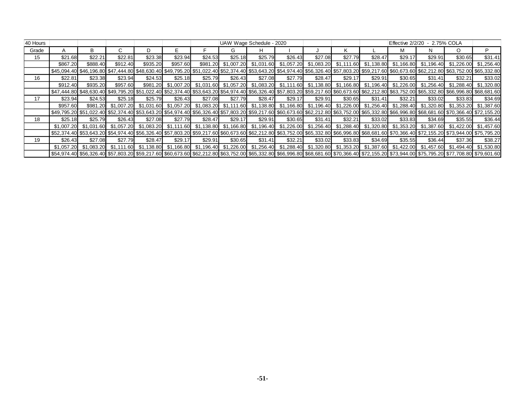| 40 Hours |                                                                                                                                                                                                             |          |                                  |          |          |         |         | UAW Wage Schedule - 2020                                                                                                                                                        |         |         |         |         | Effective 2/2/20 |         | 2.75% COLA |                       |
|----------|-------------------------------------------------------------------------------------------------------------------------------------------------------------------------------------------------------------|----------|----------------------------------|----------|----------|---------|---------|---------------------------------------------------------------------------------------------------------------------------------------------------------------------------------|---------|---------|---------|---------|------------------|---------|------------|-----------------------|
| Grade    |                                                                                                                                                                                                             |          |                                  |          |          |         | G.      | н                                                                                                                                                                               |         |         |         |         |                  |         | $\Omega$   | P                     |
| 15       | \$21.68                                                                                                                                                                                                     | \$22.21  | \$22.81                          | \$23.38  | \$23.94  | \$24.53 | \$25.18 | \$25.79                                                                                                                                                                         | \$26.43 | \$27.08 | \$27.79 | \$28.47 | \$29.17          | \$29.91 | \$30.65    | \$31.41               |
|          | \$867.20                                                                                                                                                                                                    | \$888.40 | \$912.40                         | \$935.20 | \$957.60 |         |         | \$981.20 \$1,007.20 \$1,031.60 \$1,057.20 \$1,083.20 \$1,111.60 \$1,138.80 \$1,166.80 \$1,196.40                                                                                |         |         |         |         |                  |         |            | \$1,226.00 \$1,256.40 |
|          | \$45,094.40 \$46,196.80 \$47,444.80 \$48,630.40 \$49,795.20 \$51,022.40 \$52,374.40 \$53,643.20 \$54,974.40 \$56,326.40 \$57,803.20 \$59,217.60 \$60,673.60 \$62,212.80 \$63,752.00 \$65,332.80             |          |                                  |          |          |         |         |                                                                                                                                                                                 |         |         |         |         |                  |         |            |                       |
| 16       | \$22.81                                                                                                                                                                                                     | \$23.38  | \$23.94                          | \$24.53  | \$25.18  | \$25.79 | \$26.43 | \$27.08                                                                                                                                                                         | \$27.79 | \$28.47 | \$29.17 | \$29.91 | \$30.65          | \$31.41 | \$32.21    | \$33.02               |
|          | \$912.40                                                                                                                                                                                                    | \$935.20 | \$957.60                         |          |          |         |         | \$981.20 \$1,007.20 \$1,031.60 \$1,057.20 \$1,083.20 \$1,111.60 \$1,138.80 \$1,166.80 \$1,196.40 \$1,226.00 \$1,256.40                                                          |         |         |         |         |                  |         |            | \$1,288.40 \$1,320.80 |
|          | \$48,630.40 \$49,630.40 \$49,795.20 \$51,022.40 \$52,374.40 \$53,643.20 \$54,974.40 \$56,326.40 \$57,803.20 \$59,217.60 \$60,673.60 \$62,212.80 \$63,752.00 \$65,332.80 \$66,996.80 \$69,980.80 \$69,982.   |          |                                  |          |          |         |         |                                                                                                                                                                                 |         |         |         |         |                  |         |            |                       |
| 17       | \$23.94                                                                                                                                                                                                     | \$24.53  | \$25.18                          | \$25.79  | \$26.43  | \$27.08 | \$27.79 | \$28.47                                                                                                                                                                         | \$29.17 | \$29.91 | \$30.65 | \$31.41 | \$32.21          | \$33.02 | \$33.83    | \$34.69               |
|          | \$957.60                                                                                                                                                                                                    |          |                                  |          |          |         |         | \$981.20 \$1,007.20 \$1,031.60 \$1,057.20 \$1,083.20 \$1,111.60 \$1,138.80 \$1,166.80 \$1,196.40 \$1,226.00 \$1,256.40 \$1,288.40 \$1,320.80 \$1,353.20 \$1,387.60              |         |         |         |         |                  |         |            |                       |
|          | S49,795.20 \$51,022.40 \$52,374.40 \$53,643.20 \$54,974.40 \$56,326.40 \$57,803.20 \$59,217.60 \$60,673.60 \$62,212.80 \$63,752.00 \$65,332.80 \$66,996.80 \$68,681.60 \$70,366.40 \$72,155.20              |          |                                  |          |          |         |         |                                                                                                                                                                                 |         |         |         |         |                  |         |            |                       |
| 18       | \$25.18                                                                                                                                                                                                     | \$25.79  | \$26.43                          | \$27.08  | \$27.79  | \$28.47 | \$29.17 | \$29.91                                                                                                                                                                         | \$30.65 | \$31.41 | \$32.21 | \$33.02 | \$33.83          | \$34.69 | \$35.55    | \$36.44               |
|          |                                                                                                                                                                                                             |          | \$1,007.20 \$1,031.60 \$1,057.20 |          |          |         |         | \$1,083.20 \$1,111.60 \$1,138.80 \$1,166.80 \$1,196.40 \$1,226.00 \$1,256.40 \$1,288.40 \$1,320.80 \$1,353.20 \$1,387.60 \$1,422.00 \$1,457.60                                  |         |         |         |         |                  |         |            |                       |
|          | \$52,374.40 \$53,643.20 \$54,974.40 \$56,326.40 \$57,803.20 \$59,217.60 \$60,673.60 \$62,212.80 \$63,752.00 \$65,332.80 \$66,996.80 \$68,681.60 \$70,366.40 \$72,155.20 \$73,944.00 \$75,795.20             |          |                                  |          |          |         |         |                                                                                                                                                                                 |         |         |         |         |                  |         |            |                       |
| 19       | \$26.43                                                                                                                                                                                                     | \$27.08  | \$27.79                          | \$28.47  | \$29.17  | \$29.91 | \$30.65 | \$31.41                                                                                                                                                                         | \$32.21 | \$33.02 | \$33.83 | \$34.69 | \$35.55          | \$36.44 | \$37.36    | \$38.27               |
|          |                                                                                                                                                                                                             |          |                                  |          |          |         |         | \$1,057.20 \$1,083.20 \$1,111.60 \$1,138.80 \$1,166.80 \$1,196.40 \$1,226.00 \$1,256.40 \$1,288.40 \$1,320.80 \$1,353.20 \$1,387.60 \$1,422.00 \$1,457.60 \$1,494.40 \$1,530.80 |         |         |         |         |                  |         |            |                       |
|          | \$56,974.40 \$56,326.40 \$57,803.20 \$59,217.60 \$60,673.60 \$62,212.80 \$63,752.00 \$65,332.80 \$66,996.80 \$68,681.60 \$70,366.40 \$72,155.20 \$73,944.00 \$75,795.20 \$77,708.80 \$77,708.80 \$79,601.60 |          |                                  |          |          |         |         |                                                                                                                                                                                 |         |         |         |         |                  |         |            |                       |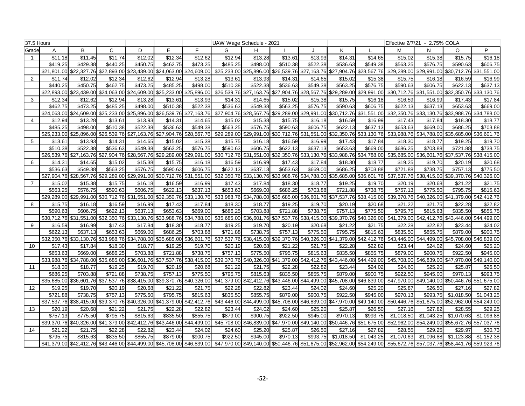| 37.5 Hours     |                         |                         |             |                                                 |                                     |             | UAW Wage Schedule - 2021 |             |                                                 |                                     |                                                             |                         |             | Effective 2/7/21 - 2.75% COLA       |             |             |
|----------------|-------------------------|-------------------------|-------------|-------------------------------------------------|-------------------------------------|-------------|--------------------------|-------------|-------------------------------------------------|-------------------------------------|-------------------------------------------------------------|-------------------------|-------------|-------------------------------------|-------------|-------------|
| Grade          | Α                       | B                       | C           | D                                               | E.                                  | F           | G                        | H           |                                                 | $\cdot$                             | K                                                           |                         | M           | N                                   | O           | P           |
|                | \$11.18                 | \$11.45                 | \$11.74     | \$12.02                                         | \$12.34                             | \$12.62     | \$12.94                  | \$13.28     | \$13.61                                         | \$13.93                             | \$14.31                                                     | \$14.65                 | \$15.02     | \$15.38                             | \$15.75     | \$16.18     |
|                | \$419.25                | \$429.38                | \$440.25    | \$450.75                                        | \$462.75                            | \$473.25    | \$485.25                 | \$498.00    | \$510.38                                        | \$522.38                            | \$536.63                                                    | \$549.38                | \$563.25    | \$576.75                            | \$590.63    | \$606.75    |
|                | \$21,801.00             | \$22,327.76             |             | \$22,893.00 \$23,439.00                         | \$24,063.00                         | \$24,609.00 | \$25,233.00              | \$25,896.00 | \$26,539.76 \$27,163.76                         |                                     |                                                             | \$27,904.76 \$28,567.76 |             | \$29,289.00 \$29,991.00 \$30,712.76 |             | \$31,551.00 |
| $\overline{2}$ | \$11.74                 | \$12.02                 | \$12.34     | \$12.62                                         | \$12.94                             | \$13.28     | \$13.61                  | \$13.93     | \$14.31                                         | \$14.65                             | \$15.02                                                     | \$15.38                 | \$15.75     | \$16.18                             | \$16.59     | \$16.99     |
|                | \$440.25                | \$450.75                | \$462.75    | \$473.25                                        | \$485.25                            | \$498.00    | \$510.38                 | \$522.38    | \$536.63                                        | \$549.38                            | \$563.25                                                    | \$576.75                | \$590.63    | \$606.75                            | \$622.13    | \$637.13    |
|                | \$22,893,00             | \$23,439.00             |             | \$24,063.00 \$24,609.00                         | \$25,233.00 \$25,896.00             |             | \$26,539.76              |             | \$27,163.76 \$27,904.76 \$28,567.76 \$29,289.00 |                                     |                                                             | \$29.991.00             |             | \$30,712.76 \$31,551.00 \$32,350.76 |             | \$33,130,76 |
| 3              | \$12.34                 | \$12.62                 | \$12.94     | \$13.28                                         | \$13.61                             | \$13.93     | \$14.31                  | \$14.65     | $\sqrt{$15.02}$                                 | \$15.38                             | \$15.75                                                     | \$16.18                 | \$16.59     | \$16.99                             | \$17.43     | \$17.84     |
|                | \$462.75                | \$473.25                | \$485.25    | \$498.00                                        | \$510.38                            | \$522.38    | \$536.63                 | \$549.38    | \$563.25                                        | \$576.75                            | \$590.63                                                    | \$606.75                | \$622.13    | \$637.13                            | \$653.63    | \$669.00    |
|                |                         | \$24,063.00 \$24,609.00 |             | \$25,233.00 \$25,896.00                         | \$26,539.76                         | \$27,163.76 | \$27,904.76              | \$28,567.76 |                                                 |                                     | \$29,289.00 \$29,991.00 \$30,712.76 \$31,551.00             |                         |             | \$32,350.76 \$33,130.76             | \$33,988.76 | \$34,788.00 |
| 4              | \$12.94                 | \$13.28                 | \$13.61     | \$13.93                                         | \$14.31                             | \$14.65     | \$15.02                  | \$15.38     | \$15.75                                         | \$16.18                             | \$16.59                                                     | \$16.99                 | \$17.43     | \$17.84                             | \$18.30     | \$18.77     |
|                | \$485.25                | \$498.00                | \$510.38    | \$522.38                                        | \$536.63                            | \$549.38    | \$563.25                 | \$576.75    | \$590.63                                        | \$606.75                            | \$622.13                                                    | \$637.13                | \$653.63    | \$669.00                            | \$686.25    | \$703.88    |
|                | \$25,233.00             | \$25,896.00             | \$26,539.76 | \$27,163.76                                     | \$27,904.76 \$28,567.76             |             | \$29,289.00              |             |                                                 |                                     | \$29,991.00 \$30,712.76 \$31,551.00 \$32,350.76 \$33,130.76 |                         |             | \$33,988.76 \$34,788.00 \$35,685.00 |             | \$36,601.76 |
| 5              | \$13.61                 | \$13.93                 | \$14.31     | \$14.65                                         | \$15.02                             | \$15.38     | \$15.75                  | \$16.18     | \$16.59                                         | \$16.99                             | \$17.43                                                     | \$17.84                 | \$18.30     | \$18.77                             | \$19.25     | \$19.70     |
|                | \$510.38                | \$522.38                | \$536.63    | \$549.38                                        | \$563.25                            | \$576.75    | \$590.63                 | \$606.75    | \$622.13                                        | \$637.13                            | \$653.63                                                    | \$669.00                | \$686.25    | \$703.88                            | \$721.88    | \$738.75    |
|                | \$26.539.76             | \$27,163.76             | \$27.904.76 | \$28,567.76                                     | \$29,289.00                         | \$29,991.00 | \$30,712.76              | \$31,551.00 | \$32,350.76 \$33,130.76                         |                                     | \$33,988.76                                                 | \$34,788.00             |             | \$35,685.00 \$36,601.76             | \$37,537.76 | \$38,415.00 |
| 6              | \$14.31                 | \$14.65                 | \$15.02     | \$15.38                                         | \$15.75                             | \$16.18     | \$16.59                  | \$16.99     | \$17.43                                         | \$17.84                             | \$18.30                                                     | \$18.77                 | \$19.25     | \$19.70                             | \$20.19     | \$20.68     |
|                | \$536.63                | \$549.38                | \$563.25    | \$576.75                                        | \$590.63                            | \$606.75    | \$622.13                 | \$637.13    | \$653.63                                        | \$669.00                            | \$686.25                                                    | \$703.88                | \$721.88    | \$738.75                            | \$757.13    | \$775.50    |
|                | \$27.904.76             | \$28.567.76             | \$29,289.00 | \$29,991.00                                     | \$30,712.76 \$31,551.00             |             | \$32,350.76              | \$33,130.76 |                                                 | \$33,988.76 \$34,788.00 \$35,685.00 |                                                             | \$36,601.76             | \$37,537.76 | \$38,415.00                         | \$39.370.76 | \$40,326,00 |
| $\overline{7}$ | \$15.02                 | \$15.38                 | \$15.75     | \$16.18                                         | \$16.59                             | \$16.99     | \$17.43                  | \$17.84     | \$18.30                                         | \$18.77                             | \$19.25                                                     | \$19.70                 | \$20.19     | \$20.68                             | \$21.22     | \$21.75     |
|                | \$563.25                | \$576.75                | \$590.63    | \$606.75                                        | \$622.13                            | \$637.13    | \$653.63                 | \$669.00    | \$686.25                                        | \$703.88                            | \$721.88                                                    | \$738.75                | \$757.13    | \$775.50                            | \$795.75    | \$815.63    |
|                | \$29,289.00             | \$29,991.00             |             | \$30,712.76 \$31,551.00                         | \$32,350.76                         | \$33,130.76 | \$33,988.76              | \$34,788.00 | \$35,685.00 \$36,601.76                         |                                     | \$37,537.76 \$38,415.00                                     |                         |             | \$39,370.76 \$40,326.00 \$41,379.00 |             | \$42,412.76 |
| 8              | \$15.75                 | \$16.18                 | \$16.59     | \$16.99                                         | \$17.43                             | \$17.84     | \$18.30                  | \$18.77     | \$19.25                                         | \$19.70                             | \$20.19                                                     | \$20.68                 | \$21.22     | \$21.75                             | \$22.28     | \$22.82     |
|                | \$590.63                | \$606.75                | \$622.13    | \$637.13                                        | \$653.63                            | \$669.00    | \$686.25                 | \$703.88    | \$721.88                                        | \$738.75                            | \$757.13                                                    | \$775.50                | \$795.75    | \$815.63                            | \$835.50    | \$855.75    |
|                | \$30,712.76 \$31,551.00 |                         |             | \$32,350.76 \$33,130.76                         | \$33,988.76                         | \$34,788.00 | \$35,685.00              | \$36,601.76 |                                                 |                                     | \$37,537.76 \$38,415.00 \$39,370.76                         | \$40,326.00             |             | \$41,379.00 \$42,412.76             | \$43,446.00 | \$44,499.00 |
| 9              | \$16.59                 | \$16.99                 | \$17.43     | \$17.84                                         | \$18.30                             | \$18.77     | \$19.25                  | \$19.70     | \$20.19                                         | \$20.68                             | \$21.22                                                     | \$21.75                 | \$22.28     | \$22.82                             | \$23.44     | \$24.02     |
|                | \$622.13                | \$637.13                | \$653.63    | \$669.00                                        | \$686.25                            | \$703.88    | \$721.88                 | \$738.75    | \$757.13                                        | \$775.50                            | \$795.75                                                    | \$815.63                | \$835.50    | \$855.75                            | \$879.00    | \$900.75    |
|                | \$32,350.76             |                         |             | \$33,130.76 \$33,988.76 \$34,788.00             | \$35,685.00                         | \$36,601.76 | \$37,537.76              | \$38,415.00 |                                                 |                                     | \$39,370.76 \$40,326.00 \$41,379.00                         | \$42,412.76             | \$43,446.00 | \$44,499.00                         | \$45,708.00 | \$46,839.00 |
| 10             | \$17.43                 | \$17.84                 | \$18.30     | \$18.77                                         | \$19.25                             | \$19.70     | \$20.19                  | \$20.68     | \$21.22                                         | \$21.75                             | \$22.28                                                     | \$22.82                 | \$23.44     | \$24.02                             | \$24.60     | \$25.20     |
|                | \$653.63                | \$669.00                | \$686.25    | \$703.88                                        | \$721.88                            | \$738.75    | \$757.13                 | \$775.50    | \$795.75                                        | \$815.63                            | \$835.50                                                    | \$855.75                | \$879.00    | \$900.75                            | \$922.50    | \$945.00    |
|                | \$33,988.76             | \$34,788.00             |             | \$35,685.00 \$36,601.76                         | \$37,537.76                         | \$38,415.00 | \$39,370.76              | \$40,326.00 | \$41,379.00 \$42,412.76 \$43,446.00             |                                     |                                                             | \$44,499.00             | \$45,708.00 | \$46,839.00 \$47,970.00             |             | \$49,140.00 |
| 11             | \$18.30                 | \$18.77                 | \$19.25     | \$19.70                                         | \$20.19                             | \$20.68     | \$21.22                  | \$21.75     | \$22.28                                         | \$22.82                             | \$23.44                                                     | \$24.02                 | \$24.60     | \$25.20                             | \$25.87     | \$26.50     |
|                | \$686.25                | \$703.88                | \$721.88    | \$738.75                                        | \$757.13                            | \$775.50    | \$795.75                 | \$815.63    | \$835.50                                        | \$855.75                            | \$879.00                                                    | \$900.75                | \$922.50    | \$945.00                            | \$970.13    | \$993.75    |
|                | \$35,685.00             | \$36,601.76             | \$37,537.76 | \$38,415.00                                     | \$39,370.76 \$40,326.00             |             | \$41,379.00              |             | \$42,412.76 \$43,446.00 \$44,499.00 \$45,708.00 |                                     |                                                             | \$46,839.00             |             | \$47,970.00 \$49,140.00             | \$50,446.76 | \$51,675.00 |
| 12             | \$19.25                 | \$19.70                 | \$20.19     | \$20.68                                         | \$21.22                             | \$21.75     | \$22.28                  | \$22.82     | \$23.44                                         | \$24.02                             | \$24.60                                                     | \$25.20                 | \$25.87     | \$26.50                             | \$27.16     | \$27.82     |
|                | \$721.88                | \$738.75                | \$757.13    | \$775.50                                        | \$795.75                            | \$815.63    | \$835.50                 | \$855.75    | \$879.00                                        | \$900.75                            | \$922.50                                                    | \$945.00                | \$970.13    | \$993.75                            | \$1,018.50  | \$1.043.25  |
|                | \$37,537.76             | \$38,415.00             |             | \$39,370.76 \$40,326.00 \$41,379.00 \$42,412.76 |                                     |             | \$43,446.00              |             |                                                 |                                     | \$44,499.00 \$45,708.00 \$46,839.00 \$47,970.00 \$49,140.00 |                         |             | \$50,446.76 \$51,675.00             | \$52,962.00 | \$54,249.00 |
| 13             | \$20.19                 | \$20.68                 | \$21.22     | \$21.75                                         | \$22.28                             | \$22.82     | \$23.44                  | \$24.02     | \$24.60                                         | \$25.20                             | \$25.87                                                     | \$26.50                 | \$27.16     | \$27.82                             | \$28.55     | \$29.25     |
|                | \$757.13                | \$775.50                | \$795.75    | \$815.63                                        | \$835.50                            | \$855.75    | \$879.00                 | \$900.75    | \$922.50                                        | \$945.00                            | \$970.13                                                    | \$993.75                | \$1,018.50  | \$1,043.25                          | \$1,070.63  | \$1,096.88  |
|                | \$39,370.76             | \$40,326.00             | \$41,379.00 |                                                 | \$42,412.76 \$43,446.00 \$44,499.00 |             | \$45,708.00              |             |                                                 |                                     | \$46,839.00 \$47,970.00 \$49,140.00 \$50,446.76 \$51,675.00 |                         |             | \$52,962.00 \$54,249.00             | \$55,672.76 | \$57,037.76 |
| 14             | \$21.22                 | \$21.75                 | \$22.28     | \$22.82                                         | \$23.44                             | \$24.02     | \$24.60                  | \$25.20     | \$25.87                                         | \$26.50                             | \$27.16                                                     | \$27.82                 | \$28.55     | \$29.25                             | \$29.97     | \$30.73     |
|                | \$795.75                | \$815.63                | \$835.50    | \$855.75                                        | \$879.00                            | \$900.75    | \$922.50                 | \$945.00    | \$970.13                                        | \$993.75                            | \$1,018.50                                                  | \$1.043.25              | \$1.070.63  | \$1.096.88                          | \$1.123.88  | \$1,152.38  |
|                | \$41.379.00             | \$42,412.76             |             | \$43,446.00 \$44,499.00 \$45,708.00 \$46,839.00 |                                     |             | \$47,970.00              | \$49,140.00 | \$50,446.76 \$51,675.00                         |                                     |                                                             | \$52,962.00 \$54,249.00 | \$55,672.76 | \$57,037.76                         | \$58,441.76 | \$59,923.76 |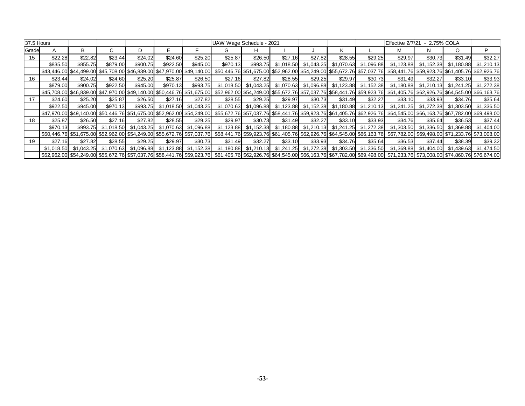| 37.5 Hours |            |            |            |          |                       |            | UAW Wage Schedule - 2021                                                                                                                                                                        |                                                             |         |                                |         |                                                                   | Effective 2/7/21 | - 2.75% COLA                                |                       |            |
|------------|------------|------------|------------|----------|-----------------------|------------|-------------------------------------------------------------------------------------------------------------------------------------------------------------------------------------------------|-------------------------------------------------------------|---------|--------------------------------|---------|-------------------------------------------------------------------|------------------|---------------------------------------------|-----------------------|------------|
| Grade      |            | B          |            |          |                       |            | G.                                                                                                                                                                                              | н                                                           |         |                                |         |                                                                   |                  |                                             | O                     | P          |
| 15         | \$22.28    | \$22.82    | \$23.44    | \$24.02  | \$24.60               | \$25.20    | \$25.87                                                                                                                                                                                         | \$26.50                                                     | \$27.16 | \$27.82                        | \$28.55 | \$29.25                                                           | \$29.97          | \$30.73                                     | \$31.49               | \$32.27    |
|            | \$835.50   | \$855.75   | \$879.00   | \$900.75 | \$922.50              | \$945.00   | \$970.13                                                                                                                                                                                        |                                                             |         | \$993.75 \$1,018.50 \$1,043.25 |         | \$1,070.63 \$1,096.88                                             | \$1,123.88       |                                             | \$1,152.38 \$1,180.88 | \$1,210.13 |
|            |            |            |            |          |                       |            | \$43,446.00 \$44,499.00 \$45,708.00 \$46,839.00 \$47,970.00 \$49,140.00 \$50,446.76 \$51,675.00 \$52,962.00 \$54,249.00 \$55,672.76 \$57,037.76 \$58,441.76 \$59,923.76 \$61,405.76 \$62,926.76 |                                                             |         |                                |         |                                                                   |                  |                                             |                       |            |
| 16         | \$23.44    | \$24.02    | \$24.60    | \$25.20  | \$25.87               | \$26.50    | \$27.16                                                                                                                                                                                         | \$27.82                                                     | \$28.55 | \$29.25                        | \$29.97 | \$30.73                                                           | \$31.49          | \$32.27                                     | \$33.10               | \$33.93    |
|            | \$879.00   | \$900.75   | \$922.50   | \$945.00 | \$970.13              | \$993.75   |                                                                                                                                                                                                 |                                                             |         |                                |         | \$1,018.50 \$1,043.25 \$1,070.63 \$1,096.88 \$1,123.88 \$1,152.38 |                  | \$1,180.88 \$1,210.13 \$1,241.25 \$1,272.38 |                       |            |
|            |            |            |            |          |                       |            | \$46,839.00 \$47,970.00 \$49,140.00 \$50,446.76 \$51,675.00 \$52,962.00 \$54,249.00 \$55,672.76 \$57,037.76 \$58,441.76 \$59,923.76 \$61,405.76 \$62,926.76 \$62,926.76 \$64,545.00 \$66,163.76 |                                                             |         |                                |         |                                                                   |                  |                                             |                       |            |
| 17         | \$24.60    | \$25.20    | \$25.87    | \$26.50  | \$27.16               | \$27.82    | \$28.55                                                                                                                                                                                         | \$29.25                                                     | \$29.97 | \$30.73                        | \$31.49 | \$32.27                                                           | \$33.10          | \$33.93                                     | \$34.76               | \$35.64    |
|            | \$922.50   | \$945.00   | \$970.13   | \$993.75 | \$1,018.50            | \$1,043.25 |                                                                                                                                                                                                 |                                                             |         |                                |         | \$1,070.63 \$1,096.88 \$1,123.88 \$1,152.38 \$1,180.88 \$1,210.13 | \$1,241.25       |                                             |                       |            |
|            |            |            |            |          |                       |            | \$47,970.00 \$49,140.00 \$50,446.76 \$51,675.00 \$52,962.00 \$54,249.00 \$55,672.76 \$57,037.76 \$58,441.76 \$59,923.76 \$61,405.76 \$62,926.76 \$64,545.00 \$66,163.76 \$67,782.00 \$69,498.00 |                                                             |         |                                |         |                                                                   |                  |                                             |                       |            |
| 18         | \$25.87    | \$26.50    | \$27.16    | \$27.82  | \$28.55               | \$29.25    | \$29.97                                                                                                                                                                                         | \$30.73                                                     | \$31.49 | \$32.27                        | \$33.10 | \$33.93                                                           | \$34.76          | \$35.64                                     | \$36.53               | \$37.44    |
|            | \$970.13   | \$993.75   | \$1,018.50 |          | \$1,043.25 \$1,070.63 | \$1,096.88 |                                                                                                                                                                                                 | $$1,123.88$ $$1,152.38$ $$1,180.88$ $$1,210.13$ $$1,241.25$ |         |                                |         | \$1,272.38                                                        | \$1,303.50       | \$1,336.50                                  | \$1,369.88            | \$1,404.00 |
|            |            |            |            |          |                       |            | \$50,446.76 \$51,675.00 \$52,962.00 \$54,249.00 \$55,672.76 \$57,037.76 \$58,441.76 \$59,923.76 \$61,405.76 \$62,926.76 \$64,545.00 \$66,163.76 \$67,782.00 \$69,498.00 \$71,233.76 \$73,008.00 |                                                             |         |                                |         |                                                                   |                  |                                             |                       |            |
| 19         | \$27.16    | \$27.82    | \$28.55    | \$29.25  | \$29.97               | \$30.73    | \$31.49                                                                                                                                                                                         | \$32.27                                                     | \$33.10 | \$33.93                        | \$34.76 | \$35.64                                                           | \$36.53          | \$37.44                                     | \$38.39               | \$39.32    |
|            | \$1.018.50 | \$1.043.25 |            |          |                       |            | \$1,070.63 \$1,096.88 \$1,123.88 \$1,152.38 \$1,180.88 \$1,210.13 \$1,241.25 \$1,272.38 \$1,303.50 \$1,336.50                                                                                   |                                                             |         |                                |         |                                                                   | \$1,369.88       |                                             |                       |            |
|            |            |            |            |          |                       |            | \$57,982.00 \$54,249.00 \$55,672.76 \$57,037.76 \$58,441.76 \$59,923.76 \$61,405.76 \$62,926.76 \$64,545.00 \$66,163.76 \$67,782.00 \$69,498.00 \$71,233.76 \$73,008.00 \$74,860.76 \$76,674.00 |                                                             |         |                                |         |                                                                   |                  |                                             |                       |            |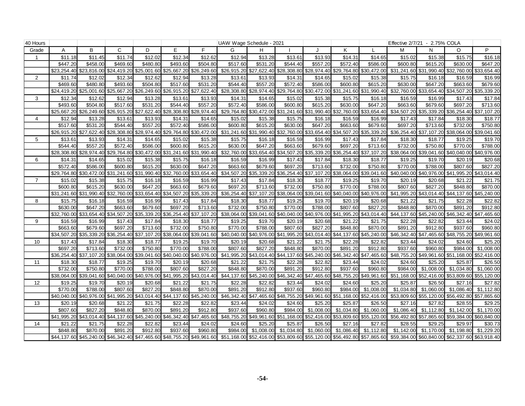| 40 Hours       |             |             |                                     |             |                         |                         | UAW Wage Schedule - 2021                                                                                                                                                                        |                         |                                     |             |                                     |                                                                         | Effective 2/7/21 - 2.75% COLA                                                       |             |                                                 |                         |
|----------------|-------------|-------------|-------------------------------------|-------------|-------------------------|-------------------------|-------------------------------------------------------------------------------------------------------------------------------------------------------------------------------------------------|-------------------------|-------------------------------------|-------------|-------------------------------------|-------------------------------------------------------------------------|-------------------------------------------------------------------------------------|-------------|-------------------------------------------------|-------------------------|
| Grade          | A           | B           | $\mathsf{C}$                        | D           | E                       | F.                      | G                                                                                                                                                                                               | H                       |                                     |             | K                                   |                                                                         | M                                                                                   | N           | O                                               | P                       |
| -1             | \$11.18     | \$11.45     | \$11.74                             | \$12.02     | \$12.34                 | \$12.62                 | \$12.94                                                                                                                                                                                         | \$13.28                 | \$13.61                             | \$13.93     | \$14.31                             | \$14.65                                                                 | \$15.02                                                                             | \$15.38     | \$15.75                                         | \$16.18                 |
|                | \$447.20    | \$458.00    | \$469.60                            | \$480.80    | \$493.60                | \$504.80                | \$517.60                                                                                                                                                                                        | \$531.20                | \$544.40                            | \$557.20    | \$572.40                            | \$586.00                                                                | \$600.80                                                                            | \$615.20    | \$630.00                                        | \$647.20                |
|                | \$23,254.40 |             | \$23,816.00 \$24,419.20 \$25,001.60 |             |                         | \$25,667.20 \$26,249.60 | \$26,915.20                                                                                                                                                                                     | \$27,622.40             |                                     |             |                                     | \$28,308.80 \$28,974.40 \$29,764.80 \$30,472.00                         |                                                                                     |             | \$31,241.60 \$31,990.40 \$32,760.00 \$33,654.40 |                         |
| 2              | \$11.74     | \$12.02     | \$12.34                             | \$12.62     | \$12.94                 | \$13.28                 | \$13.61                                                                                                                                                                                         | \$13.93                 | \$14.31                             | \$14.65     | \$15.02                             | \$15.38                                                                 | \$15.75                                                                             | \$16.18     | \$16.59                                         | \$16.99                 |
|                | \$469.60    | \$480.80    | \$493.60                            | \$504.80    | \$517.60                | \$531.20                | \$544.40                                                                                                                                                                                        | \$557.20                | \$572.40                            | \$586.00    | \$600.80                            | \$615.20                                                                | \$630.00                                                                            | \$647.20    | \$663.60                                        | \$679.60                |
|                | \$24,419.20 |             | \$25,001.60 \$25,667.20 \$26,249.60 |             | \$26,915.20             | \$27,622.40             | \$28,308.80                                                                                                                                                                                     | \$28,974.40             |                                     |             |                                     | \$29,764.80 \$30,472.00 \$31,241.60 \$31,990.40                         | \$32,760.00                                                                         |             | \$33,654.40 \$34,507.20 \$35,339.20             |                         |
| 3              | \$12.34     | \$12.62     | \$12.94                             | \$13.28     | \$13.61                 | \$13.93                 | \$14.31                                                                                                                                                                                         | \$14.65                 | \$15.02                             | \$15.38     | \$15.75                             | \$16.18                                                                 | \$16.59                                                                             | \$16.99     | \$17.43                                         | \$17.84                 |
|                | \$493.60    | \$504.80    | \$517.60                            | \$531.20    | \$544.40                | \$557.20                | \$572.40                                                                                                                                                                                        | \$586.00                | \$600.80                            | \$615.20    | \$630.00                            | \$647.20                                                                | \$663.60                                                                            | \$679.60    | \$697.20                                        | \$713.60                |
|                | \$25,667.20 | \$26.249.60 | \$26.915.20                         | \$27.622.40 | \$28,308.80             | \$28.974.40             | \$29,764.80                                                                                                                                                                                     | \$30.472.00             | \$31.241.60 \$31.990.40             |             | \$32,760.00                         | \$33.654.40                                                             | \$34.507.20                                                                         | \$35.339.20 | \$36.254.40                                     | \$37,107.20             |
| $\overline{4}$ | \$12.94     | \$13.28     | \$13.61                             | \$13.93     | \$14.31                 | \$14.65                 | \$15.02                                                                                                                                                                                         | \$15.38                 | \$15.75                             | \$16.18     | \$16.59                             | \$16.99                                                                 | \$17.43                                                                             | \$17.84     | \$18.30                                         | \$18.77                 |
|                | \$517.60    | \$531.20    | \$544.40                            | \$557.20    | \$572.40                | \$586.00                | \$600.80                                                                                                                                                                                        | \$615.20                | \$630.00                            | \$647.20    | \$663.60                            | \$679.60                                                                | \$697.20                                                                            | \$713.60    | \$732.00                                        | \$750.80                |
|                | \$26,915.20 |             | \$27,622.40 \$28,308.80             | \$28,974.40 |                         | \$29,764.80 \$30,472.00 |                                                                                                                                                                                                 | \$31,241.60 \$31,990.40 | \$32,760.00 \$33,654.40 \$34,507.20 |             |                                     | \$35,339.20                                                             | \$36,254.40                                                                         |             | \$37,107.20 \$38,064.00                         | \$39,041.60             |
| 5              | \$13.61     | \$13.93     | \$14.31                             | \$14.65     | \$15.02                 | \$15.38                 | \$15.75                                                                                                                                                                                         | \$16.18                 | \$16.59                             | \$16.99     | \$17.43                             | \$17.84                                                                 | \$18.30                                                                             | \$18.77     | \$19.25                                         | \$19.70                 |
|                | \$544.40    | \$557.20    | \$572.40                            | \$586.00    | \$600.80                | \$615.20                | \$630.00                                                                                                                                                                                        | \$647.20                | \$663.60                            | \$679.60    | \$697.20                            | \$713.60                                                                | \$732.00                                                                            | \$750.80    | \$770.00                                        | \$788.00                |
|                | \$28,308.80 |             | \$28,974.40 \$29,764.80             | \$30,472.00 |                         | \$31,241.60 \$31,990.40 | \$32,760.00                                                                                                                                                                                     | \$33,654.40             |                                     |             |                                     | \$34,507.20 \$35,339.20 \$36,254.40 \$37,107.20                         | \$38,064.00                                                                         |             | \$39,041.60 \$40,040.00 \$40,976.00             |                         |
| 6              | \$14.31     | \$14.65     | \$15.02                             | \$15.38     | \$15.75                 | \$16.18                 | \$16.59                                                                                                                                                                                         | \$16.99                 | \$17.43                             | \$17.84     | \$18.30                             | \$18.77                                                                 | \$19.25                                                                             | \$19.70     | \$20.19                                         | \$20.68                 |
|                | \$572.40    | \$586.00    | \$600.80                            | \$615.20    | \$630.00                | \$647.20                | \$663.60                                                                                                                                                                                        | \$679.60                | \$697.20                            | \$713.60    | \$732.00                            | \$750.80                                                                | \$770.00                                                                            | \$788.00    | \$807.60                                        | \$827.20                |
|                | \$29,764.80 |             | \$30,472.00 \$31,241.60 \$31,990.40 |             |                         | \$32,760.00 \$33,654.40 | \$34,507.20                                                                                                                                                                                     | \$35,339.20             |                                     |             | \$36,254.40 \$37,107.20 \$38,064.00 | \$39,041.60                                                             | \$40,040.00                                                                         |             | \$40,976.00 \$41,995.20 \$43,014.40             |                         |
| $\overline{7}$ | \$15.02     | \$15.38     | \$15.75                             | \$16.18     | \$16.59                 | \$16.99                 | \$17.43                                                                                                                                                                                         | \$17.84                 | \$18.30                             | \$18.77     | \$19.25                             | \$19.70                                                                 | \$20.19                                                                             | \$20.68     | \$21.22                                         | \$21.75                 |
|                | \$600.80    | \$615.20    | \$630.00                            | \$647.20    | \$663.60                | \$679.60                | \$697.20                                                                                                                                                                                        | \$713.60                | \$732.00                            | \$750.80    | \$770.00                            | \$788.00                                                                | \$807.60                                                                            | \$827.20    | \$848.80                                        | \$870.00                |
|                | \$31,241.60 |             | \$31,990.40 \$32,760.00             | \$33,654.40 | \$34,507.20 \$35,339.20 |                         |                                                                                                                                                                                                 |                         |                                     |             |                                     |                                                                         | \$36,254.40 \$37,107.20 \$38,064.00 \$39,041.60 \$40,040.00 \$40,976.00 \$41,995.20 |             | \$43,014.40 \$44,137.60 \$45,240.00             |                         |
| 8              | \$15.75     | \$16.18     | \$16.59                             | \$16.99     | \$17.43                 | \$17.84                 | \$18.30                                                                                                                                                                                         | \$18.77                 | \$19.25                             | \$19.70     | \$20.19                             | \$20.68                                                                 | \$21.22                                                                             | \$21.75     | \$22.28                                         | \$22.82                 |
|                | \$630.00    | \$647.20    | \$663.60                            | \$679.60    | \$697.20                | \$713.60                | \$732.00                                                                                                                                                                                        | \$750.80                | \$770.00                            | \$788.00    | \$807.60                            | \$827.20                                                                | \$848.80                                                                            | \$870.00    | \$891.20                                        | \$912.80                |
|                | \$32,760.00 |             | \$33,654.40 \$34,507.20 \$35,339.20 |             | \$36,254.40 \$37,107.20 |                         | $\overline{$}38,064.00$                                                                                                                                                                         | \$39,041.60             | \$40,040.00 \$40,976.00 \$41,995.20 |             |                                     | \$43,014.40                                                             | \$44,137.60                                                                         |             | \$45,240.00 \$46,342.40 \$47,465.60             |                         |
| 9              | \$16.59     | \$16.99     | \$17.43                             | \$17.84     | \$18.30                 | \$18.77                 | \$19.25                                                                                                                                                                                         | \$19.70                 | \$20.19                             | \$20.68     | \$21.22                             | \$21.75                                                                 | \$22.28                                                                             | \$22.82     | \$23.44                                         | \$24.02                 |
|                | \$663.60    | \$679.60    | \$697.20                            | \$713.60    | \$732.00                | \$750.80                | \$770.00                                                                                                                                                                                        | \$788.00                | \$807.60                            | \$827.20    | \$848.80                            | \$870.00                                                                | \$891.20                                                                            | \$912.80    | \$937.60                                        | \$960.80                |
|                | \$34.507.20 |             | \$35,339.20 \$36,254.40             | \$37,107.20 | \$38,064.00             | \$39,041.60             |                                                                                                                                                                                                 | \$40,040.00 \$40,976.00 | \$41,995.20 \$43,014.40 \$44,137.60 |             |                                     | \$45,240.00                                                             | \$46,342.40                                                                         |             | \$47,465.60 \$48,755.20 \$49,961.60             |                         |
| 10             | \$17.43     | \$17.84     | \$18.30                             | \$18.77     | \$19.25                 | \$19.70                 | \$20.19                                                                                                                                                                                         | \$20.68                 | \$21.22                             | \$21.75     | \$22.28                             | \$22.82                                                                 | \$23.44                                                                             | \$24.02     | \$24.60                                         | \$25.20                 |
|                | \$697.20    | \$713.60    | \$732.00                            | \$750.80    | \$770.00                | \$788.00                | \$807.60                                                                                                                                                                                        | \$827.20                | \$848.80                            | \$870.00    | \$891.20                            | \$912.80                                                                | \$937.60                                                                            | \$960.80    | \$984.00                                        | \$1,008.00              |
|                | \$36,254.40 |             | \$37,107.20 \$38,064.00 \$39,041.60 |             |                         | \$40,040.00 \$40,976.00 |                                                                                                                                                                                                 |                         |                                     |             |                                     | \$41,995.20 \$43,014.40 \$44,137.60 \$45,240.00 \$46,342.40 \$47,465.60 | \$48,755.20                                                                         |             | \$49,961.60 \$51,168.00 \$52,416.00             |                         |
| 11             | \$18.30     | \$18.77     | \$19.25                             | \$19.70     | \$20.19                 | \$20.68                 | \$21.22                                                                                                                                                                                         | \$21.75                 | \$22.28                             | \$22.82     | \$23.44                             | \$24.02                                                                 | \$24.60                                                                             | \$25.20     | \$25.87                                         | \$26.50                 |
|                | \$732.00    | \$750.80    | \$770.00                            | \$788.00    | \$807.60                | \$827.20                | \$848.80                                                                                                                                                                                        | \$870.00                | \$891.20                            | \$912.80    | \$937.60                            | \$960.80                                                                | \$984.00                                                                            | \$1,008.00  | \$1,034.80                                      | \$1,060.00              |
|                | \$38,064.00 |             | \$39,041.60 \$40,040.00 \$40,976.00 |             |                         | \$41,995.20 \$43,014.40 |                                                                                                                                                                                                 | \$44,137.60 \$45,240.00 |                                     |             |                                     | \$46,342.40 \$47,465.60 \$48,755.20 \$49,961.60                         |                                                                                     |             | \$51,168.00 \$52,416.00 \$53,809.60 \$55,120.00 |                         |
| 12             | \$19.25     | \$19.70     | \$20.19                             | \$20.68     | \$21.22                 | \$21.75                 | \$22.28                                                                                                                                                                                         | \$22.82                 | \$23.44                             | \$24.02     | \$24.60                             | \$25.20                                                                 | \$25.87                                                                             | \$26.50     | \$27.16                                         | \$27.82                 |
|                | \$770.00    | \$788.00    | \$807.60                            | \$827.20    | \$848.80                | \$870.00                | \$891.20                                                                                                                                                                                        | \$912.80                | \$937.60                            | \$960.80    | \$984.00                            | \$1,008.00                                                              | \$1,034.80                                                                          | \$1,060.00  | \$1,086.40                                      | \$1,112.80              |
|                | \$40,040.00 |             | \$40,976.00 \$41,995.20             | \$43,014.40 | \$44,137.60 \$45,240.00 |                         |                                                                                                                                                                                                 | \$46,342.40 \$47,465.60 | \$48,755.20 \$49,961.60 \$51,168.00 |             |                                     | \$52,416.00                                                             | \$53,809.60                                                                         |             | \$55,120.00 \$56,492.80 \$57,865.60             |                         |
| 13             | \$20.19     | \$20.68     | \$21.22                             | \$21.75     | \$22.28                 | \$22.82                 | \$23.44                                                                                                                                                                                         | \$24.02                 | \$24.60                             | \$25.20     | \$25.87                             | \$26.50                                                                 | \$27.16                                                                             | \$27.82     | \$28.55                                         | \$29.25                 |
|                | \$807.60    | \$827.20    | \$848.80                            | \$870.00    | \$891.20                | \$912.80                | \$937.60                                                                                                                                                                                        | \$960.80                | \$984.00                            | \$1,008.00  | \$1.034.80                          | \$1,060.00                                                              | \$1,086.40                                                                          | \$1,112.80  | \$1.142.00                                      | \$1,170.00              |
|                | \$41,995.20 |             | \$43,014.40 \$44,137.60 \$45,240.00 |             | \$46,342.40 \$47,465.60 |                         |                                                                                                                                                                                                 | \$48,755.20 \$49,961.60 | \$51,168.00                         | \$52,416.00 | \$53,809.60                         | \$55,120.00                                                             | \$56,492.80                                                                         | \$57,865.60 | \$59,384.00                                     | \$60,840.00             |
| 14             | \$21.22     | \$21.75     | \$22.28                             | \$22.82     | \$23.44                 | \$24.02                 | \$24.60                                                                                                                                                                                         | \$25.20                 | \$25.87                             | \$26.50     | \$27.16                             | \$27.82                                                                 | \$28.55                                                                             | \$29.25     | \$29.97                                         | \$30.73                 |
|                | \$848.80    | \$870.00    | \$891.20                            | \$912.80    | \$937.60                | \$960.80                | \$984.00                                                                                                                                                                                        | \$1,008.00              | \$1,034.80                          | \$1,060.00  | \$1,086.40                          | \$1,112.80                                                              | \$1,142.00                                                                          | \$1,170.00  | \$1,198.80                                      | $\overline{\$1,229.20}$ |
|                |             |             |                                     |             |                         |                         | \$44,137.60 \$45,240.00 \$46,342.40 \$47,465.60 \$48,755.20 \$49,961.60 \$51,168.00 \$52,416.00 \$53,809.60 \$55,120.00 \$56,492.80 \$57,865.60 \$59,384.00 \$60,840.00 \$62,337.60 \$63,918.40 |                         |                                     |             |                                     |                                                                         |                                                                                     |             |                                                 |                         |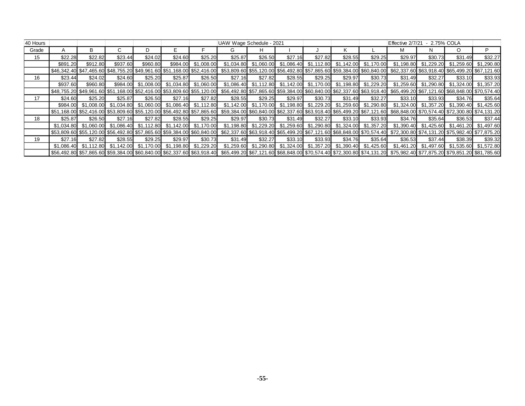| 40 Hours |          |          |          |          |         |                     | UAW Wage Schedule - 2021                                                                                                                                                                        |         |         |         |         |                                  | Effective 2/7/21 |                                                 | 2.75% COLA |                       |
|----------|----------|----------|----------|----------|---------|---------------------|-------------------------------------------------------------------------------------------------------------------------------------------------------------------------------------------------|---------|---------|---------|---------|----------------------------------|------------------|-------------------------------------------------|------------|-----------------------|
| Grade    |          | B.       |          |          |         |                     | G.                                                                                                                                                                                              |         |         |         |         |                                  | М                |                                                 | O          | P                     |
| 15       | \$22.28  | \$22.82  | \$23.44  | \$24.02  | \$24.60 | \$25.20             | \$25.87                                                                                                                                                                                         | \$26.50 | \$27.16 | \$27.82 | \$28.55 | \$29.25                          | \$29.97          | \$30.73                                         | \$31.49    | \$32.27               |
|          | \$891.20 | \$912.80 | \$937.60 | \$960.80 |         | \$984.00 \$1,008.00 |                                                                                                                                                                                                 |         |         |         |         | \$1,112.80 \$1,142.00 \$1,170.00 | \$1,198.80       | \$1,229.20                                      | \$1,259.60 | \$1,290.80            |
|          |          |          |          |          |         |                     | \$6,499.20 \$67,1465.60 \$48,755.20 \$49,961.60 \$51,168.00 \$52,416.00 \$53,809.60 \$55,120.00 \$56,492.80 \$57,865.60 \$59,384.00 \$60,840.00 \$62,337.60 \$63,918.40 \$65,499.20 \$67,121.60 |         |         |         |         |                                  |                  |                                                 |            |                       |
| 16       | \$23.44  | \$24.02  | \$24.60  | \$25.20  | \$25.87 | \$26.50             | \$27.16                                                                                                                                                                                         | \$27.82 | \$28.55 | \$29.25 | \$29.97 | \$30.73                          | \$31.49          | \$32.27                                         | \$33.10    | \$33.93               |
|          | \$937.60 | \$960.80 |          |          |         |                     | \$984.00 \$1,008.00 \$1,034.80 \$1,060.00 \$1,086.40 \$1,112.80 \$1,142.00 \$1,170.00 \$1,198.80 \$1,229.20                                                                                     |         |         |         |         |                                  |                  | \$1,259.60 \$1,290.80                           |            | \$1,324.00 \$1,357.20 |
|          |          |          |          |          |         |                     | \$68,848.00 \$51,168.00 \$52,416.00 \$53,809.60 \$55,120.00 \$56,492.80 \$57,865.60 \$59,384.00 \$60,840.00 \$62,337.60 \$63,918.40 \$65,499.20 \$67,121.60 \$68,848.00 \$70,574.40             |         |         |         |         |                                  |                  |                                                 |            |                       |
| 17       | \$24.60  | \$25.20  | \$25.87  | \$26.50  | \$27.16 | \$27.82             | \$28.55                                                                                                                                                                                         | \$29.25 | \$29.97 | \$30.73 | \$31.49 | \$32.27                          | \$33.10          | \$33.93                                         | \$34.76    | \$35.64               |
|          |          |          |          |          |         |                     | \$984.00 \$1,008.00 \$1,034.80 \$1,060.00 \$1,086.40 \$1,112.80 \$1,142.00 \$1,170.00 \$1,198.80 \$1,229.20 \$1,259.60 \$1,290.80                                                               |         |         |         |         |                                  |                  | $$1,324.00$ $$1,357.20$ $$1,390.40$ $$1,425.60$ |            |                       |
|          |          |          |          |          |         |                     | 55,809.60 \$52,416.00 \$53,809.60 \$55,120.00 \$56,492.80 \$57,865.60 \$59,384.00 \$60,840.00 \$62,337.60 \$63,918.40 \$65,499.20 \$67,121.60 \$68,848.00 \$70,574.40 \$72,300.80 \$74,131.20   |         |         |         |         |                                  |                  |                                                 |            |                       |
| 18       | \$25.87  | \$26.50  | \$27.16  | \$27.82  | \$28.55 | \$29.25             | \$29.97                                                                                                                                                                                         | \$30.73 | \$31.49 | \$32.27 | \$33.10 | \$33.93                          | \$34.76          | \$35.64                                         | \$36.53    | \$37.44               |
|          |          |          |          |          |         |                     | \$1,034.80 \$1,060.00 \$1,086.40 \$1,112.80 \$1,142.00 \$1,170.00 \$1,198.80 \$1,229.20 \$1,259.60 \$1,290.80 \$1,324.00 \$1,357.20                                                             |         |         |         |         |                                  |                  | $$1,390.40$ $$1,425.60$ $$1,461.20$ $$1,497.60$ |            |                       |
|          |          |          |          |          |         |                     | \$53,809.60 \$55,120.00 \$56,492.80 \$57,865.60 \$59,384.00 \$60,840.00 \$62,337.60 \$63,918.40 \$65,499.20 \$67,121.60 \$68,848.00 \$70,574.40 \$72,300.80 \$74,131.20 \$75,982.40 \$77,875.20 |         |         |         |         |                                  |                  |                                                 |            |                       |
| 19       | \$27.16  | \$27.82  | \$28.55  | \$29.25  | \$29.97 | \$30.73             | \$31.49                                                                                                                                                                                         | \$32.27 | \$33.10 | \$33.93 | \$34.76 | \$35.64                          | \$36.53          | \$37.44                                         | \$38.39    | \$39.32               |
|          |          |          |          |          |         |                     | \$1,086.40 \$1,112.80 \$1,142.00 \$1,170.00 \$1,198.80 \$1,229.20 \$1,259.60 \$1,290.80 \$1,324.00 \$1,357.20 \$1,390.40 \$1,425.60                                                             |         |         |         |         |                                  |                  | \$1,461.20 \$1,497.60 \$1,535.60 \$1,572.80     |            |                       |
|          |          |          |          |          |         |                     | \$6,492.80 \$57,865.60 \$59,384.00 \$60,840.00 \$62,337.60 \$63,918.40 \$65,499.20 \$67,121.60 \$68,848.00 \$70,574.40 \$72,300.80 \$74,131.20 \$75,982.40 \$77,875.20 \$79,851.20 \$81,785.60  |         |         |         |         |                                  |                  |                                                 |            |                       |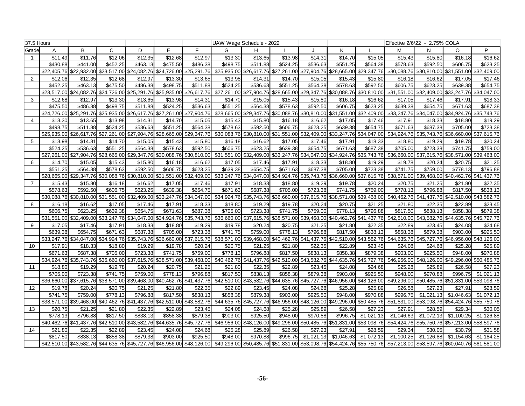| 37.5 Hours     |                         |                         |                         |                         |                     |                                     | UAW Wage Schedule - 2022 |                         |                                     |                         |                                                             |                                                             | Effective 2/6/22 - 2.75% COLA |                         |                                                 |                           |
|----------------|-------------------------|-------------------------|-------------------------|-------------------------|---------------------|-------------------------------------|--------------------------|-------------------------|-------------------------------------|-------------------------|-------------------------------------------------------------|-------------------------------------------------------------|-------------------------------|-------------------------|-------------------------------------------------|---------------------------|
| Grade          | A                       | B                       | C                       | D                       | E                   | F.                                  | G                        | H                       |                                     | $\cdot$                 | K                                                           |                                                             | M                             | N                       | $\circ$                                         | P                         |
|                | \$11.49                 | \$11.76                 | \$12.06                 | \$12.35                 | \$12.68             | \$12.97                             | \$13.30                  | \$13.65                 | \$13.98                             | \$14.31                 | \$14.70                                                     | \$15.05                                                     | \$15.43                       | \$15.80                 | \$16.18                                         | \$16.62                   |
|                | \$430.88                | \$441.00                | \$452.25                | \$463.13                | \$475.50            | \$486.38                            | \$498.75                 | \$511.88                | \$524.25                            | \$536.63                | \$551.25                                                    | \$564.38                                                    | \$578.63                      | \$592.50                | \$606.75                                        | \$623.25                  |
|                | \$22,405.76             |                         | \$22,932.00 \$23,517.00 | \$24,082.76             | \$24,726.00         | \$25,291.76                         | \$25,935.00              |                         |                                     |                         |                                                             | \$26,617.76 \$27,261.00 \$27,904.76 \$28,665.00 \$29,347.76 |                               |                         | \$30,088.76 \$30,810.00 \$31,551.00 \$32,409.00 |                           |
| $\overline{2}$ | \$12.06                 | \$12.35                 | \$12.68                 | \$12.97                 | \$13.30             | \$13.65                             | \$13.98                  | \$14.31                 | \$14.70                             | \$15.05                 | \$15.43                                                     | \$15.80                                                     | \$16.18                       | \$16.62                 | \$17.05                                         | \$17.46                   |
|                | \$452.25                | \$463.13                | \$475.50                | \$486.38                | \$498.75            | \$511.88                            | \$524.25                 | \$536.63                | \$551.25                            | \$564.38                | \$578.63                                                    | \$592.50                                                    | \$606.75                      | \$623.25                | \$639.38                                        | \$654.75                  |
|                | \$23,517.00             | \$24,082.76 \$24,726.00 |                         | \$25,291.76             | \$25,935.00         | \$26,617.76                         | \$27,261.00              |                         |                                     |                         | \$27,904.76 \$28,665.00 \$29,347.76 \$30,088.76 \$30,810.00 |                                                             |                               |                         | \$31,551.00 \$32,409.00 \$33,247.76 \$34,047.00 |                           |
| 3              | \$12.68                 | \$12.97                 | \$13.30                 | \$13.65                 | \$13.98             | \$14.31                             | \$14.70                  | \$15.05                 | \$15.43                             | \$15.80                 | \$16.18                                                     | \$16.62                                                     | \$17.05                       | \$17.46                 | \$17.9'                                         | \$18.33                   |
|                | \$475.50                | \$486.38                | \$498.75                | \$511.88                | \$524.25            | \$536.63                            | \$551.25                 | \$564.38                | \$578.63                            | \$592.50                | \$606.75                                                    | \$623.25                                                    | \$639.38                      | \$654.75                | \$671.63                                        | \$687.38                  |
|                | \$24,726.00             |                         | \$25,291.76 \$25,935.00 | \$26,617.76             | \$27,261.00         | \$27,904.76                         | \$28,665.00              | \$29,347.76             | \$30,088.76 \$30,810.00             |                         |                                                             | \$31,551.00 \$32,409.00                                     |                               |                         | \$33,247.76 \$34,047.00 \$34,924.76 \$35,743.76 |                           |
| 4              | \$13.30                 | \$13.65                 | \$13.98                 | \$14.31                 | \$14.70             | \$15.05                             | \$15.43                  | \$15.80                 | \$16.18                             | \$16.62                 | \$17.05                                                     | \$17.46                                                     | \$17.91                       | \$18.33                 | \$18.80                                         | \$19.29                   |
|                | \$498.75                | \$511.88                | \$524.25                | \$536.63                | \$551.25            | \$564.38                            | \$578.63                 | \$592.50                | \$606.75                            | \$623.25                | \$639.38                                                    | \$654.75                                                    | \$671.63                      | \$687.38                | \$705.00                                        | \$723.38                  |
|                | \$25,935.00             | \$26.617.76             | \$27,261.00             | \$27,904.76             | \$28,665.00         | \$29,347.76                         | \$30,088.76              |                         | \$30,810.00 \$31,551.00 \$32,409.00 |                         |                                                             | \$33,247.76 \$34,047.00                                     |                               |                         | \$34,924.76 \$35,743.76 \$36,660.00 \$37,615.76 |                           |
| 5              | \$13.98                 | \$14.31                 | \$14.70                 | \$15.05                 | \$15.43             | \$15.80                             | \$16.18                  | \$16.62                 | \$17.05                             | \$17.46                 | \$17.91                                                     | \$18.33                                                     | \$18.80                       | \$19.29                 | \$19.78                                         | \$20.24                   |
|                | \$524.25                | \$536.63                | \$551.25                | \$564.38                | \$578.63            | \$592.50                            | \$606.75                 | \$623.25                | \$639.38                            | \$654.75                | \$671.63                                                    | \$687.38                                                    | \$705.00                      | \$723.38                | \$741.75                                        | \$759.00                  |
|                | \$27.261.00             | \$27.904.76             | \$28,665.00             | \$29,347.76             | \$30,088.76         | \$30,810.00                         | \$31,551.00              | \$32,409.00             |                                     | \$33.247.76 \$34.047.00 |                                                             | \$34.924.76 \$35.743.76                                     |                               | \$36,660.00 \$37,615.76 |                                                 | \$38,571.00 \$39,468.00   |
| 6              | \$14.70                 | \$15.05                 | \$15.43                 | \$15.80                 | \$16.18             | \$16.62                             | \$17.05                  | \$17.46                 | \$17.91                             | \$18.33                 | \$18.80                                                     | \$19.29                                                     | \$19.78                       | \$20.24                 | \$20.75                                         | \$21.25                   |
|                | \$551.25                | \$564.38                | \$578.63                | \$592.50                | \$606.75            | \$623.25                            | \$639.38                 | \$654.75                | \$671.63                            | \$687.38                | \$705.00                                                    | \$723.38                                                    | \$741.75                      | \$759.00                | \$778.13                                        | \$796.88                  |
|                | \$28,665,00             |                         | \$29.347.76 \$30.088.76 | \$30,810.00             | \$31.551.00         | \$32,409.00                         | \$33,247.76              | \$34,047.00             |                                     | \$34,924.76 \$35,743.76 |                                                             | \$36,660.00 \$37,615.76                                     |                               |                         | \$38,571,00 \$39,468,00 \$40,462,76 \$41,437,76 |                           |
| $\overline{7}$ | \$15.43                 | \$15.80                 | \$16.18                 | \$16.62                 | \$17.05             | \$17.46                             | \$17.91                  | \$18.33                 | \$18.80                             | \$19.29                 | \$19.78                                                     | \$20.24                                                     | \$20.75                       | \$21.25                 | \$21.80                                         | \$22.35                   |
|                | \$578.63                | \$592.50                | \$606.75                | \$623.25                | \$639.38            | \$654.75                            | \$671.63                 | \$687.38                | \$705.00                            | \$723.38                | \$741.75                                                    | \$759.00                                                    | \$778.13                      | \$796.88                | \$817.50                                        | \$838.13                  |
|                | \$30,088.76             |                         | \$30,810.00 \$31,551.00 | \$32,409.00             | \$33,247.76         | $\overline{$}34,047.00$             |                          | \$34,924.76 \$35,743.76 |                                     |                         |                                                             | \$36,660.00 \$37,615.76 \$38,571.00 \$39,468.00             |                               |                         | \$40,462.76 \$41,437.76 \$42,510.00 \$43,582.76 |                           |
| 8              | \$16.18                 | \$16.62                 | \$17.05                 | \$17.46                 | \$17.91             | \$18.33                             | \$18.80                  | \$19.29                 | \$19.78                             | \$20.24                 | \$20.75                                                     | \$21.25                                                     | \$21.80                       | \$22.35                 | \$22.89                                         | \$23.45                   |
|                | \$606.75                | \$623.25                | \$639.38                | \$654.75                | \$671.63            | \$687.38                            | \$705.00                 | \$723.38                | \$741.75                            | \$759.00                | \$778.13                                                    | \$796.88                                                    | \$817.50                      | \$838.13                | \$858.38                                        | \$879.38                  |
|                | \$31,551.00             | \$32,409.00             | \$33,247.76             | \$34,047.00             | \$34,924.76         | \$35,743.76                         | \$36,660.00              | \$37,615.76             | \$38,571.00 \$39,468.00             |                         |                                                             | \$40,462.76 \$41,437.76                                     |                               | \$42,510.00 \$43,582.76 | \$44,635.76                                     | \$45,727.76               |
| 9              | \$17.05                 | \$17.46                 | \$17.91                 | \$18.33                 | \$18.80             | \$19.29                             | \$19.78                  | \$20.24                 | \$20.75                             | \$21.25                 | \$21.80                                                     | \$22.35                                                     | \$22.89                       | \$23.45                 | \$24.08                                         | \$24.68                   |
|                | \$639.38                | \$654.75                | 5671.63                 | \$687.38                | \$705.00            | \$723.38                            | \$741.75                 | \$759.00                | \$778.13                            | \$796.88                | \$817.50                                                    | \$838.13                                                    | \$858.38                      | \$879.38                | \$903.00                                        | \$925.50                  |
|                | \$33,247.76             | \$34.047.00             | \$34,924.76             | \$35,743.76             | \$36,660.00         | \$37,615.76                         | \$38,571.00              |                         |                                     |                         |                                                             | \$39,468.00 \$40,462.76 \$41,437.76 \$42,510.00 \$43,582.76 |                               | \$44,635.76 \$45,727.76 | \$46,956.00                                     | \$48,126,00               |
| 10             | \$17.91                 | \$18.33                 | \$18.80                 | \$19.29                 | \$19.78             | \$20.24                             | \$20.75                  | \$21.25                 | \$21.80                             | \$22.35                 | \$22.89                                                     | \$23.45                                                     | \$24.08                       | \$24.68                 | \$25.28                                         | \$25.89                   |
|                | \$671.63                | \$687.38                | \$705.00                | \$723.38                | \$741.75            | \$759.00                            | \$778.13                 | \$796.88                | \$817.50                            | \$838.13                | \$858.38                                                    | \$879.38                                                    | \$903.00                      | \$925.50                | \$948.00                                        | \$970.88                  |
|                | \$34,924.76             |                         | \$35,743.76 \$36,660.00 | \$37,615.76             | \$38,571.00         | \$39,468.00                         | \$40,462.76              |                         | \$41,437.76 \$42,510.00 \$43,582.76 |                         |                                                             | \$44,635.76 \$45,727.76                                     |                               | \$46,956.00 \$48,126.00 | \$49,296.00                                     | \$50,485.76               |
| 11             | \$18.80                 | \$19.29                 | \$19.78<br>\$741.75     | \$20.24                 | \$20.75             | \$21.25                             | \$21.80                  | \$22.35                 | \$22.89<br>\$858.38                 | \$23.45<br>\$879.38     | \$24.08<br>\$903.00                                         | \$24.68<br>\$925.50                                         | \$25.28<br>\$948.00           | \$25.89<br>\$970.88     | \$26.58                                         | \$27.23                   |
|                | \$705.00<br>\$36,660.00 | \$723.38                | \$37,615.76 \$38,571.00 | \$759.00<br>\$39,468.00 | \$778.13            | \$796.88<br>\$40,462.76 \$41,437.76 | \$817.50<br>\$42,510.00  | \$838.13                |                                     |                         | \$43,582.76 \$44,635.76 \$45,727.76 \$46,956.00 \$48,126.00 |                                                             |                               |                         | \$996.75<br>\$49,296.00 \$50,485.76 \$51,831.00 | \$1,021.13<br>\$53,098.76 |
|                |                         |                         |                         |                         |                     |                                     | \$22.89                  |                         |                                     |                         |                                                             |                                                             | \$26.58                       |                         | \$27.91                                         |                           |
| 12             | \$19.78<br>\$741.75     | \$20.24<br>\$759.00     | \$20.75<br>\$778.13     | \$21.25<br>\$796.88     | \$21.80<br>\$817.50 | \$22.35<br>\$838.13                 | \$858.38                 | \$23.45<br>\$879.38     | \$24.08<br>\$903.00                 | \$24.68<br>\$925.50     | \$25.28<br>\$948.00                                         | \$25.89<br>\$970.88                                         | \$996.75                      | \$27.23<br>\$1.021.13   | \$1,046.63                                      | \$28.59<br>\$1.072.13     |
|                | \$38.571.00             | \$39,468,00             |                         | \$40,462.76 \$41,437.76 | \$42,510.00         | \$43,582.76                         | \$44,635.76              | \$45,727.76             | \$46,956.00 \$48,126.00             |                         |                                                             |                                                             | \$51,831.00                   | \$53,098.76             | \$54,424.76                                     | \$55,750,76               |
| 13             | \$20.75                 | \$21.25                 |                         | \$22.35                 | \$22.89             |                                     |                          | \$24.68                 | \$25.28                             | \$25.89                 |                                                             | \$49,296.00 \$50,485.76<br>\$27.23                          | \$27.91                       | \$28.59                 | \$29.34                                         |                           |
|                | \$778.13                | \$796.88                | \$21.80<br>\$817.50     | \$838.13                | \$858.38            | \$23.45<br>\$879.38                 | \$24.08<br>\$903.00      | \$925.50                | \$948.00                            | \$970.88                | \$26.58<br>\$996.75                                         | \$1,021.13                                                  | \$1,046.63                    | \$1,072.13              | \$1,100.25                                      | \$30.05<br>\$1,126.88     |
|                | \$40,462.76             |                         | \$41,437.76 \$42,510.00 | \$43,582.76             |                     | \$44,635.76 \$45,727.76             | \$46,956.00              |                         | \$48,126.00 \$49,296.00 \$50,485.76 |                         |                                                             | \$51,831.00 \$53,098.76                                     |                               | \$54,424.76 \$55,750.76 |                                                 | \$57,213.00 \$58,597.76   |
| 14             |                         | \$22.35                 | \$22.89                 | \$23.45                 | \$24.08             | \$24.68                             | \$25.28                  |                         | \$26.58                             | \$27.23                 | \$27.91                                                     | \$28.59                                                     | \$29.34                       | \$30.05                 | \$30.79                                         | \$31.58                   |
|                | \$21.80<br>\$817.50     | \$838.1                 | \$858.38                | \$879.38                | \$903.00            | \$925.50                            | \$948.00                 | \$25.89<br>\$970.88     | \$996.75                            | \$1,021.13              | \$1.046.63                                                  | \$1,072.13                                                  | $\overline{\$1,100.25}$       | \$1,126.88              | \$1.154.63                                      | \$1.184.25                |
|                | \$42,510.00             |                         |                         | \$45,727.76             | \$46,956.00         |                                     | \$49,296.00              |                         | \$50,485.76 \$51,831.00 \$53,098.76 |                         |                                                             |                                                             |                               |                         |                                                 |                           |
|                |                         |                         | \$43,582.76 \$44,635.76 |                         |                     | \$48,126.00                         |                          |                         |                                     |                         |                                                             | \$54,424.76 \$55,750.76                                     | \$57,213.00                   | \$58,597.76             | \$60,040.76                                     | \$61,581.00               |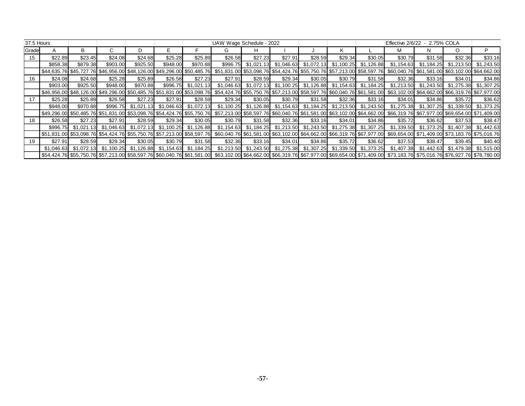| 37.5 Hours |            |          |          |          |                                                        |            | UAW Wage Schedule - 2022                                                                                                                                                                        |         |         |         |         |                                                                         |            | Effective 2/6/22 - 2.75% COLA |                         |                                        |
|------------|------------|----------|----------|----------|--------------------------------------------------------|------------|-------------------------------------------------------------------------------------------------------------------------------------------------------------------------------------------------|---------|---------|---------|---------|-------------------------------------------------------------------------|------------|-------------------------------|-------------------------|----------------------------------------|
| Grade      |            | B        |          |          |                                                        |            |                                                                                                                                                                                                 | н       |         |         |         |                                                                         |            |                               | O                       | P                                      |
| 15         | \$22.89    | \$23.45  | \$24.08  | \$24.68  | \$25.28                                                | \$25.89    | \$26.58                                                                                                                                                                                         | \$27.23 | \$27.91 | \$28.59 | \$29.34 | \$30.05                                                                 | \$30.79    | \$31.58                       | \$32.36                 | \$33.16                                |
|            | \$858.38   | \$879.38 | \$903.00 | \$925.50 | \$948.00                                               | \$970.88   |                                                                                                                                                                                                 |         |         |         |         | \$996.75 \$1,021.13 \$1,046.63 \$1,072.13 \$1,100.25 \$1,126.88         | \$1,154.63 |                               | $$1,184.25$ $$1,213.50$ | \$1,243.50                             |
|            |            |          |          |          |                                                        |            | \$45,727.76 \$46,956.00 \$48,126.00 \$49,296.00 \$50,485.76 \$51,831.00 \$53,098.76 \$54,424.76 \$55,750.76 \$57,213.00 \$58,597.76 \$60,040.76 \$61,581.00 \$63,102.00 \$63,102.00 \$64,662.00 |         |         |         |         |                                                                         |            |                               |                         |                                        |
| 16         | \$24.08    | \$24.68  | \$25.28  | \$25.89  | \$26.58                                                | \$27.23    | \$27.91                                                                                                                                                                                         | \$28.59 | \$29.34 | \$30.05 | \$30.79 | \$31.58                                                                 | \$32.36    | \$33.16                       | \$34.01                 | \$34.86                                |
|            | \$903.00   | \$925.50 | \$948.00 | \$970.88 | \$996.75                                               | \$1,021.13 |                                                                                                                                                                                                 |         |         |         |         | $$1,046.63$ $$1,072.13$ $$1,100.25$ $$1,126.88$ $$1,154.63$ $$1,184.25$ | \$1,213.50 |                               |                         |                                        |
|            |            |          |          |          |                                                        |            | \$48,126.00 \$49,296.00 \$50,485.76 \$51,831.00 \$53,098.76 \$54,424.76 \$55,750.76 \$57,213.00 \$58,597.76 \$60,040.76 \$61,581.00 \$63,102.00 \$64,662.00 \$64,66319.76 \$67,977.00           |         |         |         |         |                                                                         |            |                               |                         |                                        |
| 17         | \$25.28    | \$25.89  | \$26.58  | \$27.23  | \$27.91                                                | \$28.59    | \$29.34                                                                                                                                                                                         | \$30.05 | \$30.79 | \$31.58 | \$32.36 | \$33.16                                                                 | \$34.01    | \$34.86                       | \$35.72                 | \$36.62                                |
|            | \$948.00   | \$970.88 |          |          | \$996.75 \$1.021.13 \$1.046.63                         | \$1,072.13 |                                                                                                                                                                                                 |         |         |         |         | $$1,100.25$ $$1,126.88$ $$1,154.63$ $$1,184.25$ $$1,213.50$ $$1,243.50$ | \$1,275.38 |                               |                         |                                        |
|            |            |          |          |          |                                                        |            | \$49,296.00 \$60,485.76 \$51,831.00 \$53,098.76 \$54,424.76 \$55,750.76 \$57,213.00 \$58,597.76 \$60,040.76 \$61,581.00 \$63,102.00 \$64,662.00 \$66,319.76 \$67,977.00 \$69,654.00 \$71,409.00 |         |         |         |         |                                                                         |            |                               |                         |                                        |
| 18         | \$26.58    | \$27.23  | \$27.91  | \$28.59  | \$29.34                                                | \$30.05    | \$30.79                                                                                                                                                                                         | \$31.58 | \$32.36 | \$33.16 | \$34.01 | \$34.86                                                                 | \$35.72    | \$36.62                       | \$37.53                 | \$38.47                                |
|            | \$996.75   |          |          |          | \$1,072.13 \$1,100.25 \$1,126.88                       |            |                                                                                                                                                                                                 |         |         |         |         | $$1,154.63$ $$1,184.25$ $$1,213.50$ $$1,243.50$ $$1,275.38$ $$1,307.25$ | \$1,339.50 |                               |                         | \$1,373.25    \$1,407.38    \$1,442.63 |
|            |            |          |          |          |                                                        |            | \$51,831.00 \$53,098.76 \$54,424.76 \$55,750.76 \$57,213.00 \$58,597.76 \$60,040.76 \$61,581.00 \$63,102.00 \$64,662.00 \$66,319.76 \$67,977.00 \$69,654.00 \$71,409.00 \$73,183.76 \$75,016.76 |         |         |         |         |                                                                         |            |                               |                         |                                        |
| 19         | \$27.91    | \$28.59  | \$29.34  | \$30.05  | \$30.79                                                | \$31.58    | \$32.36                                                                                                                                                                                         | \$33.16 | \$34.01 | \$34.86 | \$35.72 | \$36.62                                                                 | \$37.53    | \$38.47                       | \$39.45                 | \$40.40                                |
|            | \$1.046.63 |          |          |          | \$1,072.13 \$1,100.25 \$1,126.88 \$1,154.63 \$1,184.25 |            |                                                                                                                                                                                                 |         |         |         |         | $$1,213.50$ $$1,243.50$ $$1,275.38$ $$1,307.25$ $$1,339.50$ $$1,373.25$ | \$1,407.38 |                               |                         |                                        |
|            |            |          |          |          |                                                        |            | \$54,424.76 \$55,750.76 \$57,213.00 \$58,597.76 \$60,040.76 \$61,581.00 \$63,102.00 \$64,662.00 \$66,319.76 \$67,977.00 \$69,654.00 \$71,409.00 \$73,183.76 \$75,016.76 \$76,927.76 \$78,780.00 |         |         |         |         |                                                                         |            |                               |                         |                                        |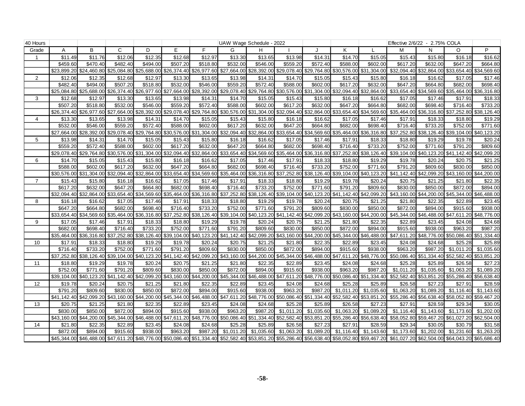| 40 Hours         |                         |             |                                     |                         |                                                             |             |             | UAW Wage Schedule - 2022                                                                                                                                                                        |                         |                         |             |                                                                                                 |                         | Effective 2/6/22 - 2.75% COLA                   |                                     |             |
|------------------|-------------------------|-------------|-------------------------------------|-------------------------|-------------------------------------------------------------|-------------|-------------|-------------------------------------------------------------------------------------------------------------------------------------------------------------------------------------------------|-------------------------|-------------------------|-------------|-------------------------------------------------------------------------------------------------|-------------------------|-------------------------------------------------|-------------------------------------|-------------|
| Grade            | A                       | B           | $\mathsf{C}$                        | D                       | E.                                                          | E           | G           | H                                                                                                                                                                                               |                         |                         | K           |                                                                                                 | М                       | N                                               | $\circ$                             | P           |
| 1                | \$11.49                 | \$11.76     | \$12.06                             | \$12.35                 | \$12.68                                                     | \$12.97     | \$13.30     | \$13.65                                                                                                                                                                                         | \$13.98                 | \$14.31                 | \$14.70     | \$15.05                                                                                         | \$15.43                 | \$15.80                                         | \$16.18                             | \$16.62     |
|                  | \$459.60                | \$470.40    | \$482.40                            | \$494.00                | \$507.20                                                    | \$518.80    | \$532.00    | \$546.00                                                                                                                                                                                        | \$559.20                | \$572.40                | \$588.00    | \$602.00                                                                                        | \$617.20                | \$632.00                                        | \$647.20                            | \$664.80    |
|                  | \$23,899.20             | \$24,460.80 |                                     | \$25,084.80 \$25,688.00 | \$26,374.40                                                 | \$26,977.60 | \$27,664.00 | \$28,392.00                                                                                                                                                                                     | \$29,078.40             | \$29,764.80             | \$30,576.00 | \$31,304.00                                                                                     | \$32,094.40             | \$32,864.00                                     | \$33,654.40 \$34,569.60             |             |
| $\overline{2}$   | \$12.06                 | \$12.35     | \$12.68                             | \$12.97                 | \$13.30                                                     | \$13.65     | \$13.98     | \$14.31                                                                                                                                                                                         | \$14.70                 | \$15.05                 | \$15.43     | \$15.80                                                                                         | \$16.18                 | \$16.62                                         | \$17.05                             | \$17.46     |
|                  | \$482.40                | \$494.00    | \$507.20                            | \$518.80                | \$532.00                                                    | \$546.00    | \$559.20    | \$572.40                                                                                                                                                                                        | \$588.00                | \$602.00                | \$617.20    | \$632.00                                                                                        | \$647.20                | \$664.80                                        | \$682.00                            | \$698.40    |
|                  | $\overline{$25,084.80}$ |             | \$25,688.00 \$26,374.40             | \$26,977.60             | \$27,664.00                                                 | \$28,392.00 | \$29,078.40 | \$29,764.80                                                                                                                                                                                     | \$30,576.00 \$31,304.00 |                         | \$32,094.40 | \$32,864.00                                                                                     | \$33,654.40             |                                                 | \$34,569.60 \$35,464.00 \$36,316.80 |             |
| 3                | \$12.68                 | \$12.97     | \$13.30                             | \$13.65                 | \$13.98                                                     | \$14.31     | \$14.70     | \$15.05                                                                                                                                                                                         | \$15.43                 | \$15.80                 | \$16.18     | \$16.62                                                                                         | \$17.05                 | \$17.46                                         | \$17.91                             | \$18.33     |
|                  | \$507.20                | \$518.80    | \$532.00                            | \$546.00                | \$559.20                                                    | \$572.40    | \$588.00    | \$602.00                                                                                                                                                                                        | \$617.20                | \$632.00                | \$647.20    | \$664.80                                                                                        | \$682.00                | \$698.40                                        | \$716.40                            | \$733.20    |
|                  | \$26.374.40             | \$26.977.60 | \$27,664.00                         | \$28,392.00             | \$29,078.40                                                 | \$29,764.80 |             | \$30,576.00 \$31,304.00                                                                                                                                                                         |                         | \$32,094.40 \$32,864.00 | \$33,654.40 | \$34,569.60                                                                                     | \$35,464.00             |                                                 | \$36,316.80 \$37,252.80 \$38,126.40 |             |
| $\overline{4}$   | \$13.30                 | \$13.65     | \$13.98                             | \$14.3'                 | \$14.70                                                     | \$15.05     | \$15.43     | \$15.80                                                                                                                                                                                         | \$16.18                 | \$16.62                 | \$17.05     | \$17.46                                                                                         | \$17.91                 | \$18.33                                         | \$18.80                             | \$19.29     |
|                  | \$532.00                | \$546.00    | \$559.20                            | \$572.40                | \$588.00                                                    | \$602.00    | \$617.20    | \$632.00                                                                                                                                                                                        | \$647.20                | \$664.80                | \$682.00    | \$698.40                                                                                        | \$716.40                | \$733.20                                        | \$752.00                            | \$771.60    |
|                  | \$27,664.00             | \$28,392.00 | \$29,078.40                         | \$29,764.80             | \$30,576.00                                                 | \$31,304.00 | \$32,094.40 | \$32,864.00                                                                                                                                                                                     | \$33,654.40 \$34,569.60 |                         | \$35,464.00 | \$36,316.80                                                                                     | \$37,252.80             |                                                 | \$38,126.40 \$39,104.00 \$40,123.20 |             |
| 5                | \$13.98                 | \$14.31     | \$14.70                             | \$15.05                 | \$15.43                                                     | \$15.80     | \$16.18     | \$16.62                                                                                                                                                                                         | \$17.05                 | \$17.46                 | \$17.91     | \$18.33                                                                                         | \$18.80                 | \$19.29                                         | \$19.78                             | \$20.24     |
|                  | \$559.20                | \$572.40    | \$588.00                            | \$602.00                | \$617.20                                                    | \$632.00    | \$647.20    | \$664.80                                                                                                                                                                                        | \$682.00                | \$698.40                | \$716.40    | \$733.20                                                                                        | \$752.00                | \$771.60                                        | \$791.20                            | \$809.60    |
|                  | \$29,078.40             |             | \$29,764.80 \$30,576.00 \$31,304.00 |                         | \$32,094.40                                                 | \$32,864.00 | \$33,654.40 | \$34,569.60                                                                                                                                                                                     | \$35,464.00             | \$36,316.80             | \$37,252.80 | \$38,126.40                                                                                     | \$39,104.00             |                                                 | \$40,123.20 \$41,142.40             | \$42,099.20 |
| 6                | \$14.70                 | \$15.05     | \$15.43                             | \$15.80                 | \$16.18                                                     | \$16.62     | \$17.05     | \$17.46                                                                                                                                                                                         | \$17.91                 | \$18.33                 | \$18.80     | \$19.29                                                                                         | \$19.78                 | \$20.24                                         | \$20.75                             | \$21.25     |
|                  | \$588.00                | \$602.00    | \$617.20                            | \$632.00                | \$647.20                                                    | \$664.80    | \$682.00    | \$698.40                                                                                                                                                                                        | \$716.40                | \$733.20                | \$752.00    | \$771.60                                                                                        | \$791.20                | \$809.60                                        | \$830.00                            | \$850.00    |
|                  |                         |             | \$30,576.00 \$31,304.00 \$32,094.40 | \$32,864.00             | \$33,654.40                                                 | \$34,569.60 |             | \$35,464.00 \$36,316.80                                                                                                                                                                         |                         | \$37,252.80 \$38,126.40 |             | \$39,104.00 \$40,123.20 \$41,142.40 \$42,099.20 \$43,160.00 \$44,200.00                         |                         |                                                 |                                     |             |
| $\overline{7}$   | \$15.43                 | \$15.80     | \$16.18                             | \$16.62                 | \$17.05                                                     | \$17.46     | \$17.91     | \$18.33                                                                                                                                                                                         | \$18.80                 | \$19.29                 | \$19.78     | \$20.24                                                                                         | \$20.75                 | \$21.25                                         | \$21.80                             | \$22.35     |
|                  | \$617.20                | \$632.00    | \$647.20                            | \$664.80                | \$682.00                                                    | \$698.40    | \$716.40    | \$733.20                                                                                                                                                                                        | \$752.00                | \$771.60                | \$791.20    | \$809.60                                                                                        | \$830.00                | \$850.00                                        | \$872.00                            | \$894.00    |
|                  | \$32.094.40             |             | \$32,864.00 \$33,654.40 \$34,569.60 |                         | \$35,464.00                                                 | \$36,316.80 |             | \$37,252.80 \$38,126.40                                                                                                                                                                         |                         |                         |             | \$39,104.00 \$40,123.20 \$41,142.40 \$42,099.20 \$43,160.00 \$44,200.00 \$45,344.00 \$46,488.00 |                         |                                                 |                                     |             |
| 8                | \$16.18                 | \$16.62     | \$17.05                             | \$17.46                 | \$17.91                                                     | \$18.33     | \$18.80     | \$19.29                                                                                                                                                                                         | \$19.78                 | \$20.24                 | \$20.75     | \$21.25                                                                                         | \$21.80                 | \$22.35                                         | \$22.89                             | \$23.45     |
|                  | \$647.20                | \$664.80    | \$682.00                            | \$698.40                | \$716.40                                                    | \$733.20    | \$752.00    | \$771.60                                                                                                                                                                                        | \$791.20                | \$809.60                | \$830.00    | \$850.00                                                                                        | \$872.00                | \$894.00                                        | \$915.60                            | \$938.00    |
|                  | \$33,654.40             |             | \$34,569.60 \$35,464.00             |                         | \$36,316.80 \$37,252.80                                     | \$38,126.40 |             | \$39,104.00 \$40,123.20                                                                                                                                                                         | \$41,142.40 \$42,099.20 |                         | \$43,160.00 | \$44,200.00                                                                                     | \$45,344.00             |                                                 | \$46,488.00 \$47,611.20             | \$48,776.00 |
| 9                | \$17.05                 | \$17.46     | \$17.91                             | \$18.33                 | \$18.80                                                     | \$19.29     | \$19.78     | \$20.24                                                                                                                                                                                         | \$20.75                 | \$21.25                 | \$21.80     | \$22.35                                                                                         | \$22.89                 | \$23.45                                         | \$24.08                             | \$24.68     |
|                  | \$682.00                | \$698.40    | \$716.40                            | \$733.20                | \$752.00                                                    | \$771.60    | \$791.20    | \$809.60                                                                                                                                                                                        | \$830.00                | \$850.00                | \$872.00    | \$894.00                                                                                        | \$915.60                | \$938.00                                        | \$963.20                            | \$987.20    |
|                  | \$35,464.00             | \$36,316.80 | \$37,252.80                         | \$38,126.40             | \$39,104.00                                                 | \$40,123.20 |             | \$41,142.40 \$42,099.20                                                                                                                                                                         | \$43,160.00 \$44,200.00 |                         | \$45,344.00 | \$46,488.00                                                                                     | \$47,611.20             | \$48,776.00                                     | \$50,086.40 \$51,334.40             |             |
| 10 <sup>10</sup> | \$17.91                 | \$18.33     | \$18.80                             | \$19.29                 | \$19.78                                                     | \$20.24     | \$20.75     | \$21.25                                                                                                                                                                                         | \$21.80                 | \$22.35                 | \$22.89     | \$23.45                                                                                         | \$24.08                 | \$24.68                                         | \$25.28                             | \$25.89     |
|                  | \$716.40                | \$733.20    | \$752.00                            | \$771.60                | \$791.20                                                    | \$809.60    | \$830.00    | \$850.00                                                                                                                                                                                        | \$872.00                | \$894.00                | \$915.60    | \$938.00                                                                                        | \$963.20                | \$987.20                                        | \$1,011.20                          | \$1,035.60  |
|                  | \$37,252.80             |             |                                     |                         | \$38,126.40 \$39,104.00 \$40,123.20 \$41,142.40             | \$42,099.20 |             | \$43,160.00 \$44,200.00 \$45,344.00 \$46,488.00                                                                                                                                                 |                         |                         |             | \$47,611.20 \$48,776.00                                                                         |                         | \$50,086.40 \$51,334.40 \$52,582.40 \$53,851.20 |                                     |             |
| 11               | \$18.80                 | \$19.29     | \$19.78                             | \$20.24                 | \$20.75                                                     | \$21.25     | \$21.80     | \$22.35                                                                                                                                                                                         | \$22.89                 | \$23.45                 | \$24.08     | \$24.68                                                                                         | \$25.28                 | \$25.89                                         | \$26.58                             | \$27.23     |
|                  | \$752.00                | \$771.60    | \$791.20                            | \$809.60                | \$830.00                                                    | \$850.00    | \$872.00    | \$894.00                                                                                                                                                                                        | \$915.60                | \$938.00                | \$963.20    | \$987.20                                                                                        | \$1,011.20              | \$1,035.60                                      | \$1,063.20                          | \$1,089.20  |
|                  | \$39,104.00             |             |                                     |                         | \$40,123.20 \$41,142.40 \$42,099.20 \$43,160.00             | \$44,200.00 |             | \$45,344.00 \$46,488.00 \$47,611.20 \$48,776.00                                                                                                                                                 |                         |                         | \$50,086.40 | \$51,334.40                                                                                     | \$52,582.40             | \$53,851.20                                     | \$55,286.40                         | \$56,638.40 |
| 12               | \$19.78                 | \$20.24     | \$20.75                             | \$21.25                 | \$21.80                                                     | \$22.35     | \$22.89     | \$23.45                                                                                                                                                                                         | \$24.08                 | \$24.68                 | \$25.28     | \$25.89                                                                                         | \$26.58                 | \$27.23                                         | \$27.91                             | \$28.59     |
|                  | \$791.20                | \$809.60    | \$830.00                            | \$850.00                | \$872.00                                                    | \$894.00    | \$915.60    | \$938.00                                                                                                                                                                                        | \$963.20                | \$987.20                | \$1,011.20  | \$1,035.60                                                                                      | \$1,063.20              | \$1,089.20                                      | \$1,116.40                          | \$1,143.60  |
|                  | \$41,142.40             |             | \$42,099.20 \$43,160.00 \$44,200.00 |                         | \$45,344.00                                                 | \$46,488.00 |             | \$47,611.20 \$48,776.00                                                                                                                                                                         | \$50,086.40 \$51,334.40 |                         | \$52,582.40 | \$53,851.20                                                                                     | $\overline{$}55,286.40$ | \$56,638.40 \$58,052.80                         |                                     | \$59,467.20 |
| 13               | \$20.75                 | \$21.25     | \$21.80                             | \$22.35                 | \$22.89                                                     | \$23.45     | \$24.08     | \$24.68                                                                                                                                                                                         | \$25.28                 | \$25.89                 | \$26.58     | \$27.23                                                                                         | \$27.91                 | \$28.59                                         | \$29.34                             | \$30.05     |
|                  | \$830.00                | \$850.00    | \$872.00                            | \$894.00                | \$915.60                                                    | \$938.00    | \$963.20    | \$987.20                                                                                                                                                                                        | \$1,011.20              | \$1,035.60              | \$1,063.20  | \$1,089.20                                                                                      | \$1,116.40              | \$1,143.60                                      | \$1,173.60                          | \$1,202.00  |
|                  |                         |             |                                     |                         | \$43,160.00 \$44,200.00 \$45,344.00 \$46,488.00 \$47,611.20 | \$48,776.00 |             | \$50,086.40 \$51,334.40                                                                                                                                                                         | \$52,582.40 \$53,851.20 |                         | \$55,286.40 | \$56,638.40                                                                                     | \$58,052.80             |                                                 | \$59,467.20 \$61,027.20 \$62,504.00 |             |
| 14               | \$21.80                 | \$22.35     | \$22.89                             | \$23.45                 | \$24.08                                                     | \$24.68     | \$25.28     | \$25.89                                                                                                                                                                                         | \$26.58                 | \$27.23                 | \$27.91     | \$28.59                                                                                         | \$29.34                 | \$30.05                                         | \$30.79                             | \$31.58     |
|                  | \$872.00                | \$894.00    | \$915.60                            | \$938.00                | \$963.20                                                    | \$987.20    | \$1,011.20  | \$1,035.60                                                                                                                                                                                      | \$1,063.20              | \$1,089.20              | \$1,116.40  | \$1,143.60                                                                                      | \$1,173.60              | \$1,202.00                                      | \$1.231.60                          | \$1.263.20  |
|                  |                         |             |                                     |                         |                                                             |             |             | \$45,344.00 \$46,488.00 \$47,611.20 \$48,776.00 \$50,086.40 \$51,334.40 \$52,582.40 \$53,851.20 \$55,286.40 \$56,638.40 \$58,052.80 \$59,467.20 \$61,027.20 \$62,504.00 \$64,043.20 \$65,686.40 |                         |                         |             |                                                                                                 |                         |                                                 |                                     |             |